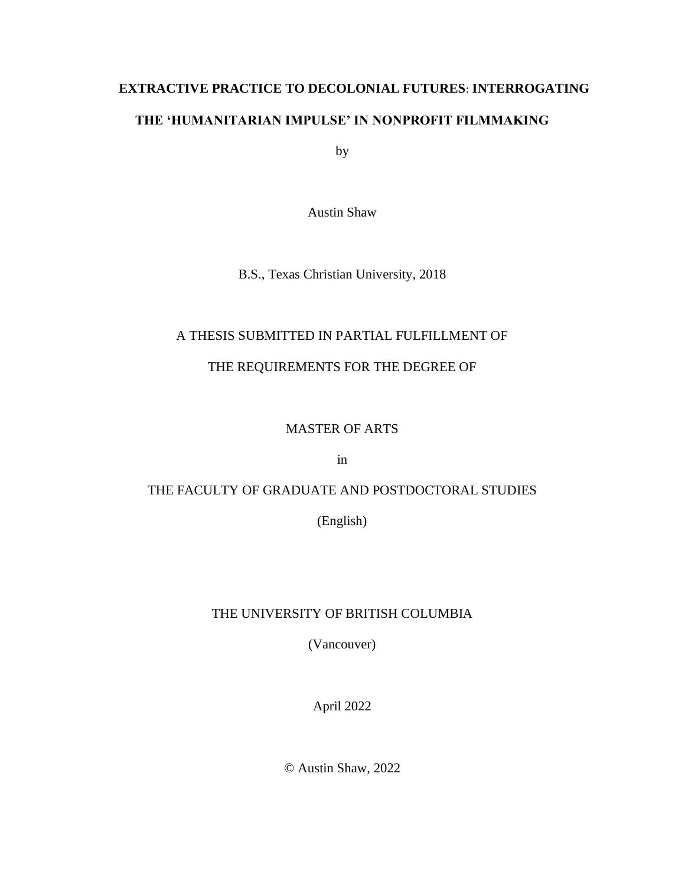# **EXTRACTIVE PRACTICE TO DECOLONIAL FUTURES**: **INTERROGATING THE 'HUMANITARIAN IMPULSE' IN NONPROFIT FILMMAKING**

by

Austin Shaw

B.S., Texas Christian University, 2018

## A THESIS SUBMITTED IN PARTIAL FULFILLMENT OF

## THE REQUIREMENTS FOR THE DEGREE OF

## MASTER OF ARTS

in

# THE FACULTY OF GRADUATE AND POSTDOCTORAL STUDIES

(English)

# THE UNIVERSITY OF BRITISH COLUMBIA

(Vancouver)

April 2022

© Austin Shaw, 2022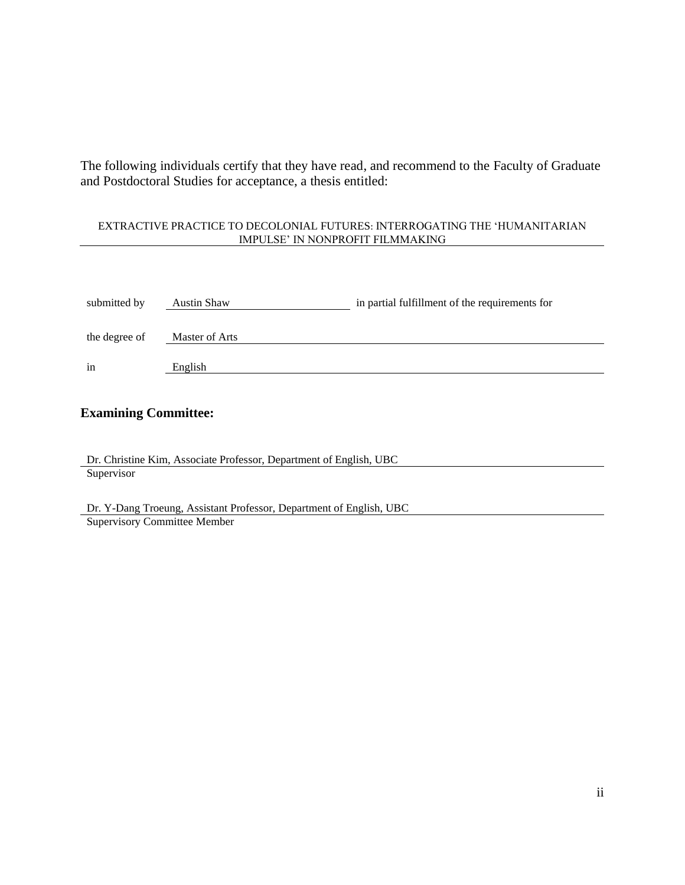The following individuals certify that they have read, and recommend to the Faculty of Graduate and Postdoctoral Studies for acceptance, a thesis entitled:

### EXTRACTIVE PRACTICE TO DECOLONIAL FUTURES: INTERROGATING THE 'HUMANITARIAN IMPULSE' IN NONPROFIT FILMMAKING

| submitted by  | Austin Shaw    | in partial fulfillment of the requirements for |
|---------------|----------------|------------------------------------------------|
| the degree of | Master of Arts |                                                |
| in            | English        |                                                |

### **Examining Committee:**

Dr. Christine Kim, Associate Professor, Department of English, UBC **Supervisor** 

Dr. Y-Dang Troeung, Assistant Professor, Department of English, UBC Supervisory Committee Member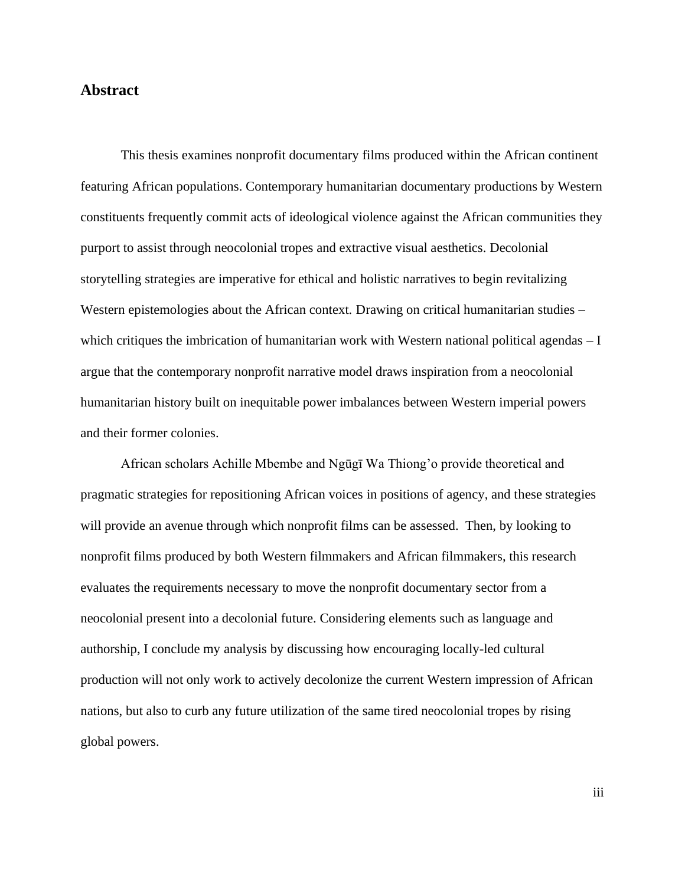### **Abstract**

This thesis examines nonprofit documentary films produced within the African continent featuring African populations. Contemporary humanitarian documentary productions by Western constituents frequently commit acts of ideological violence against the African communities they purport to assist through neocolonial tropes and extractive visual aesthetics. Decolonial storytelling strategies are imperative for ethical and holistic narratives to begin revitalizing Western epistemologies about the African context. Drawing on critical humanitarian studies – which critiques the imbrication of humanitarian work with Western national political agendas – I argue that the contemporary nonprofit narrative model draws inspiration from a neocolonial humanitarian history built on inequitable power imbalances between Western imperial powers and their former colonies.

African scholars Achille Mbembe and Ngūgī Wa Thiong'o provide theoretical and pragmatic strategies for repositioning African voices in positions of agency, and these strategies will provide an avenue through which nonprofit films can be assessed. Then, by looking to nonprofit films produced by both Western filmmakers and African filmmakers, this research evaluates the requirements necessary to move the nonprofit documentary sector from a neocolonial present into a decolonial future. Considering elements such as language and authorship, I conclude my analysis by discussing how encouraging locally-led cultural production will not only work to actively decolonize the current Western impression of African nations, but also to curb any future utilization of the same tired neocolonial tropes by rising global powers.

iii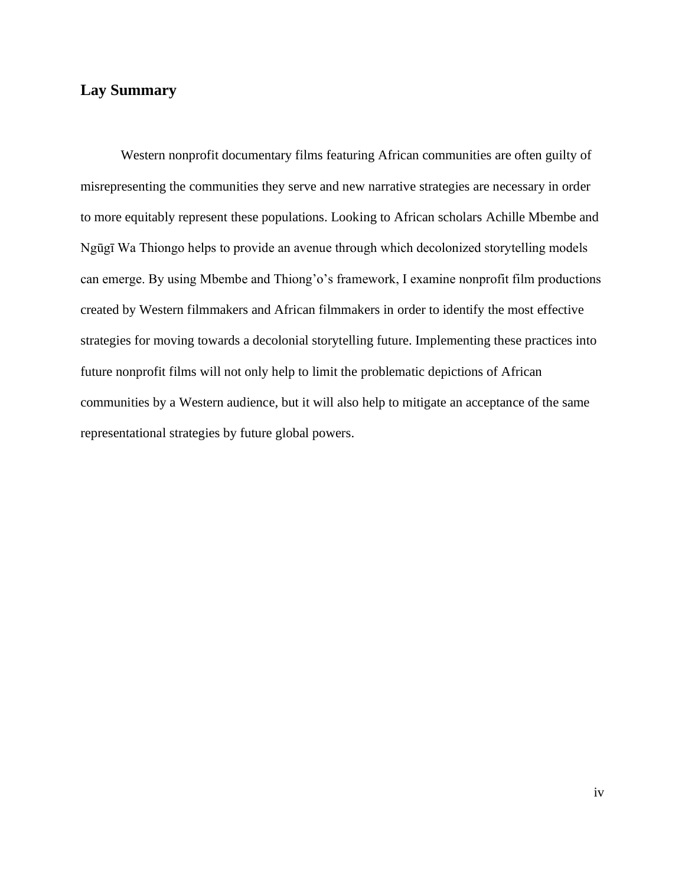# **Lay Summary**

Western nonprofit documentary films featuring African communities are often guilty of misrepresenting the communities they serve and new narrative strategies are necessary in order to more equitably represent these populations. Looking to African scholars Achille Mbembe and Ngūgī Wa Thiongo helps to provide an avenue through which decolonized storytelling models can emerge. By using Mbembe and Thiong'o's framework, I examine nonprofit film productions created by Western filmmakers and African filmmakers in order to identify the most effective strategies for moving towards a decolonial storytelling future. Implementing these practices into future nonprofit films will not only help to limit the problematic depictions of African communities by a Western audience, but it will also help to mitigate an acceptance of the same representational strategies by future global powers.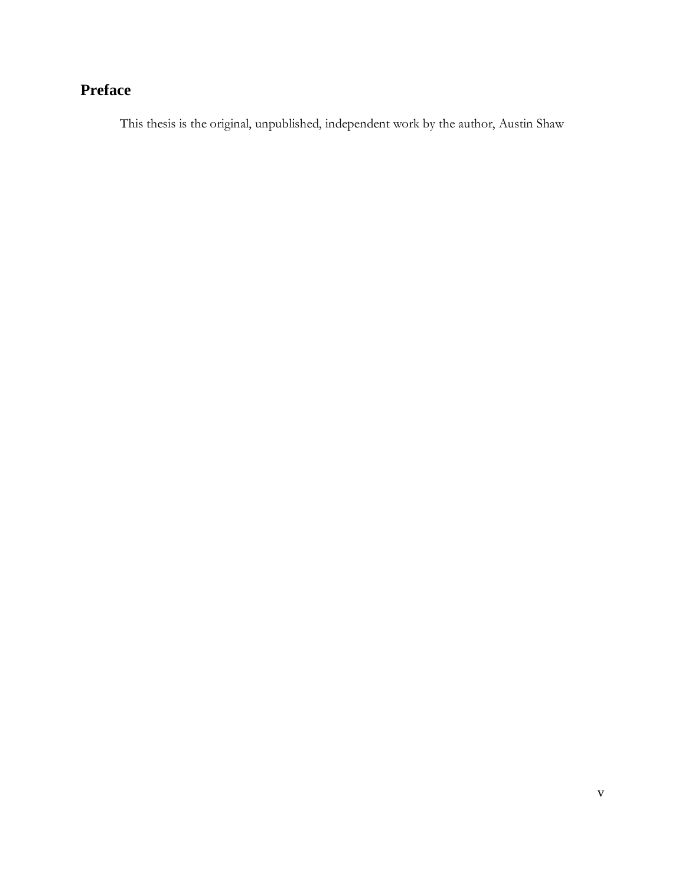# **Preface**

This thesis is the original, unpublished, independent work by the author, Austin Shaw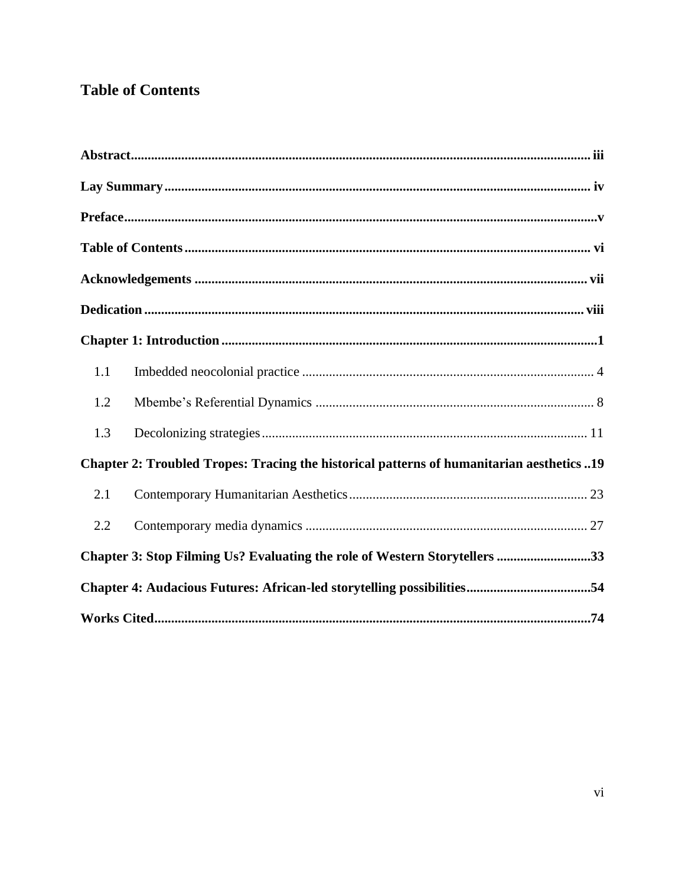# **Table of Contents**

| 1.1                                                                                       |                                                                            |  |
|-------------------------------------------------------------------------------------------|----------------------------------------------------------------------------|--|
| 1.2                                                                                       |                                                                            |  |
| 1.3                                                                                       |                                                                            |  |
| Chapter 2: Troubled Tropes: Tracing the historical patterns of humanitarian aesthetics 19 |                                                                            |  |
| 2.1                                                                                       |                                                                            |  |
| 2.2                                                                                       |                                                                            |  |
|                                                                                           | Chapter 3: Stop Filming Us? Evaluating the role of Western Storytellers 33 |  |
|                                                                                           |                                                                            |  |
|                                                                                           |                                                                            |  |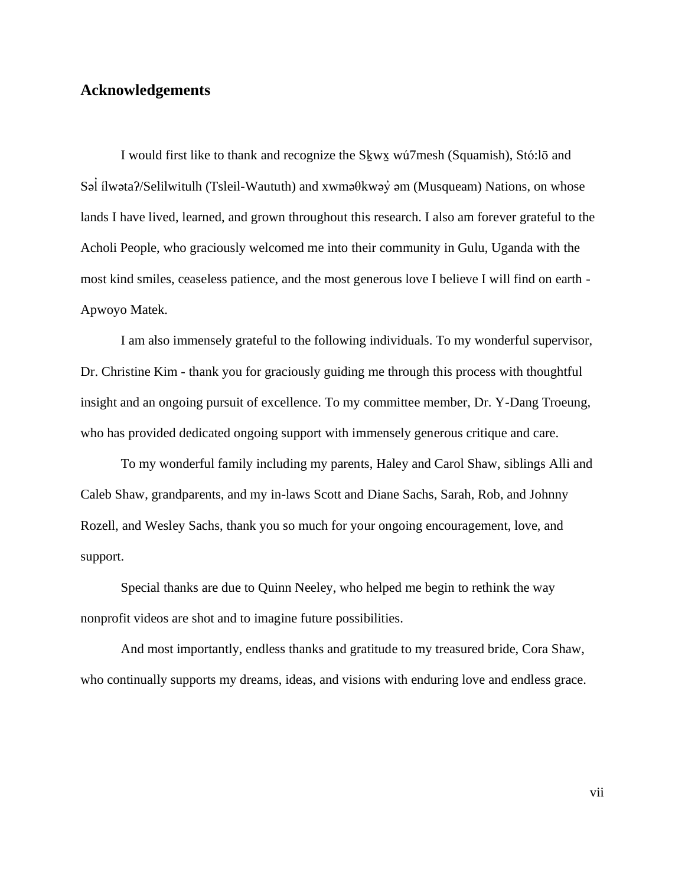### **Acknowledgements**

I would first like to thank and recognize the Sḵwx̱ wú7mesh (Squamish), Stó:lō and Səl ilwəta?/Selilwitulh (Tsleil-Waututh) and xwməθkwəy̓ əm (Musqueam) Nations, on whose ̓ lands I have lived, learned, and grown throughout this research. I also am forever grateful to the Acholi People, who graciously welcomed me into their community in Gulu, Uganda with the most kind smiles, ceaseless patience, and the most generous love I believe I will find on earth - Apwoyo Matek.

I am also immensely grateful to the following individuals. To my wonderful supervisor, Dr. Christine Kim - thank you for graciously guiding me through this process with thoughtful insight and an ongoing pursuit of excellence. To my committee member, Dr. Y-Dang Troeung, who has provided dedicated ongoing support with immensely generous critique and care.

To my wonderful family including my parents, Haley and Carol Shaw, siblings Alli and Caleb Shaw, grandparents, and my in-laws Scott and Diane Sachs, Sarah, Rob, and Johnny Rozell, and Wesley Sachs, thank you so much for your ongoing encouragement, love, and support.

Special thanks are due to Quinn Neeley, who helped me begin to rethink the way nonprofit videos are shot and to imagine future possibilities.

And most importantly, endless thanks and gratitude to my treasured bride, Cora Shaw, who continually supports my dreams, ideas, and visions with enduring love and endless grace.

vii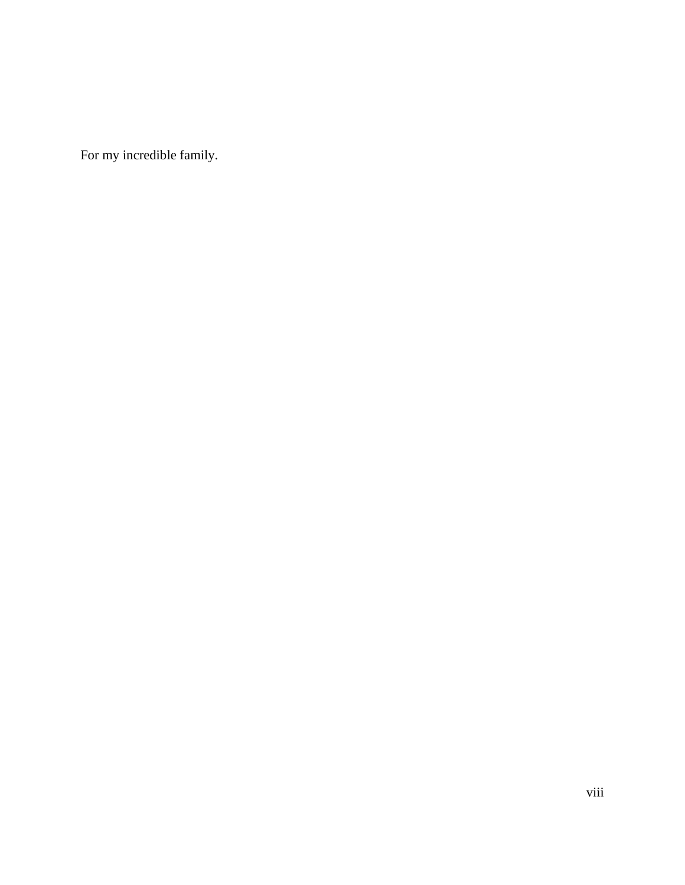For my incredible family.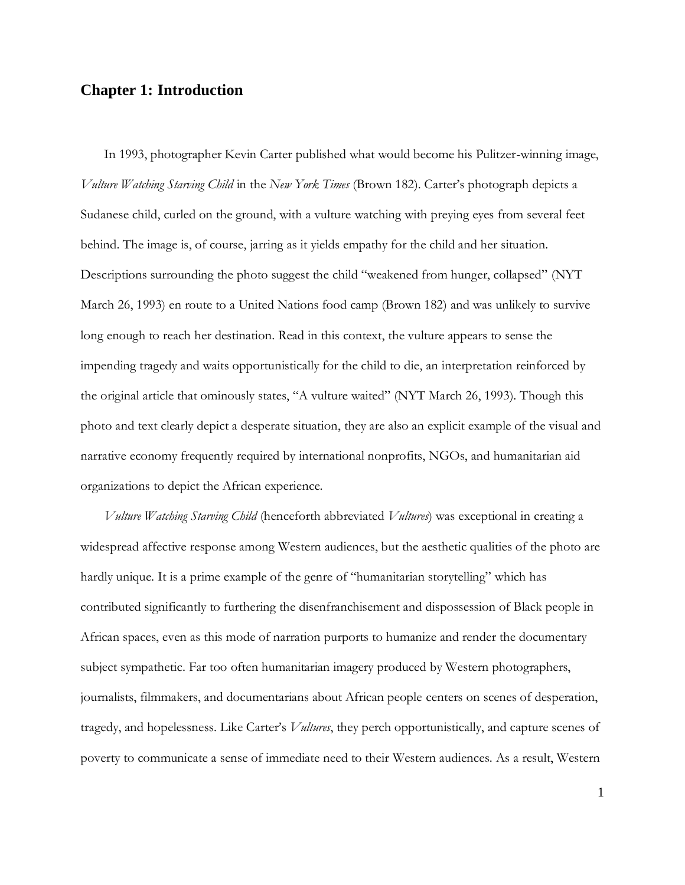### **Chapter 1: Introduction**

In 1993, photographer Kevin Carter published what would become his Pulitzer-winning image, *Vulture Watching Starving Child* in the *New York Times* (Brown 182). Carter's photograph depicts a Sudanese child, curled on the ground, with a vulture watching with preying eyes from several feet behind. The image is, of course, jarring as it yields empathy for the child and her situation. Descriptions surrounding the photo suggest the child "weakened from hunger, collapsed" (NYT March 26, 1993) en route to a United Nations food camp (Brown 182) and was unlikely to survive long enough to reach her destination. Read in this context, the vulture appears to sense the impending tragedy and waits opportunistically for the child to die, an interpretation reinforced by the original article that ominously states, "A vulture waited" (NYT March 26, 1993). Though this photo and text clearly depict a desperate situation, they are also an explicit example of the visual and narrative economy frequently required by international nonprofits, NGOs, and humanitarian aid organizations to depict the African experience.

*Vulture Watching Starving Child* (henceforth abbreviated *Vultures*) was exceptional in creating a widespread affective response among Western audiences, but the aesthetic qualities of the photo are hardly unique. It is a prime example of the genre of "humanitarian storytelling" which has contributed significantly to furthering the disenfranchisement and dispossession of Black people in African spaces, even as this mode of narration purports to humanize and render the documentary subject sympathetic. Far too often humanitarian imagery produced by Western photographers, journalists, filmmakers, and documentarians about African people centers on scenes of desperation, tragedy, and hopelessness. Like Carter's *Vultures*, they perch opportunistically, and capture scenes of poverty to communicate a sense of immediate need to their Western audiences. As a result, Western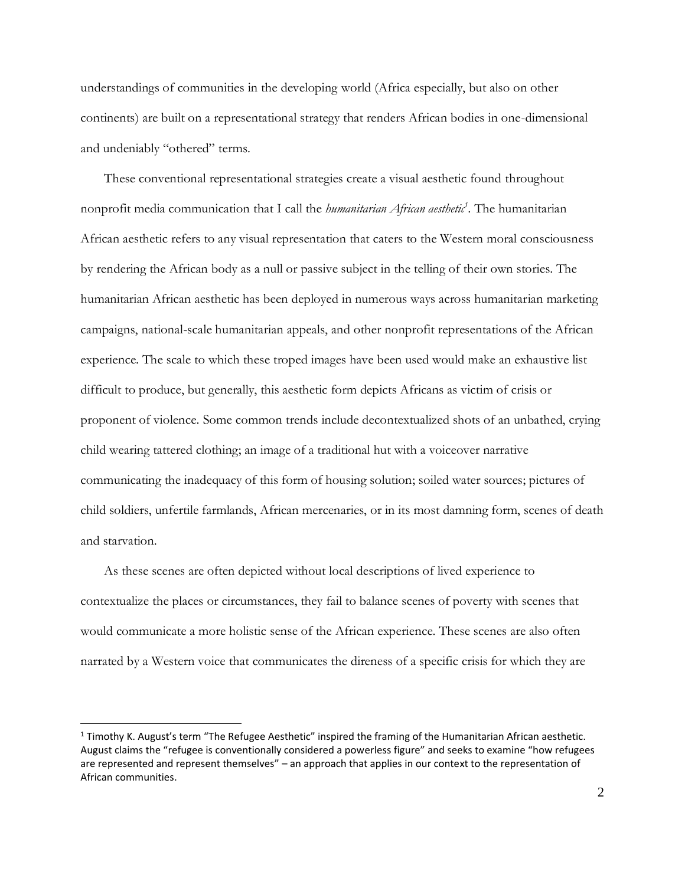understandings of communities in the developing world (Africa especially, but also on other continents) are built on a representational strategy that renders African bodies in one-dimensional and undeniably "othered" terms.

These conventional representational strategies create a visual aesthetic found throughout nonprofit media communication that I call the *humanitarian African aesthetic<sup>1</sup>* . The humanitarian African aesthetic refers to any visual representation that caters to the Western moral consciousness by rendering the African body as a null or passive subject in the telling of their own stories. The humanitarian African aesthetic has been deployed in numerous ways across humanitarian marketing campaigns, national-scale humanitarian appeals, and other nonprofit representations of the African experience. The scale to which these troped images have been used would make an exhaustive list difficult to produce, but generally, this aesthetic form depicts Africans as victim of crisis or proponent of violence. Some common trends include decontextualized shots of an unbathed, crying child wearing tattered clothing; an image of a traditional hut with a voiceover narrative communicating the inadequacy of this form of housing solution; soiled water sources; pictures of child soldiers, unfertile farmlands, African mercenaries, or in its most damning form, scenes of death and starvation.

As these scenes are often depicted without local descriptions of lived experience to contextualize the places or circumstances, they fail to balance scenes of poverty with scenes that would communicate a more holistic sense of the African experience. These scenes are also often narrated by a Western voice that communicates the direness of a specific crisis for which they are

<sup>1</sup> Timothy K. August's term "The Refugee Aesthetic" inspired the framing of the Humanitarian African aesthetic. August claims the "refugee is conventionally considered a powerless figure" and seeks to examine "how refugees are represented and represent themselves" – an approach that applies in our context to the representation of African communities.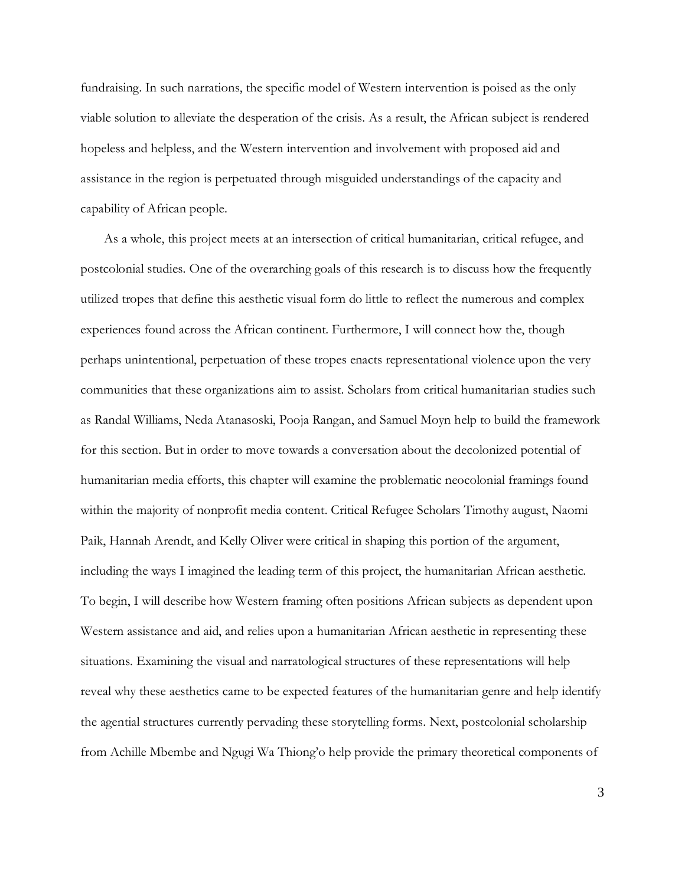fundraising. In such narrations, the specific model of Western intervention is poised as the only viable solution to alleviate the desperation of the crisis. As a result, the African subject is rendered hopeless and helpless, and the Western intervention and involvement with proposed aid and assistance in the region is perpetuated through misguided understandings of the capacity and capability of African people.

As a whole, this project meets at an intersection of critical humanitarian, critical refugee, and postcolonial studies. One of the overarching goals of this research is to discuss how the frequently utilized tropes that define this aesthetic visual form do little to reflect the numerous and complex experiences found across the African continent. Furthermore, I will connect how the, though perhaps unintentional, perpetuation of these tropes enacts representational violence upon the very communities that these organizations aim to assist. Scholars from critical humanitarian studies such as Randal Williams, Neda Atanasoski, Pooja Rangan, and Samuel Moyn help to build the framework for this section. But in order to move towards a conversation about the decolonized potential of humanitarian media efforts, this chapter will examine the problematic neocolonial framings found within the majority of nonprofit media content. Critical Refugee Scholars Timothy august, Naomi Paik, Hannah Arendt, and Kelly Oliver were critical in shaping this portion of the argument, including the ways I imagined the leading term of this project, the humanitarian African aesthetic. To begin, I will describe how Western framing often positions African subjects as dependent upon Western assistance and aid, and relies upon a humanitarian African aesthetic in representing these situations. Examining the visual and narratological structures of these representations will help reveal why these aesthetics came to be expected features of the humanitarian genre and help identify the agential structures currently pervading these storytelling forms. Next, postcolonial scholarship from Achille Mbembe and Ngugi Wa Thiong'o help provide the primary theoretical components of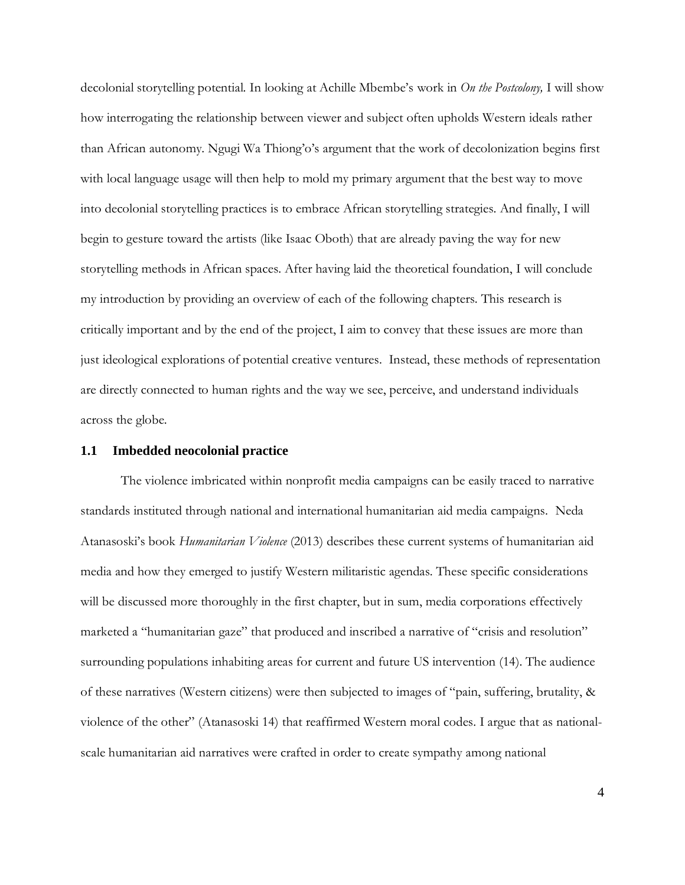decolonial storytelling potential. In looking at Achille Mbembe's work in *On the Postcolony,* I will show how interrogating the relationship between viewer and subject often upholds Western ideals rather than African autonomy. Ngugi Wa Thiong'o's argument that the work of decolonization begins first with local language usage will then help to mold my primary argument that the best way to move into decolonial storytelling practices is to embrace African storytelling strategies. And finally, I will begin to gesture toward the artists (like Isaac Oboth) that are already paving the way for new storytelling methods in African spaces. After having laid the theoretical foundation, I will conclude my introduction by providing an overview of each of the following chapters. This research is critically important and by the end of the project, I aim to convey that these issues are more than just ideological explorations of potential creative ventures. Instead, these methods of representation are directly connected to human rights and the way we see, perceive, and understand individuals across the globe.

#### **1.1 Imbedded neocolonial practice**

The violence imbricated within nonprofit media campaigns can be easily traced to narrative standards instituted through national and international humanitarian aid media campaigns. Neda Atanasoski's book *Humanitarian Violence* (2013) describes these current systems of humanitarian aid media and how they emerged to justify Western militaristic agendas. These specific considerations will be discussed more thoroughly in the first chapter, but in sum, media corporations effectively marketed a "humanitarian gaze" that produced and inscribed a narrative of "crisis and resolution" surrounding populations inhabiting areas for current and future US intervention (14). The audience of these narratives (Western citizens) were then subjected to images of "pain, suffering, brutality, & violence of the other" (Atanasoski 14) that reaffirmed Western moral codes. I argue that as nationalscale humanitarian aid narratives were crafted in order to create sympathy among national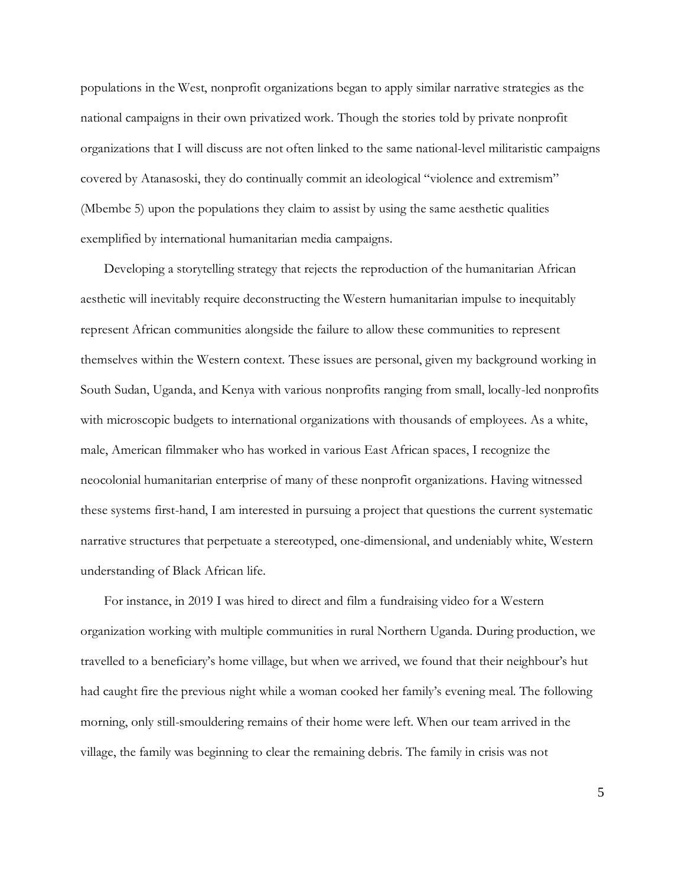populations in the West, nonprofit organizations began to apply similar narrative strategies as the national campaigns in their own privatized work. Though the stories told by private nonprofit organizations that I will discuss are not often linked to the same national-level militaristic campaigns covered by Atanasoski, they do continually commit an ideological "violence and extremism" (Mbembe 5) upon the populations they claim to assist by using the same aesthetic qualities exemplified by international humanitarian media campaigns.

Developing a storytelling strategy that rejects the reproduction of the humanitarian African aesthetic will inevitably require deconstructing the Western humanitarian impulse to inequitably represent African communities alongside the failure to allow these communities to represent themselves within the Western context. These issues are personal, given my background working in South Sudan, Uganda, and Kenya with various nonprofits ranging from small, locally-led nonprofits with microscopic budgets to international organizations with thousands of employees. As a white, male, American filmmaker who has worked in various East African spaces, I recognize the neocolonial humanitarian enterprise of many of these nonprofit organizations. Having witnessed these systems first-hand, I am interested in pursuing a project that questions the current systematic narrative structures that perpetuate a stereotyped, one-dimensional, and undeniably white, Western understanding of Black African life.

For instance, in 2019 I was hired to direct and film a fundraising video for a Western organization working with multiple communities in rural Northern Uganda. During production, we travelled to a beneficiary's home village, but when we arrived, we found that their neighbour's hut had caught fire the previous night while a woman cooked her family's evening meal. The following morning, only still-smouldering remains of their home were left. When our team arrived in the village, the family was beginning to clear the remaining debris. The family in crisis was not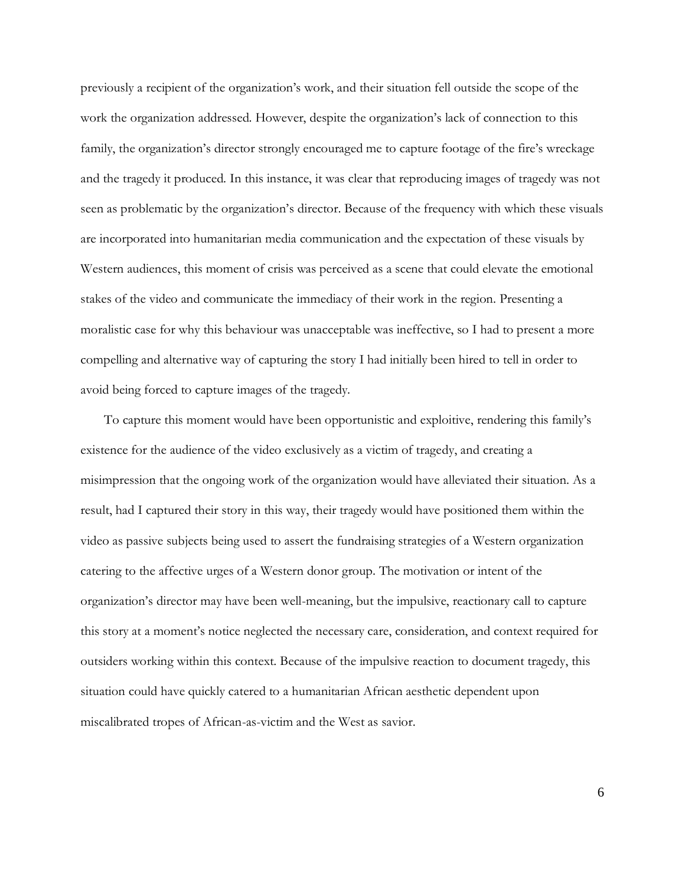previously a recipient of the organization's work, and their situation fell outside the scope of the work the organization addressed. However, despite the organization's lack of connection to this family, the organization's director strongly encouraged me to capture footage of the fire's wreckage and the tragedy it produced. In this instance, it was clear that reproducing images of tragedy was not seen as problematic by the organization's director. Because of the frequency with which these visuals are incorporated into humanitarian media communication and the expectation of these visuals by Western audiences, this moment of crisis was perceived as a scene that could elevate the emotional stakes of the video and communicate the immediacy of their work in the region. Presenting a moralistic case for why this behaviour was unacceptable was ineffective, so I had to present a more compelling and alternative way of capturing the story I had initially been hired to tell in order to avoid being forced to capture images of the tragedy.

To capture this moment would have been opportunistic and exploitive, rendering this family's existence for the audience of the video exclusively as a victim of tragedy, and creating a misimpression that the ongoing work of the organization would have alleviated their situation. As a result, had I captured their story in this way, their tragedy would have positioned them within the video as passive subjects being used to assert the fundraising strategies of a Western organization catering to the affective urges of a Western donor group. The motivation or intent of the organization's director may have been well-meaning, but the impulsive, reactionary call to capture this story at a moment's notice neglected the necessary care, consideration, and context required for outsiders working within this context. Because of the impulsive reaction to document tragedy, this situation could have quickly catered to a humanitarian African aesthetic dependent upon miscalibrated tropes of African-as-victim and the West as savior.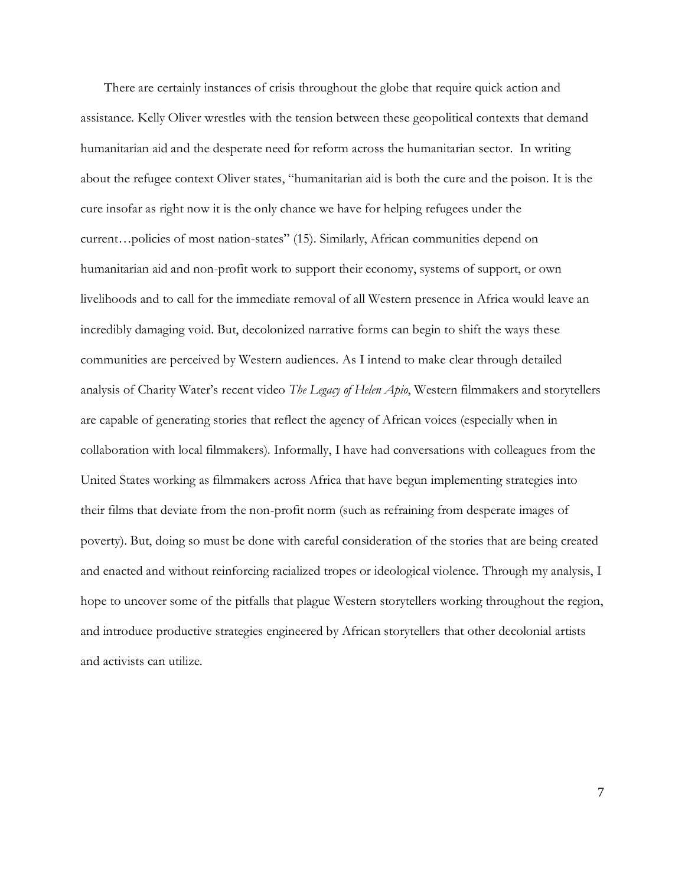There are certainly instances of crisis throughout the globe that require quick action and assistance. Kelly Oliver wrestles with the tension between these geopolitical contexts that demand humanitarian aid and the desperate need for reform across the humanitarian sector. In writing about the refugee context Oliver states, "humanitarian aid is both the cure and the poison. It is the cure insofar as right now it is the only chance we have for helping refugees under the current…policies of most nation-states" (15). Similarly, African communities depend on humanitarian aid and non-profit work to support their economy, systems of support, or own livelihoods and to call for the immediate removal of all Western presence in Africa would leave an incredibly damaging void. But, decolonized narrative forms can begin to shift the ways these communities are perceived by Western audiences. As I intend to make clear through detailed analysis of Charity Water's recent video *The Legacy of Helen Apio*, Western filmmakers and storytellers are capable of generating stories that reflect the agency of African voices (especially when in collaboration with local filmmakers). Informally, I have had conversations with colleagues from the United States working as filmmakers across Africa that have begun implementing strategies into their films that deviate from the non-profit norm (such as refraining from desperate images of poverty). But, doing so must be done with careful consideration of the stories that are being created and enacted and without reinforcing racialized tropes or ideological violence. Through my analysis, I hope to uncover some of the pitfalls that plague Western storytellers working throughout the region, and introduce productive strategies engineered by African storytellers that other decolonial artists and activists can utilize.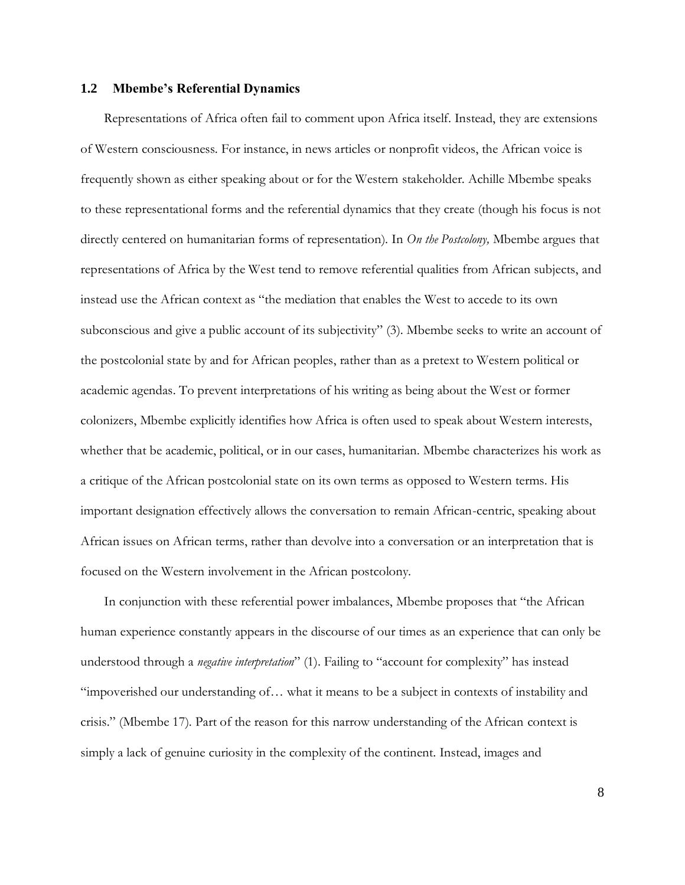### **1.2 Mbembe's Referential Dynamics**

Representations of Africa often fail to comment upon Africa itself. Instead, they are extensions of Western consciousness. For instance, in news articles or nonprofit videos, the African voice is frequently shown as either speaking about or for the Western stakeholder. Achille Mbembe speaks to these representational forms and the referential dynamics that they create (though his focus is not directly centered on humanitarian forms of representation). In *On the Postcolony,* Mbembe argues that representations of Africa by the West tend to remove referential qualities from African subjects, and instead use the African context as "the mediation that enables the West to accede to its own subconscious and give a public account of its subjectivity" (3). Mbembe seeks to write an account of the postcolonial state by and for African peoples, rather than as a pretext to Western political or academic agendas. To prevent interpretations of his writing as being about the West or former colonizers, Mbembe explicitly identifies how Africa is often used to speak about Western interests, whether that be academic, political, or in our cases, humanitarian. Mbembe characterizes his work as a critique of the African postcolonial state on its own terms as opposed to Western terms. His important designation effectively allows the conversation to remain African-centric, speaking about African issues on African terms, rather than devolve into a conversation or an interpretation that is focused on the Western involvement in the African postcolony.

In conjunction with these referential power imbalances, Mbembe proposes that "the African human experience constantly appears in the discourse of our times as an experience that can only be understood through a *negative interpretation*" (1). Failing to "account for complexity" has instead "impoverished our understanding of… what it means to be a subject in contexts of instability and crisis." (Mbembe 17). Part of the reason for this narrow understanding of the African context is simply a lack of genuine curiosity in the complexity of the continent. Instead, images and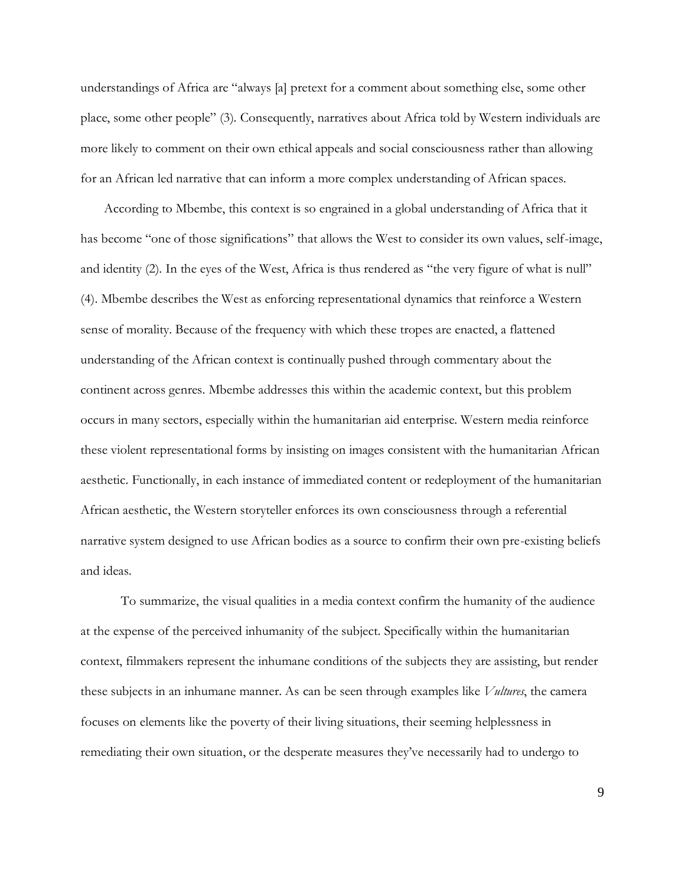understandings of Africa are "always [a] pretext for a comment about something else, some other place, some other people" (3). Consequently, narratives about Africa told by Western individuals are more likely to comment on their own ethical appeals and social consciousness rather than allowing for an African led narrative that can inform a more complex understanding of African spaces.

According to Mbembe, this context is so engrained in a global understanding of Africa that it has become "one of those significations" that allows the West to consider its own values, self-image, and identity (2). In the eyes of the West, Africa is thus rendered as "the very figure of what is null" (4). Mbembe describes the West as enforcing representational dynamics that reinforce a Western sense of morality. Because of the frequency with which these tropes are enacted, a flattened understanding of the African context is continually pushed through commentary about the continent across genres. Mbembe addresses this within the academic context, but this problem occurs in many sectors, especially within the humanitarian aid enterprise. Western media reinforce these violent representational forms by insisting on images consistent with the humanitarian African aesthetic. Functionally, in each instance of immediated content or redeployment of the humanitarian African aesthetic, the Western storyteller enforces its own consciousness through a referential narrative system designed to use African bodies as a source to confirm their own pre-existing beliefs and ideas.

To summarize, the visual qualities in a media context confirm the humanity of the audience at the expense of the perceived inhumanity of the subject. Specifically within the humanitarian context, filmmakers represent the inhumane conditions of the subjects they are assisting, but render these subjects in an inhumane manner. As can be seen through examples like *Vultures*, the camera focuses on elements like the poverty of their living situations, their seeming helplessness in remediating their own situation, or the desperate measures they've necessarily had to undergo to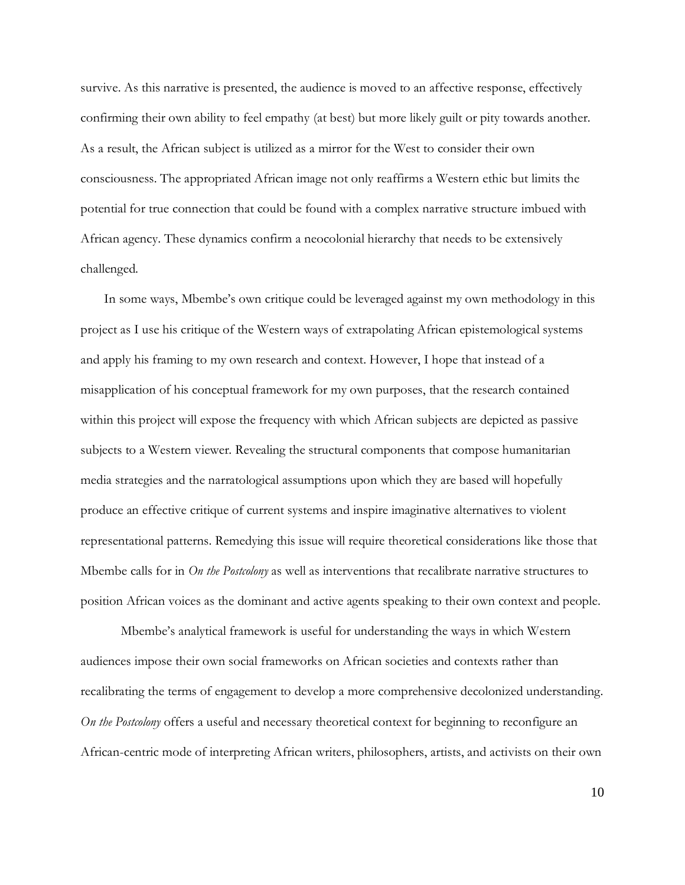survive. As this narrative is presented, the audience is moved to an affective response, effectively confirming their own ability to feel empathy (at best) but more likely guilt or pity towards another. As a result, the African subject is utilized as a mirror for the West to consider their own consciousness. The appropriated African image not only reaffirms a Western ethic but limits the potential for true connection that could be found with a complex narrative structure imbued with African agency. These dynamics confirm a neocolonial hierarchy that needs to be extensively challenged.

In some ways, Mbembe's own critique could be leveraged against my own methodology in this project as I use his critique of the Western ways of extrapolating African epistemological systems and apply his framing to my own research and context. However, I hope that instead of a misapplication of his conceptual framework for my own purposes, that the research contained within this project will expose the frequency with which African subjects are depicted as passive subjects to a Western viewer. Revealing the structural components that compose humanitarian media strategies and the narratological assumptions upon which they are based will hopefully produce an effective critique of current systems and inspire imaginative alternatives to violent representational patterns. Remedying this issue will require theoretical considerations like those that Mbembe calls for in *On the Postcolony* as well as interventions that recalibrate narrative structures to position African voices as the dominant and active agents speaking to their own context and people.

Mbembe's analytical framework is useful for understanding the ways in which Western audiences impose their own social frameworks on African societies and contexts rather than recalibrating the terms of engagement to develop a more comprehensive decolonized understanding. *On the Postcolony* offers a useful and necessary theoretical context for beginning to reconfigure an African-centric mode of interpreting African writers, philosophers, artists, and activists on their own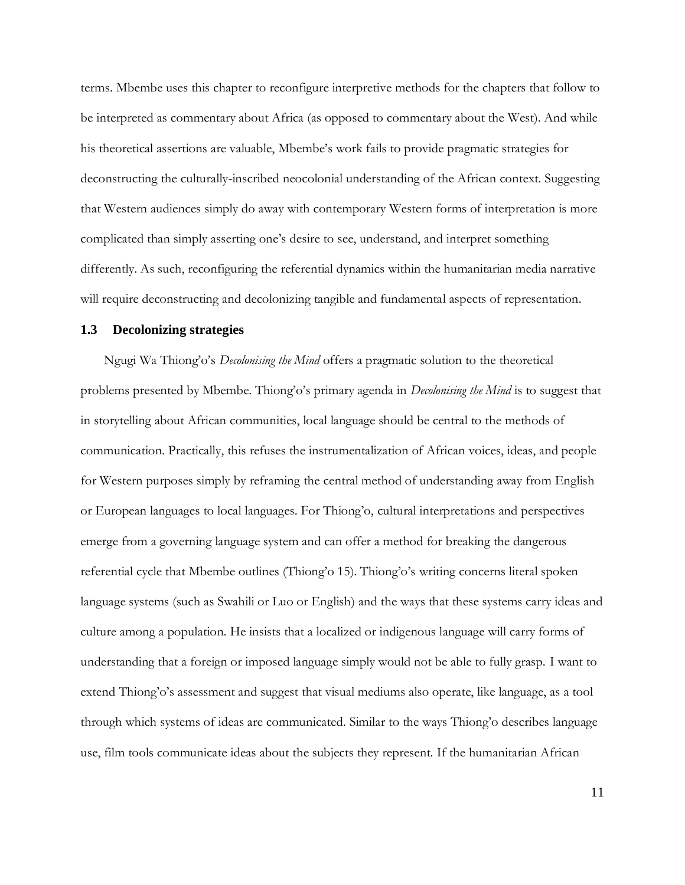terms. Mbembe uses this chapter to reconfigure interpretive methods for the chapters that follow to be interpreted as commentary about Africa (as opposed to commentary about the West). And while his theoretical assertions are valuable, Mbembe's work fails to provide pragmatic strategies for deconstructing the culturally-inscribed neocolonial understanding of the African context. Suggesting that Western audiences simply do away with contemporary Western forms of interpretation is more complicated than simply asserting one's desire to see, understand, and interpret something differently. As such, reconfiguring the referential dynamics within the humanitarian media narrative will require deconstructing and decolonizing tangible and fundamental aspects of representation.

#### **1.3 Decolonizing strategies**

Ngugi Wa Thiong'o's *Decolonising the Mind* offers a pragmatic solution to the theoretical problems presented by Mbembe. Thiong'o's primary agenda in *Decolonising the Mind* is to suggest that in storytelling about African communities, local language should be central to the methods of communication. Practically, this refuses the instrumentalization of African voices, ideas, and people for Western purposes simply by reframing the central method of understanding away from English or European languages to local languages. For Thiong'o, cultural interpretations and perspectives emerge from a governing language system and can offer a method for breaking the dangerous referential cycle that Mbembe outlines (Thiong'o 15). Thiong'o's writing concerns literal spoken language systems (such as Swahili or Luo or English) and the ways that these systems carry ideas and culture among a population. He insists that a localized or indigenous language will carry forms of understanding that a foreign or imposed language simply would not be able to fully grasp. I want to extend Thiong'o's assessment and suggest that visual mediums also operate, like language, as a tool through which systems of ideas are communicated. Similar to the ways Thiong'o describes language use, film tools communicate ideas about the subjects they represent. If the humanitarian African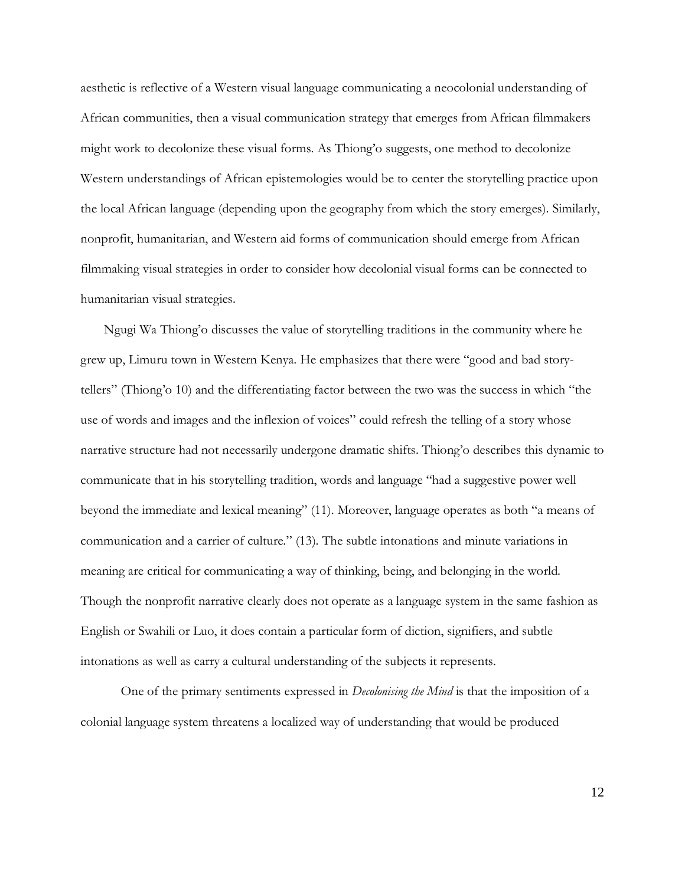aesthetic is reflective of a Western visual language communicating a neocolonial understanding of African communities, then a visual communication strategy that emerges from African filmmakers might work to decolonize these visual forms. As Thiong'o suggests, one method to decolonize Western understandings of African epistemologies would be to center the storytelling practice upon the local African language (depending upon the geography from which the story emerges). Similarly, nonprofit, humanitarian, and Western aid forms of communication should emerge from African filmmaking visual strategies in order to consider how decolonial visual forms can be connected to humanitarian visual strategies.

Ngugi Wa Thiong'o discusses the value of storytelling traditions in the community where he grew up, Limuru town in Western Kenya. He emphasizes that there were "good and bad storytellers" (Thiong'o 10) and the differentiating factor between the two was the success in which "the use of words and images and the inflexion of voices" could refresh the telling of a story whose narrative structure had not necessarily undergone dramatic shifts. Thiong'o describes this dynamic to communicate that in his storytelling tradition, words and language "had a suggestive power well beyond the immediate and lexical meaning" (11). Moreover, language operates as both "a means of communication and a carrier of culture." (13). The subtle intonations and minute variations in meaning are critical for communicating a way of thinking, being, and belonging in the world. Though the nonprofit narrative clearly does not operate as a language system in the same fashion as English or Swahili or Luo, it does contain a particular form of diction, signifiers, and subtle intonations as well as carry a cultural understanding of the subjects it represents.

One of the primary sentiments expressed in *Decolonising the Mind* is that the imposition of a colonial language system threatens a localized way of understanding that would be produced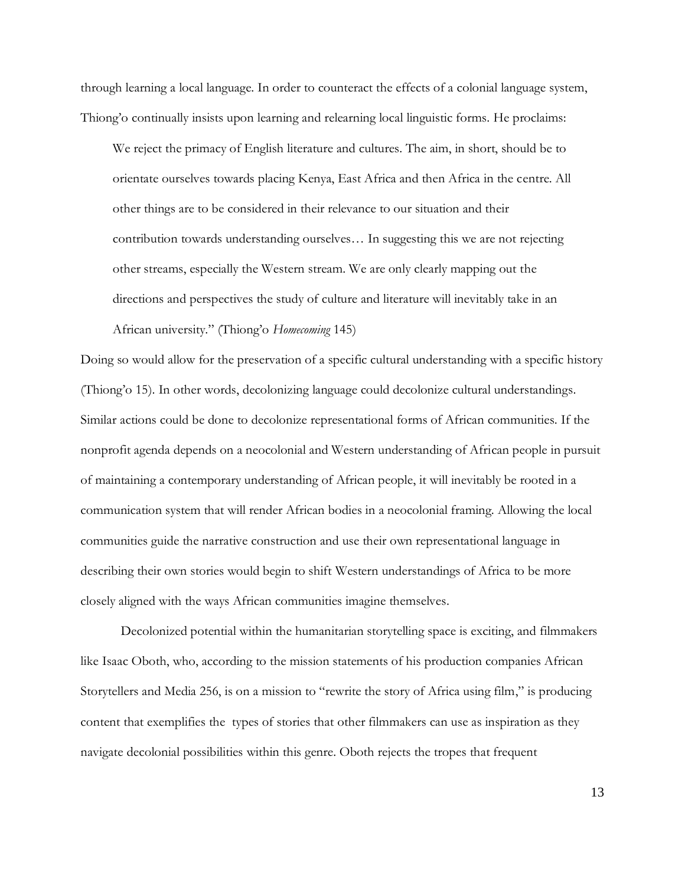through learning a local language. In order to counteract the effects of a colonial language system, Thiong'o continually insists upon learning and relearning local linguistic forms. He proclaims:

We reject the primacy of English literature and cultures. The aim, in short, should be to orientate ourselves towards placing Kenya, East Africa and then Africa in the centre. All other things are to be considered in their relevance to our situation and their contribution towards understanding ourselves… In suggesting this we are not rejecting other streams, especially the Western stream. We are only clearly mapping out the directions and perspectives the study of culture and literature will inevitably take in an African university." (Thiong'o *Homecoming* 145)

Doing so would allow for the preservation of a specific cultural understanding with a specific history (Thiong'o 15). In other words, decolonizing language could decolonize cultural understandings. Similar actions could be done to decolonize representational forms of African communities. If the nonprofit agenda depends on a neocolonial and Western understanding of African people in pursuit of maintaining a contemporary understanding of African people, it will inevitably be rooted in a communication system that will render African bodies in a neocolonial framing. Allowing the local communities guide the narrative construction and use their own representational language in describing their own stories would begin to shift Western understandings of Africa to be more closely aligned with the ways African communities imagine themselves.

Decolonized potential within the humanitarian storytelling space is exciting, and filmmakers like Isaac Oboth, who, according to the mission statements of his production companies African Storytellers and Media 256, is on a mission to "rewrite the story of Africa using film," is producing content that exemplifies the types of stories that other filmmakers can use as inspiration as they navigate decolonial possibilities within this genre. Oboth rejects the tropes that frequent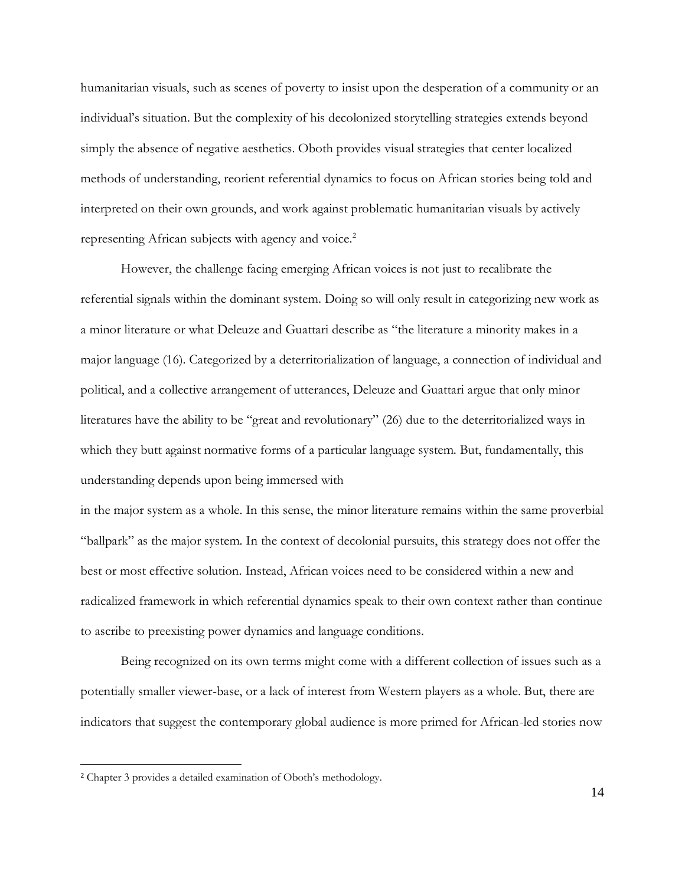humanitarian visuals, such as scenes of poverty to insist upon the desperation of a community or an individual's situation. But the complexity of his decolonized storytelling strategies extends beyond simply the absence of negative aesthetics. Oboth provides visual strategies that center localized methods of understanding, reorient referential dynamics to focus on African stories being told and interpreted on their own grounds, and work against problematic humanitarian visuals by actively representing African subjects with agency and voice.<sup>2</sup>

However, the challenge facing emerging African voices is not just to recalibrate the referential signals within the dominant system. Doing so will only result in categorizing new work as a minor literature or what Deleuze and Guattari describe as "the literature a minority makes in a major language (16). Categorized by a deterritorialization of language, a connection of individual and political, and a collective arrangement of utterances, Deleuze and Guattari argue that only minor literatures have the ability to be "great and revolutionary" (26) due to the deterritorialized ways in which they butt against normative forms of a particular language system. But, fundamentally, this understanding depends upon being immersed with

in the major system as a whole. In this sense, the minor literature remains within the same proverbial "ballpark" as the major system. In the context of decolonial pursuits, this strategy does not offer the best or most effective solution. Instead, African voices need to be considered within a new and radicalized framework in which referential dynamics speak to their own context rather than continue to ascribe to preexisting power dynamics and language conditions.

Being recognized on its own terms might come with a different collection of issues such as a potentially smaller viewer-base, or a lack of interest from Western players as a whole. But, there are indicators that suggest the contemporary global audience is more primed for African-led stories now

<sup>2</sup> Chapter 3 provides a detailed examination of Oboth's methodology.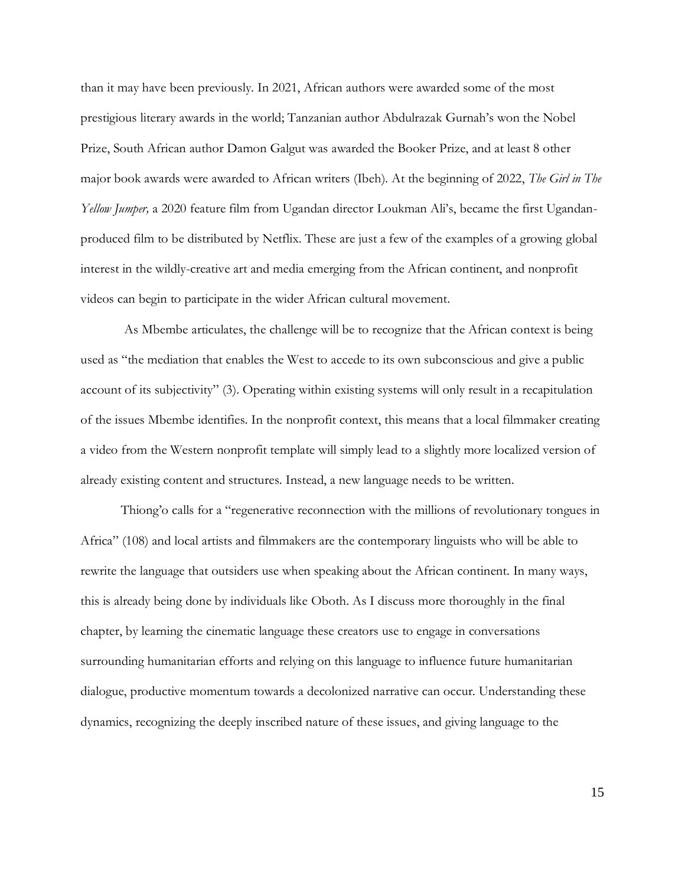than it may have been previously. In 2021, African authors were awarded some of the most prestigious literary awards in the world; Tanzanian author Abdulrazak Gurnah's won the Nobel Prize, South African author Damon Galgut was awarded the Booker Prize, and at least 8 other major book awards were awarded to African writers (Ibeh). At the beginning of 2022, *The Girl in The Yellow Jumper,* a 2020 feature film from Ugandan director Loukman Ali's, became the first Ugandanproduced film to be distributed by Netflix. These are just a few of the examples of a growing global interest in the wildly-creative art and media emerging from the African continent, and nonprofit videos can begin to participate in the wider African cultural movement.

As Mbembe articulates, the challenge will be to recognize that the African context is being used as "the mediation that enables the West to accede to its own subconscious and give a public account of its subjectivity" (3). Operating within existing systems will only result in a recapitulation of the issues Mbembe identifies. In the nonprofit context, this means that a local filmmaker creating a video from the Western nonprofit template will simply lead to a slightly more localized version of already existing content and structures. Instead, a new language needs to be written.

Thiong'o calls for a "regenerative reconnection with the millions of revolutionary tongues in Africa" (108) and local artists and filmmakers are the contemporary linguists who will be able to rewrite the language that outsiders use when speaking about the African continent. In many ways, this is already being done by individuals like Oboth. As I discuss more thoroughly in the final chapter, by learning the cinematic language these creators use to engage in conversations surrounding humanitarian efforts and relying on this language to influence future humanitarian dialogue, productive momentum towards a decolonized narrative can occur. Understanding these dynamics, recognizing the deeply inscribed nature of these issues, and giving language to the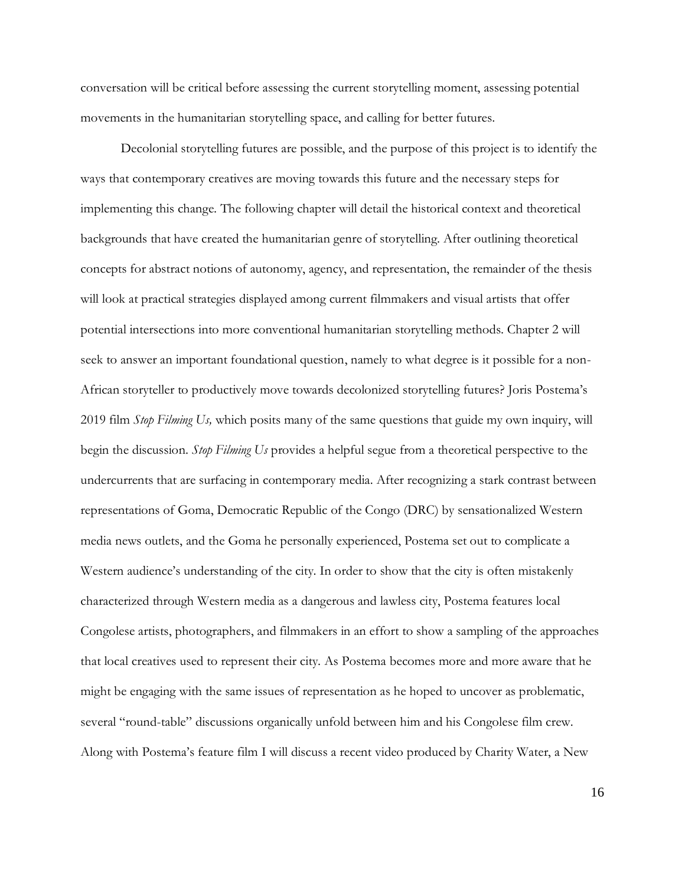conversation will be critical before assessing the current storytelling moment, assessing potential movements in the humanitarian storytelling space, and calling for better futures.

Decolonial storytelling futures are possible, and the purpose of this project is to identify the ways that contemporary creatives are moving towards this future and the necessary steps for implementing this change. The following chapter will detail the historical context and theoretical backgrounds that have created the humanitarian genre of storytelling. After outlining theoretical concepts for abstract notions of autonomy, agency, and representation, the remainder of the thesis will look at practical strategies displayed among current filmmakers and visual artists that offer potential intersections into more conventional humanitarian storytelling methods. Chapter 2 will seek to answer an important foundational question, namely to what degree is it possible for a non-African storyteller to productively move towards decolonized storytelling futures? Joris Postema's 2019 film *Stop Filming Us,* which posits many of the same questions that guide my own inquiry, will begin the discussion. *Stop Filming Us* provides a helpful segue from a theoretical perspective to the undercurrents that are surfacing in contemporary media. After recognizing a stark contrast between representations of Goma, Democratic Republic of the Congo (DRC) by sensationalized Western media news outlets, and the Goma he personally experienced, Postema set out to complicate a Western audience's understanding of the city. In order to show that the city is often mistakenly characterized through Western media as a dangerous and lawless city, Postema features local Congolese artists, photographers, and filmmakers in an effort to show a sampling of the approaches that local creatives used to represent their city. As Postema becomes more and more aware that he might be engaging with the same issues of representation as he hoped to uncover as problematic, several "round-table" discussions organically unfold between him and his Congolese film crew. Along with Postema's feature film I will discuss a recent video produced by Charity Water, a New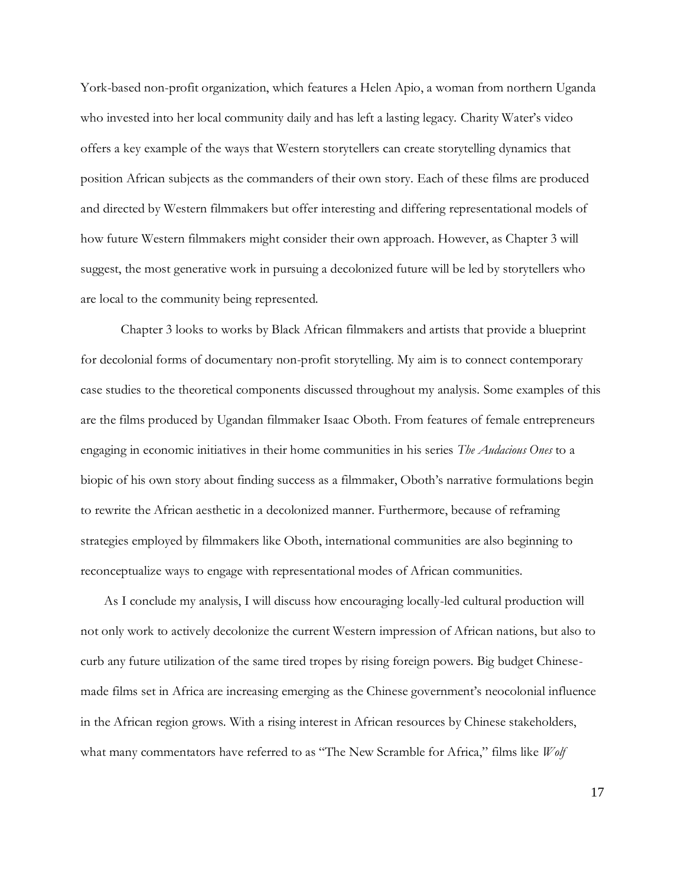York-based non-profit organization, which features a Helen Apio, a woman from northern Uganda who invested into her local community daily and has left a lasting legacy. Charity Water's video offers a key example of the ways that Western storytellers can create storytelling dynamics that position African subjects as the commanders of their own story. Each of these films are produced and directed by Western filmmakers but offer interesting and differing representational models of how future Western filmmakers might consider their own approach. However, as Chapter 3 will suggest, the most generative work in pursuing a decolonized future will be led by storytellers who are local to the community being represented.

Chapter 3 looks to works by Black African filmmakers and artists that provide a blueprint for decolonial forms of documentary non-profit storytelling. My aim is to connect contemporary case studies to the theoretical components discussed throughout my analysis. Some examples of this are the films produced by Ugandan filmmaker Isaac Oboth. From features of female entrepreneurs engaging in economic initiatives in their home communities in his series *The Audacious Ones* to a biopic of his own story about finding success as a filmmaker, Oboth's narrative formulations begin to rewrite the African aesthetic in a decolonized manner. Furthermore, because of reframing strategies employed by filmmakers like Oboth, international communities are also beginning to reconceptualize ways to engage with representational modes of African communities.

As I conclude my analysis, I will discuss how encouraging locally-led cultural production will not only work to actively decolonize the current Western impression of African nations, but also to curb any future utilization of the same tired tropes by rising foreign powers. Big budget Chinesemade films set in Africa are increasing emerging as the Chinese government's neocolonial influence in the African region grows. With a rising interest in African resources by Chinese stakeholders, what many commentators have referred to as "The New Scramble for Africa," films like *Wolf*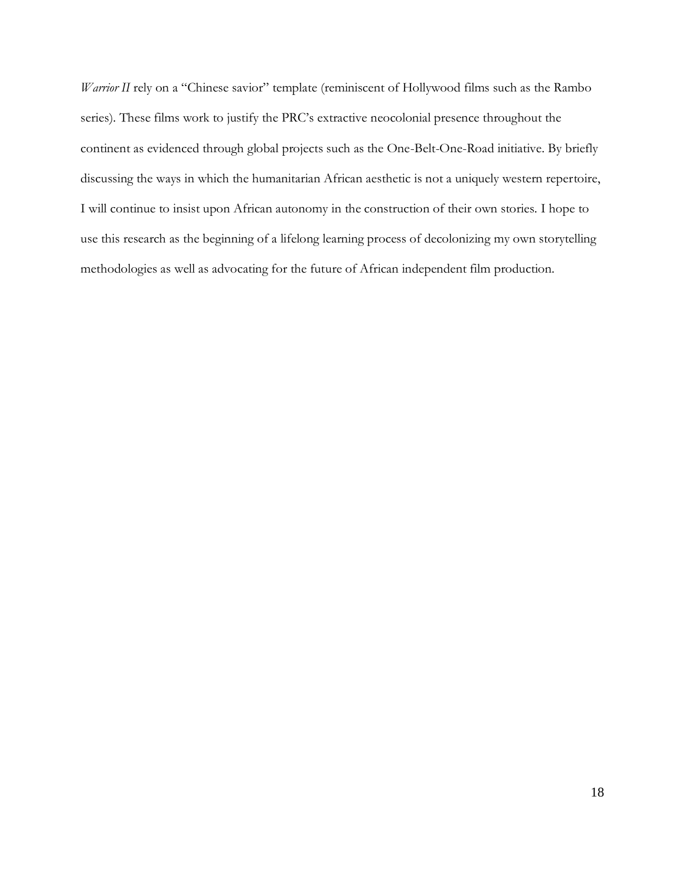*Warrior II* rely on a "Chinese savior" template (reminiscent of Hollywood films such as the Rambo series). These films work to justify the PRC's extractive neocolonial presence throughout the continent as evidenced through global projects such as the One-Belt-One-Road initiative. By briefly discussing the ways in which the humanitarian African aesthetic is not a uniquely western repertoire, I will continue to insist upon African autonomy in the construction of their own stories. I hope to use this research as the beginning of a lifelong learning process of decolonizing my own storytelling methodologies as well as advocating for the future of African independent film production.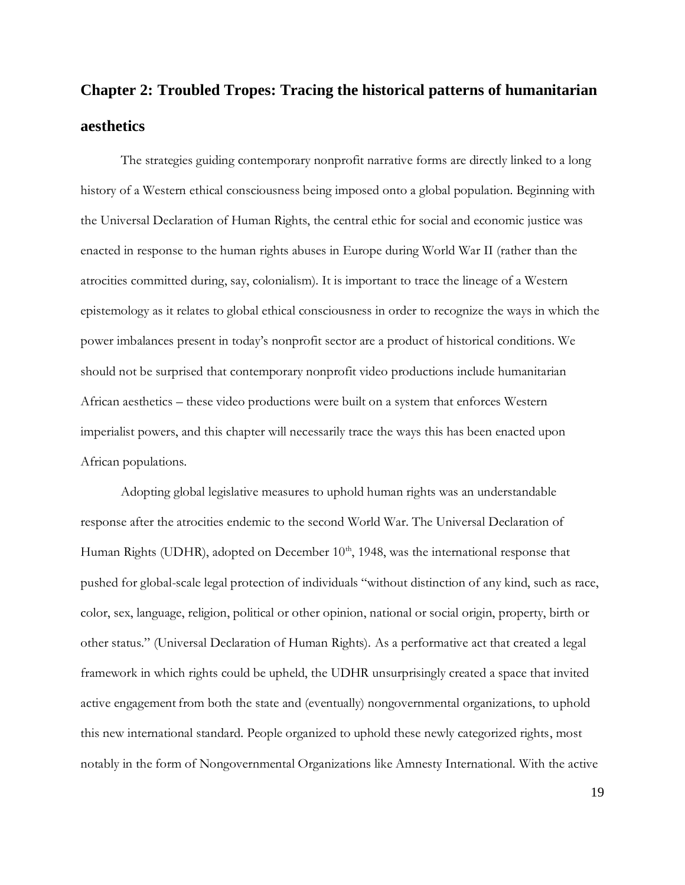# **Chapter 2: Troubled Tropes: Tracing the historical patterns of humanitarian aesthetics**

The strategies guiding contemporary nonprofit narrative forms are directly linked to a long history of a Western ethical consciousness being imposed onto a global population. Beginning with the Universal Declaration of Human Rights, the central ethic for social and economic justice was enacted in response to the human rights abuses in Europe during World War II (rather than the atrocities committed during, say, colonialism). It is important to trace the lineage of a Western epistemology as it relates to global ethical consciousness in order to recognize the ways in which the power imbalances present in today's nonprofit sector are a product of historical conditions. We should not be surprised that contemporary nonprofit video productions include humanitarian African aesthetics – these video productions were built on a system that enforces Western imperialist powers, and this chapter will necessarily trace the ways this has been enacted upon African populations.

Adopting global legislative measures to uphold human rights was an understandable response after the atrocities endemic to the second World War. The Universal Declaration of Human Rights (UDHR), adopted on December  $10<sup>th</sup>$ , 1948, was the international response that pushed for global-scale legal protection of individuals "without distinction of any kind, such as race, color, sex, language, religion, political or other opinion, national or social origin, property, birth or other status." (Universal Declaration of Human Rights). As a performative act that created a legal framework in which rights could be upheld, the UDHR unsurprisingly created a space that invited active engagement from both the state and (eventually) nongovernmental organizations, to uphold this new international standard. People organized to uphold these newly categorized rights, most notably in the form of Nongovernmental Organizations like Amnesty International. With the active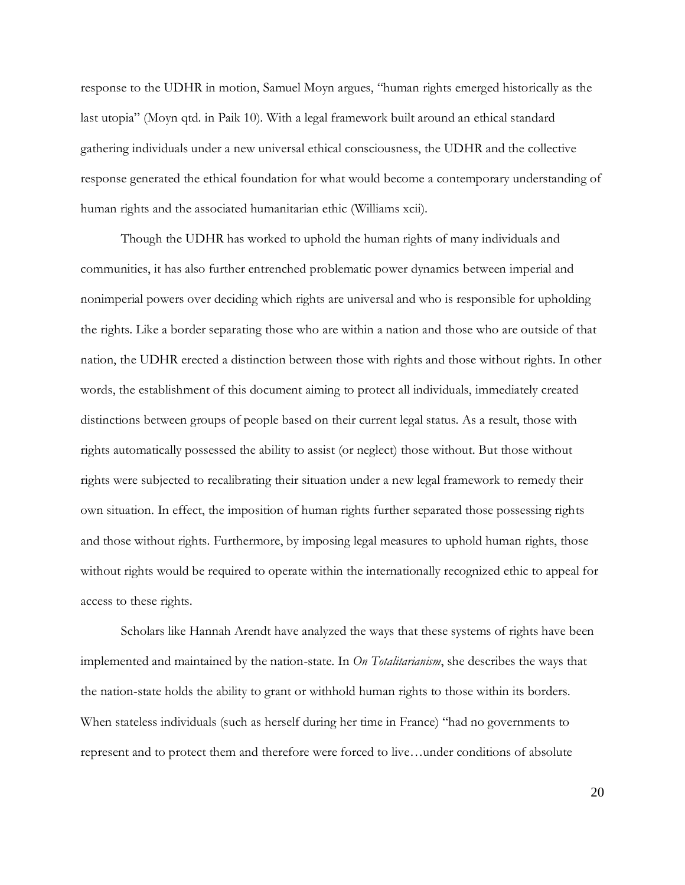response to the UDHR in motion, Samuel Moyn argues, "human rights emerged historically as the last utopia" (Moyn qtd. in Paik 10). With a legal framework built around an ethical standard gathering individuals under a new universal ethical consciousness, the UDHR and the collective response generated the ethical foundation for what would become a contemporary understanding of human rights and the associated humanitarian ethic (Williams xcii).

Though the UDHR has worked to uphold the human rights of many individuals and communities, it has also further entrenched problematic power dynamics between imperial and nonimperial powers over deciding which rights are universal and who is responsible for upholding the rights. Like a border separating those who are within a nation and those who are outside of that nation, the UDHR erected a distinction between those with rights and those without rights. In other words, the establishment of this document aiming to protect all individuals, immediately created distinctions between groups of people based on their current legal status. As a result, those with rights automatically possessed the ability to assist (or neglect) those without. But those without rights were subjected to recalibrating their situation under a new legal framework to remedy their own situation. In effect, the imposition of human rights further separated those possessing rights and those without rights. Furthermore, by imposing legal measures to uphold human rights, those without rights would be required to operate within the internationally recognized ethic to appeal for access to these rights.

Scholars like Hannah Arendt have analyzed the ways that these systems of rights have been implemented and maintained by the nation-state. In *On Totalitarianism*, she describes the ways that the nation-state holds the ability to grant or withhold human rights to those within its borders. When stateless individuals (such as herself during her time in France) "had no governments to represent and to protect them and therefore were forced to live…under conditions of absolute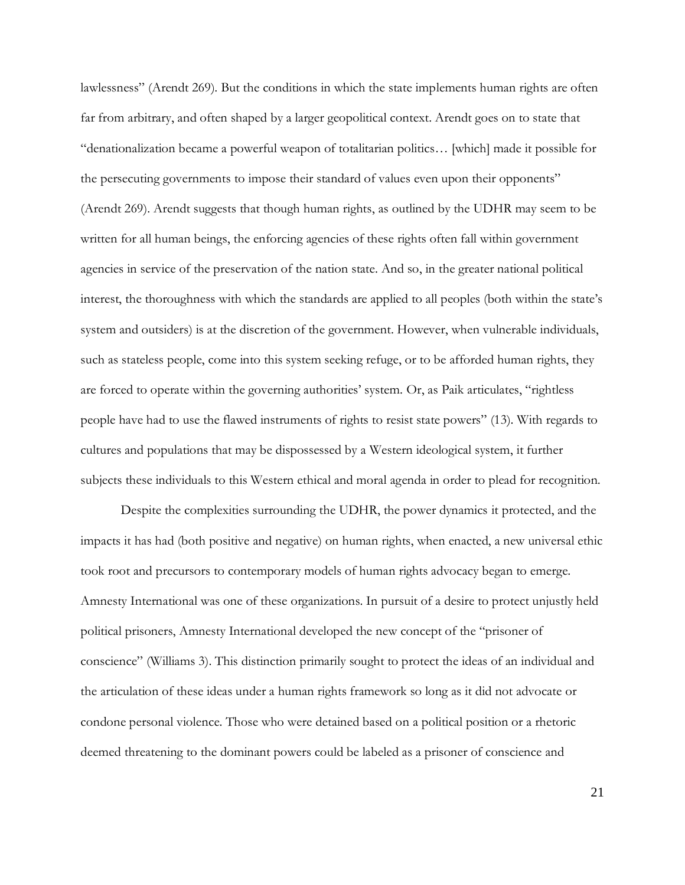lawlessness" (Arendt 269). But the conditions in which the state implements human rights are often far from arbitrary, and often shaped by a larger geopolitical context. Arendt goes on to state that "denationalization became a powerful weapon of totalitarian politics… [which] made it possible for the persecuting governments to impose their standard of values even upon their opponents" (Arendt 269). Arendt suggests that though human rights, as outlined by the UDHR may seem to be written for all human beings, the enforcing agencies of these rights often fall within government agencies in service of the preservation of the nation state. And so, in the greater national political interest, the thoroughness with which the standards are applied to all peoples (both within the state's system and outsiders) is at the discretion of the government. However, when vulnerable individuals, such as stateless people, come into this system seeking refuge, or to be afforded human rights, they are forced to operate within the governing authorities' system. Or, as Paik articulates, "rightless people have had to use the flawed instruments of rights to resist state powers" (13). With regards to cultures and populations that may be dispossessed by a Western ideological system, it further subjects these individuals to this Western ethical and moral agenda in order to plead for recognition.

Despite the complexities surrounding the UDHR, the power dynamics it protected, and the impacts it has had (both positive and negative) on human rights, when enacted, a new universal ethic took root and precursors to contemporary models of human rights advocacy began to emerge. Amnesty International was one of these organizations. In pursuit of a desire to protect unjustly held political prisoners, Amnesty International developed the new concept of the "prisoner of conscience" (Williams 3). This distinction primarily sought to protect the ideas of an individual and the articulation of these ideas under a human rights framework so long as it did not advocate or condone personal violence. Those who were detained based on a political position or a rhetoric deemed threatening to the dominant powers could be labeled as a prisoner of conscience and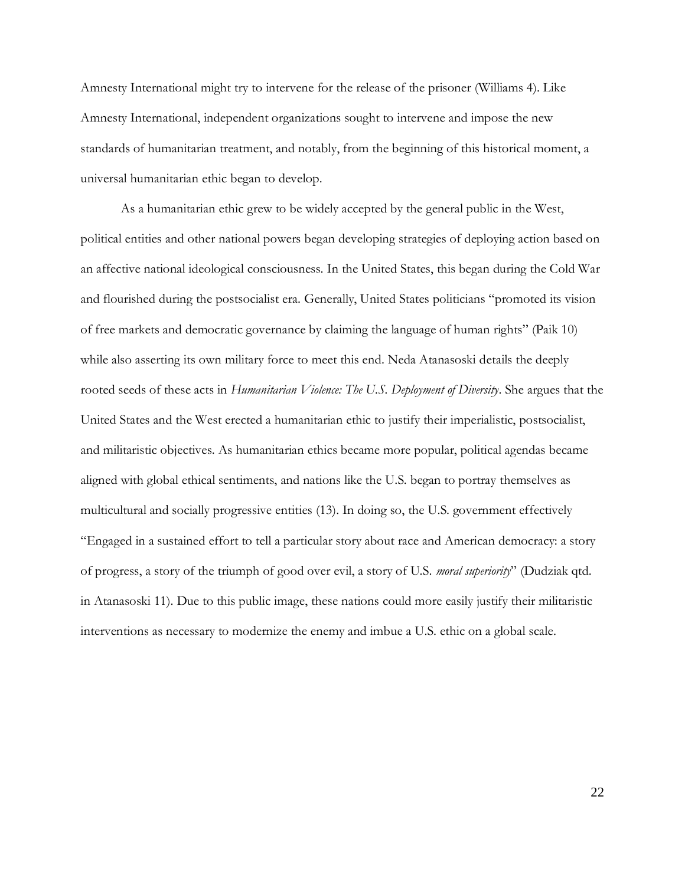Amnesty International might try to intervene for the release of the prisoner (Williams 4). Like Amnesty International, independent organizations sought to intervene and impose the new standards of humanitarian treatment, and notably, from the beginning of this historical moment, a universal humanitarian ethic began to develop.

As a humanitarian ethic grew to be widely accepted by the general public in the West, political entities and other national powers began developing strategies of deploying action based on an affective national ideological consciousness. In the United States, this began during the Cold War and flourished during the postsocialist era. Generally, United States politicians "promoted its vision of free markets and democratic governance by claiming the language of human rights" (Paik 10) while also asserting its own military force to meet this end. Neda Atanasoski details the deeply rooted seeds of these acts in *Humanitarian Violence: The U.S. Deployment of Diversity*. She argues that the United States and the West erected a humanitarian ethic to justify their imperialistic, postsocialist, and militaristic objectives. As humanitarian ethics became more popular, political agendas became aligned with global ethical sentiments, and nations like the U.S. began to portray themselves as multicultural and socially progressive entities (13). In doing so, the U.S. government effectively "Engaged in a sustained effort to tell a particular story about race and American democracy: a story of progress, a story of the triumph of good over evil, a story of U.S. *moral superiority*" (Dudziak qtd. in Atanasoski 11). Due to this public image, these nations could more easily justify their militaristic interventions as necessary to modernize the enemy and imbue a U.S. ethic on a global scale.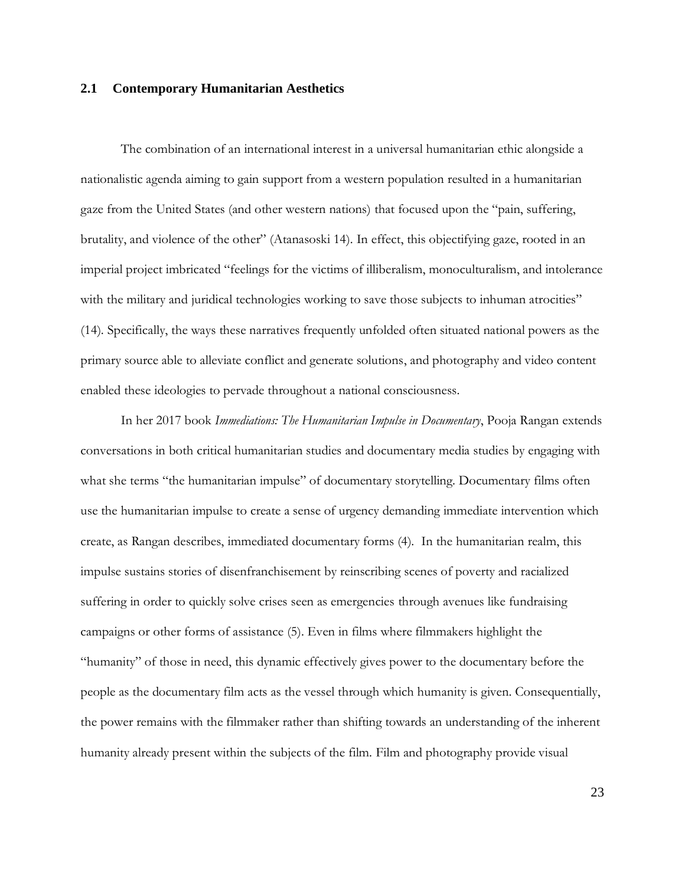### **2.1 Contemporary Humanitarian Aesthetics**

The combination of an international interest in a universal humanitarian ethic alongside a nationalistic agenda aiming to gain support from a western population resulted in a humanitarian gaze from the United States (and other western nations) that focused upon the "pain, suffering, brutality, and violence of the other" (Atanasoski 14). In effect, this objectifying gaze, rooted in an imperial project imbricated "feelings for the victims of illiberalism, monoculturalism, and intolerance with the military and juridical technologies working to save those subjects to inhuman atrocities" (14). Specifically, the ways these narratives frequently unfolded often situated national powers as the primary source able to alleviate conflict and generate solutions, and photography and video content enabled these ideologies to pervade throughout a national consciousness.

In her 2017 book *Immediations: The Humanitarian Impulse in Documentary*, Pooja Rangan extends conversations in both critical humanitarian studies and documentary media studies by engaging with what she terms "the humanitarian impulse" of documentary storytelling. Documentary films often use the humanitarian impulse to create a sense of urgency demanding immediate intervention which create, as Rangan describes, immediated documentary forms (4). In the humanitarian realm, this impulse sustains stories of disenfranchisement by reinscribing scenes of poverty and racialized suffering in order to quickly solve crises seen as emergencies through avenues like fundraising campaigns or other forms of assistance (5). Even in films where filmmakers highlight the "humanity" of those in need, this dynamic effectively gives power to the documentary before the people as the documentary film acts as the vessel through which humanity is given. Consequentially, the power remains with the filmmaker rather than shifting towards an understanding of the inherent humanity already present within the subjects of the film. Film and photography provide visual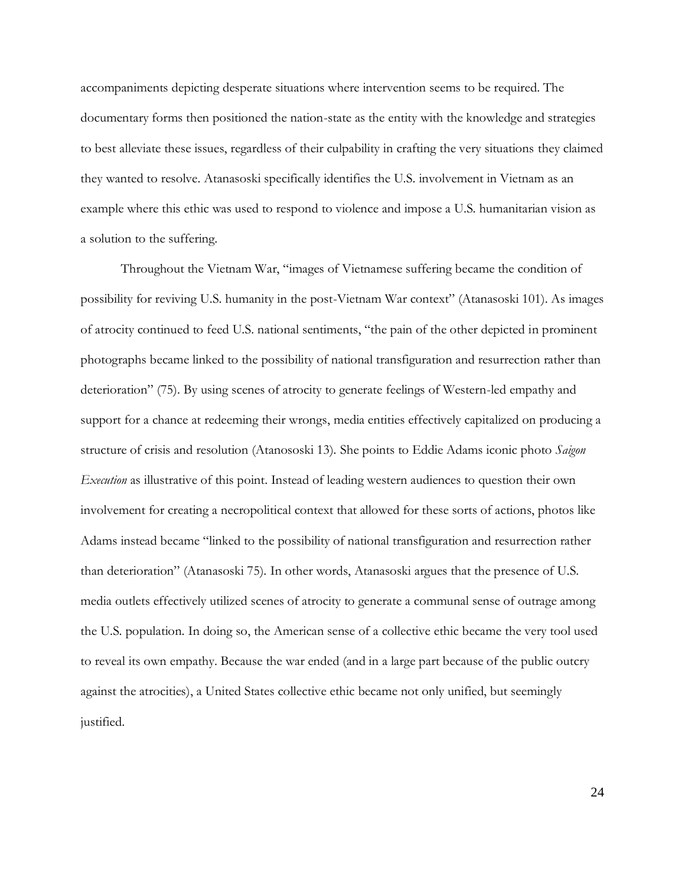accompaniments depicting desperate situations where intervention seems to be required. The documentary forms then positioned the nation-state as the entity with the knowledge and strategies to best alleviate these issues, regardless of their culpability in crafting the very situations they claimed they wanted to resolve. Atanasoski specifically identifies the U.S. involvement in Vietnam as an example where this ethic was used to respond to violence and impose a U.S. humanitarian vision as a solution to the suffering.

Throughout the Vietnam War, "images of Vietnamese suffering became the condition of possibility for reviving U.S. humanity in the post-Vietnam War context" (Atanasoski 101). As images of atrocity continued to feed U.S. national sentiments, "the pain of the other depicted in prominent photographs became linked to the possibility of national transfiguration and resurrection rather than deterioration" (75). By using scenes of atrocity to generate feelings of Western-led empathy and support for a chance at redeeming their wrongs, media entities effectively capitalized on producing a structure of crisis and resolution (Atanososki 13). She points to Eddie Adams iconic photo *Saigon Execution* as illustrative of this point. Instead of leading western audiences to question their own involvement for creating a necropolitical context that allowed for these sorts of actions, photos like Adams instead became "linked to the possibility of national transfiguration and resurrection rather than deterioration" (Atanasoski 75). In other words, Atanasoski argues that the presence of U.S. media outlets effectively utilized scenes of atrocity to generate a communal sense of outrage among the U.S. population. In doing so, the American sense of a collective ethic became the very tool used to reveal its own empathy. Because the war ended (and in a large part because of the public outcry against the atrocities), a United States collective ethic became not only unified, but seemingly justified.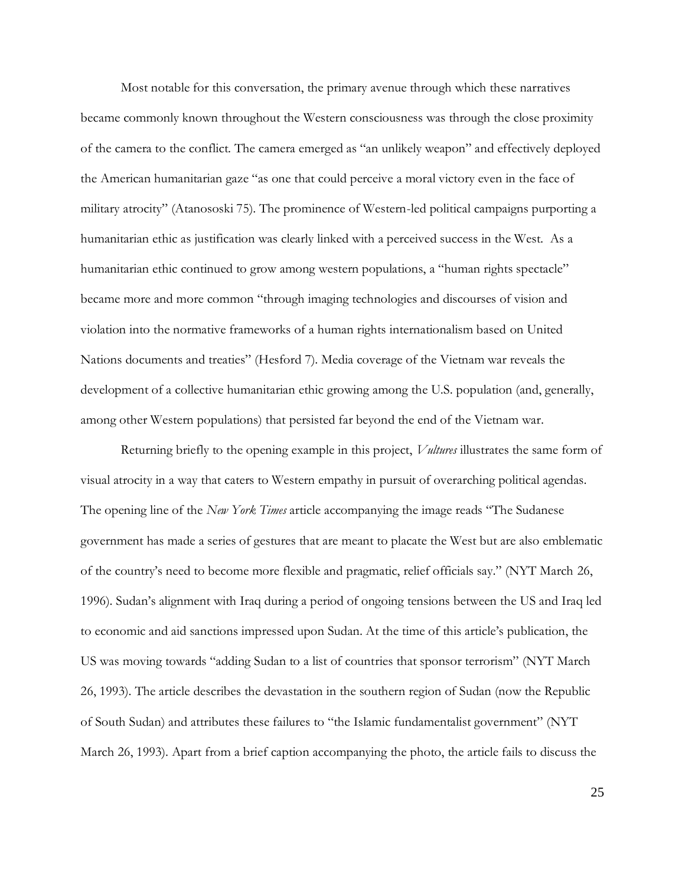Most notable for this conversation, the primary avenue through which these narratives became commonly known throughout the Western consciousness was through the close proximity of the camera to the conflict. The camera emerged as "an unlikely weapon" and effectively deployed the American humanitarian gaze "as one that could perceive a moral victory even in the face of military atrocity" (Atanososki 75). The prominence of Western-led political campaigns purporting a humanitarian ethic as justification was clearly linked with a perceived success in the West. As a humanitarian ethic continued to grow among western populations, a "human rights spectacle" became more and more common "through imaging technologies and discourses of vision and violation into the normative frameworks of a human rights internationalism based on United Nations documents and treaties" (Hesford 7). Media coverage of the Vietnam war reveals the development of a collective humanitarian ethic growing among the U.S. population (and, generally, among other Western populations) that persisted far beyond the end of the Vietnam war.

Returning briefly to the opening example in this project, *Vultures* illustrates the same form of visual atrocity in a way that caters to Western empathy in pursuit of overarching political agendas. The opening line of the *New York Times* article accompanying the image reads "The Sudanese government has made a series of gestures that are meant to placate the West but are also emblematic of the country's need to become more flexible and pragmatic, relief officials say." (NYT March 26, 1996). Sudan's alignment with Iraq during a period of ongoing tensions between the US and Iraq led to economic and aid sanctions impressed upon Sudan. At the time of this article's publication, the US was moving towards "adding Sudan to a list of countries that sponsor terrorism" (NYT March 26, 1993). The article describes the devastation in the southern region of Sudan (now the Republic of South Sudan) and attributes these failures to "the Islamic fundamentalist government" (NYT March 26, 1993). Apart from a brief caption accompanying the photo, the article fails to discuss the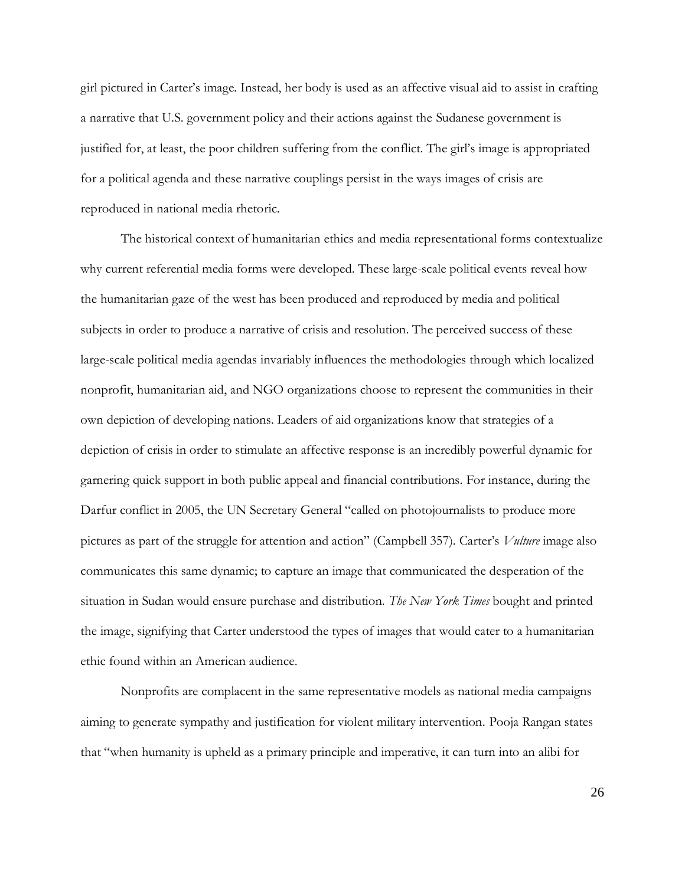girl pictured in Carter's image. Instead, her body is used as an affective visual aid to assist in crafting a narrative that U.S. government policy and their actions against the Sudanese government is justified for, at least, the poor children suffering from the conflict. The girl's image is appropriated for a political agenda and these narrative couplings persist in the ways images of crisis are reproduced in national media rhetoric.

The historical context of humanitarian ethics and media representational forms contextualize why current referential media forms were developed. These large-scale political events reveal how the humanitarian gaze of the west has been produced and reproduced by media and political subjects in order to produce a narrative of crisis and resolution. The perceived success of these large-scale political media agendas invariably influences the methodologies through which localized nonprofit, humanitarian aid, and NGO organizations choose to represent the communities in their own depiction of developing nations. Leaders of aid organizations know that strategies of a depiction of crisis in order to stimulate an affective response is an incredibly powerful dynamic for garnering quick support in both public appeal and financial contributions. For instance, during the Darfur conflict in 2005, the UN Secretary General "called on photojournalists to produce more pictures as part of the struggle for attention and action" (Campbell 357). Carter's *Vulture* image also communicates this same dynamic; to capture an image that communicated the desperation of the situation in Sudan would ensure purchase and distribution. *The New York Times* bought and printed the image, signifying that Carter understood the types of images that would cater to a humanitarian ethic found within an American audience.

Nonprofits are complacent in the same representative models as national media campaigns aiming to generate sympathy and justification for violent military intervention. Pooja Rangan states that "when humanity is upheld as a primary principle and imperative, it can turn into an alibi for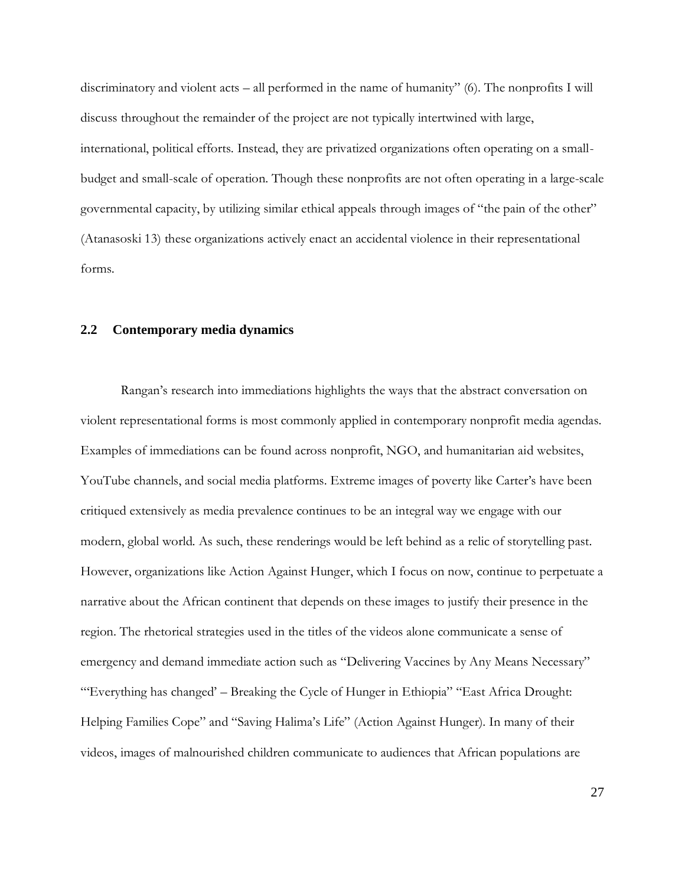discriminatory and violent acts – all performed in the name of humanity" (6). The nonprofits I will discuss throughout the remainder of the project are not typically intertwined with large, international, political efforts. Instead, they are privatized organizations often operating on a smallbudget and small-scale of operation. Though these nonprofits are not often operating in a large-scale governmental capacity, by utilizing similar ethical appeals through images of "the pain of the other" (Atanasoski 13) these organizations actively enact an accidental violence in their representational forms.

### **2.2 Contemporary media dynamics**

Rangan's research into immediations highlights the ways that the abstract conversation on violent representational forms is most commonly applied in contemporary nonprofit media agendas. Examples of immediations can be found across nonprofit, NGO, and humanitarian aid websites, YouTube channels, and social media platforms. Extreme images of poverty like Carter's have been critiqued extensively as media prevalence continues to be an integral way we engage with our modern, global world. As such, these renderings would be left behind as a relic of storytelling past. However, organizations like Action Against Hunger, which I focus on now, continue to perpetuate a narrative about the African continent that depends on these images to justify their presence in the region. The rhetorical strategies used in the titles of the videos alone communicate a sense of emergency and demand immediate action such as "Delivering Vaccines by Any Means Necessary" "'Everything has changed' – Breaking the Cycle of Hunger in Ethiopia" "East Africa Drought: Helping Families Cope" and "Saving Halima's Life" (Action Against Hunger). In many of their videos, images of malnourished children communicate to audiences that African populations are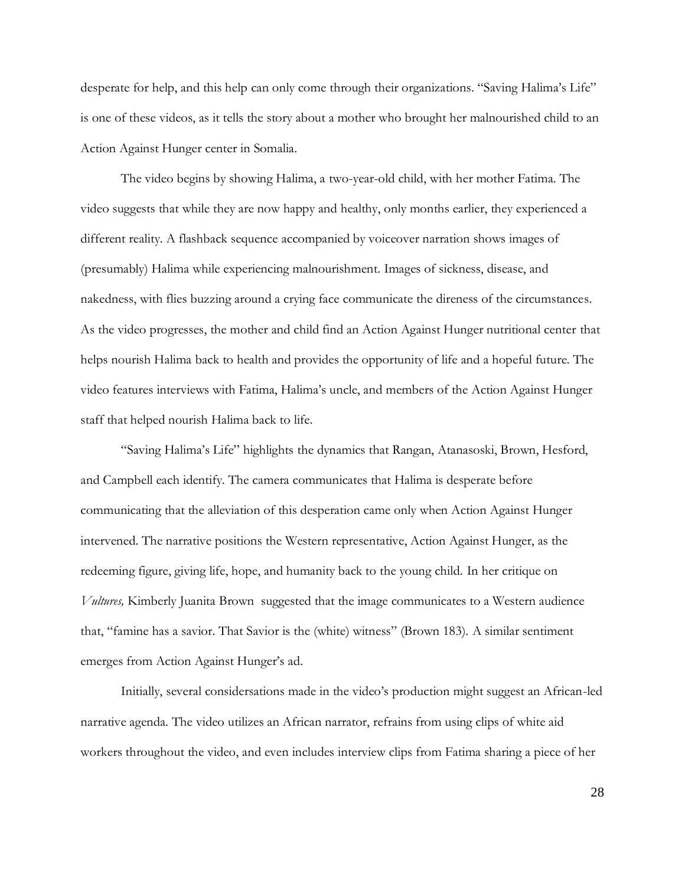desperate for help, and this help can only come through their organizations. "Saving Halima's Life" is one of these videos, as it tells the story about a mother who brought her malnourished child to an Action Against Hunger center in Somalia.

The video begins by showing Halima, a two-year-old child, with her mother Fatima. The video suggests that while they are now happy and healthy, only months earlier, they experienced a different reality. A flashback sequence accompanied by voiceover narration shows images of (presumably) Halima while experiencing malnourishment. Images of sickness, disease, and nakedness, with flies buzzing around a crying face communicate the direness of the circumstances. As the video progresses, the mother and child find an Action Against Hunger nutritional center that helps nourish Halima back to health and provides the opportunity of life and a hopeful future. The video features interviews with Fatima, Halima's uncle, and members of the Action Against Hunger staff that helped nourish Halima back to life.

"Saving Halima's Life" highlights the dynamics that Rangan, Atanasoski, Brown, Hesford, and Campbell each identify. The camera communicates that Halima is desperate before communicating that the alleviation of this desperation came only when Action Against Hunger intervened. The narrative positions the Western representative, Action Against Hunger, as the redeeming figure, giving life, hope, and humanity back to the young child. In her critique on *Vultures,* Kimberly Juanita Brown suggested that the image communicates to a Western audience that, "famine has a savior. That Savior is the (white) witness" (Brown 183). A similar sentiment emerges from Action Against Hunger's ad.

Initially, several considersations made in the video's production might suggest an African-led narrative agenda. The video utilizes an African narrator, refrains from using clips of white aid workers throughout the video, and even includes interview clips from Fatima sharing a piece of her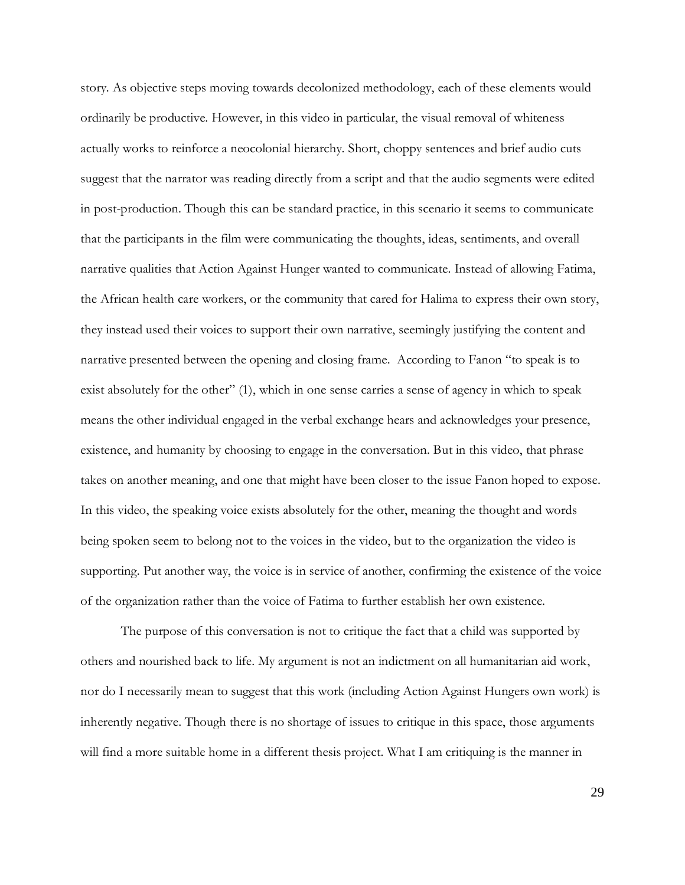story. As objective steps moving towards decolonized methodology, each of these elements would ordinarily be productive. However, in this video in particular, the visual removal of whiteness actually works to reinforce a neocolonial hierarchy. Short, choppy sentences and brief audio cuts suggest that the narrator was reading directly from a script and that the audio segments were edited in post-production. Though this can be standard practice, in this scenario it seems to communicate that the participants in the film were communicating the thoughts, ideas, sentiments, and overall narrative qualities that Action Against Hunger wanted to communicate. Instead of allowing Fatima, the African health care workers, or the community that cared for Halima to express their own story, they instead used their voices to support their own narrative, seemingly justifying the content and narrative presented between the opening and closing frame. According to Fanon "to speak is to exist absolutely for the other" (1), which in one sense carries a sense of agency in which to speak means the other individual engaged in the verbal exchange hears and acknowledges your presence, existence, and humanity by choosing to engage in the conversation. But in this video, that phrase takes on another meaning, and one that might have been closer to the issue Fanon hoped to expose. In this video, the speaking voice exists absolutely for the other, meaning the thought and words being spoken seem to belong not to the voices in the video, but to the organization the video is supporting. Put another way, the voice is in service of another, confirming the existence of the voice of the organization rather than the voice of Fatima to further establish her own existence.

The purpose of this conversation is not to critique the fact that a child was supported by others and nourished back to life. My argument is not an indictment on all humanitarian aid work, nor do I necessarily mean to suggest that this work (including Action Against Hungers own work) is inherently negative. Though there is no shortage of issues to critique in this space, those arguments will find a more suitable home in a different thesis project. What I am critiquing is the manner in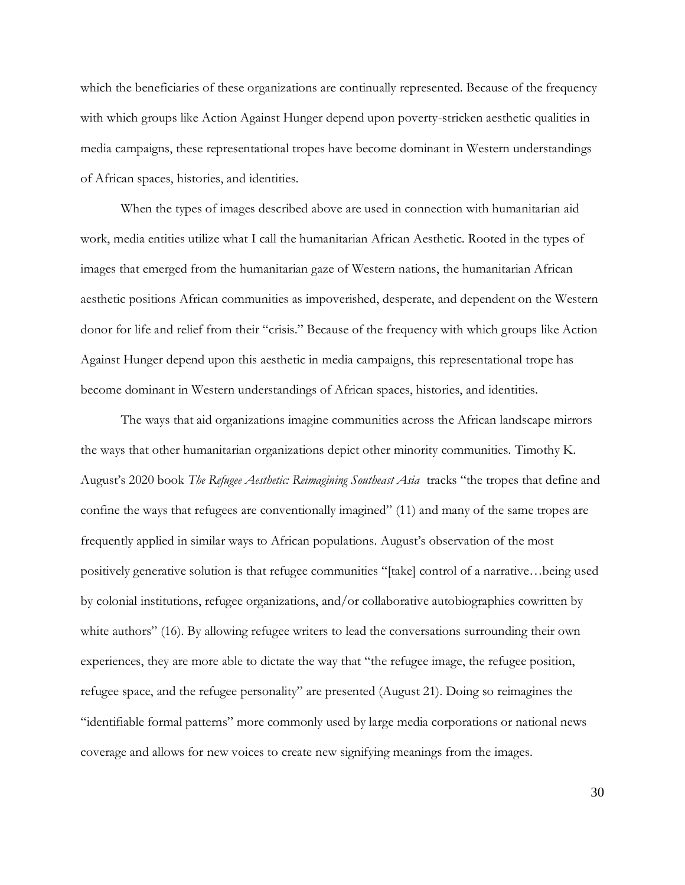which the beneficiaries of these organizations are continually represented. Because of the frequency with which groups like Action Against Hunger depend upon poverty-stricken aesthetic qualities in media campaigns, these representational tropes have become dominant in Western understandings of African spaces, histories, and identities.

When the types of images described above are used in connection with humanitarian aid work, media entities utilize what I call the humanitarian African Aesthetic. Rooted in the types of images that emerged from the humanitarian gaze of Western nations, the humanitarian African aesthetic positions African communities as impoverished, desperate, and dependent on the Western donor for life and relief from their "crisis." Because of the frequency with which groups like Action Against Hunger depend upon this aesthetic in media campaigns, this representational trope has become dominant in Western understandings of African spaces, histories, and identities.

The ways that aid organizations imagine communities across the African landscape mirrors the ways that other humanitarian organizations depict other minority communities. Timothy K. August's 2020 book *The Refugee Aesthetic: Reimagining Southeast Asia* tracks "the tropes that define and confine the ways that refugees are conventionally imagined" (11) and many of the same tropes are frequently applied in similar ways to African populations. August's observation of the most positively generative solution is that refugee communities "[take] control of a narrative…being used by colonial institutions, refugee organizations, and/or collaborative autobiographies cowritten by white authors" (16). By allowing refugee writers to lead the conversations surrounding their own experiences, they are more able to dictate the way that "the refugee image, the refugee position, refugee space, and the refugee personality" are presented (August 21). Doing so reimagines the "identifiable formal patterns" more commonly used by large media corporations or national news coverage and allows for new voices to create new signifying meanings from the images.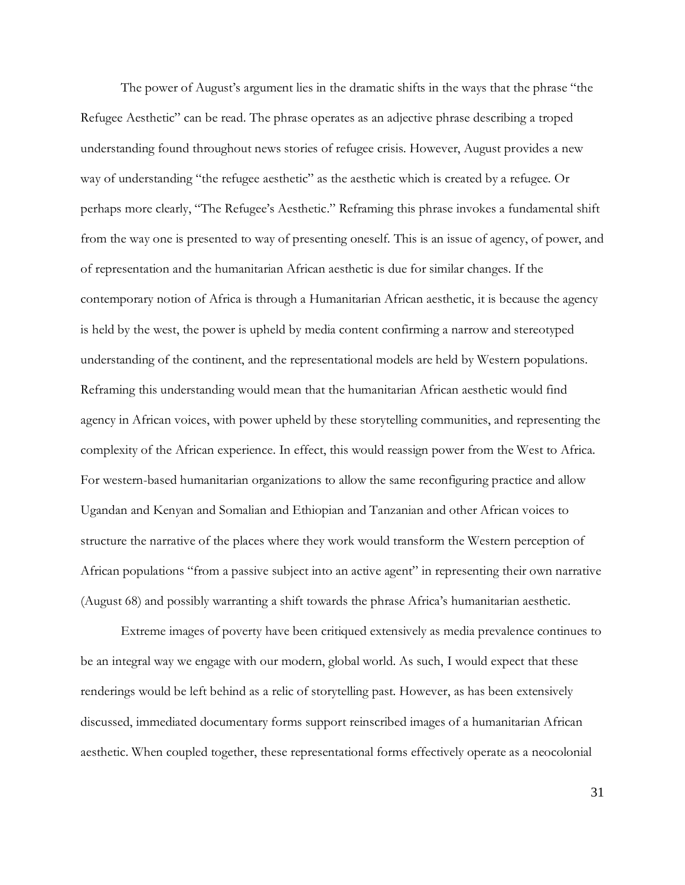The power of August's argument lies in the dramatic shifts in the ways that the phrase "the Refugee Aesthetic" can be read. The phrase operates as an adjective phrase describing a troped understanding found throughout news stories of refugee crisis. However, August provides a new way of understanding "the refugee aesthetic" as the aesthetic which is created by a refugee. Or perhaps more clearly, "The Refugee's Aesthetic." Reframing this phrase invokes a fundamental shift from the way one is presented to way of presenting oneself. This is an issue of agency, of power, and of representation and the humanitarian African aesthetic is due for similar changes. If the contemporary notion of Africa is through a Humanitarian African aesthetic, it is because the agency is held by the west, the power is upheld by media content confirming a narrow and stereotyped understanding of the continent, and the representational models are held by Western populations. Reframing this understanding would mean that the humanitarian African aesthetic would find agency in African voices, with power upheld by these storytelling communities, and representing the complexity of the African experience. In effect, this would reassign power from the West to Africa. For western-based humanitarian organizations to allow the same reconfiguring practice and allow Ugandan and Kenyan and Somalian and Ethiopian and Tanzanian and other African voices to structure the narrative of the places where they work would transform the Western perception of African populations "from a passive subject into an active agent" in representing their own narrative (August 68) and possibly warranting a shift towards the phrase Africa's humanitarian aesthetic.

Extreme images of poverty have been critiqued extensively as media prevalence continues to be an integral way we engage with our modern, global world. As such, I would expect that these renderings would be left behind as a relic of storytelling past. However, as has been extensively discussed, immediated documentary forms support reinscribed images of a humanitarian African aesthetic. When coupled together, these representational forms effectively operate as a neocolonial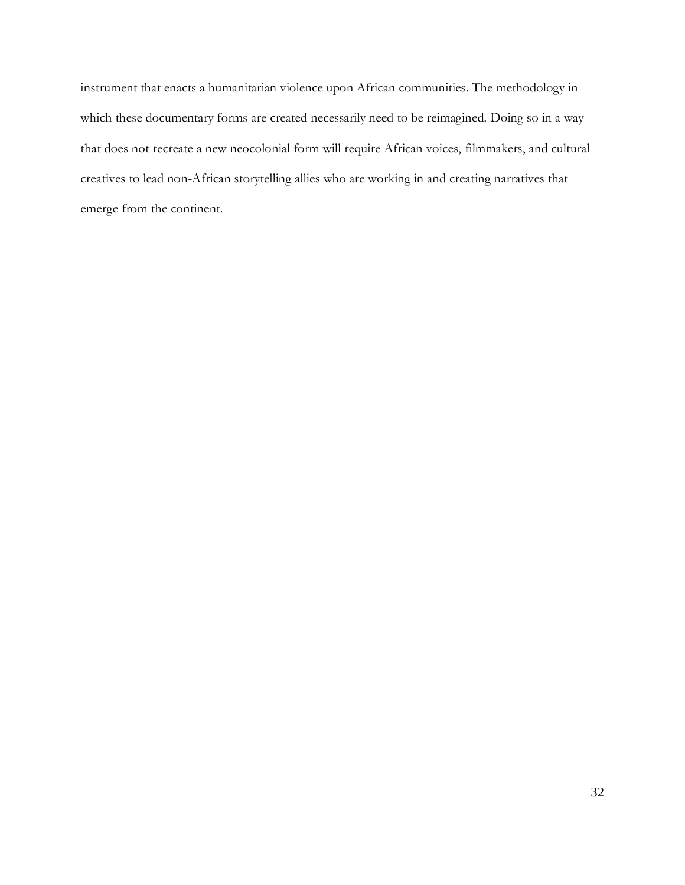instrument that enacts a humanitarian violence upon African communities. The methodology in which these documentary forms are created necessarily need to be reimagined. Doing so in a way that does not recreate a new neocolonial form will require African voices, filmmakers, and cultural creatives to lead non-African storytelling allies who are working in and creating narratives that emerge from the continent.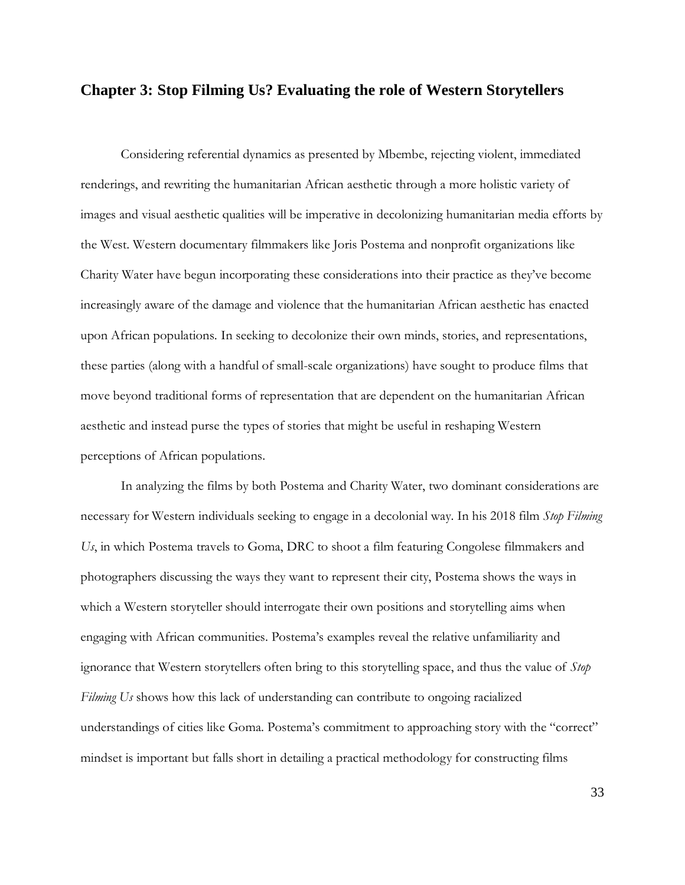## **Chapter 3: Stop Filming Us? Evaluating the role of Western Storytellers**

Considering referential dynamics as presented by Mbembe, rejecting violent, immediated renderings, and rewriting the humanitarian African aesthetic through a more holistic variety of images and visual aesthetic qualities will be imperative in decolonizing humanitarian media efforts by the West. Western documentary filmmakers like Joris Postema and nonprofit organizations like Charity Water have begun incorporating these considerations into their practice as they've become increasingly aware of the damage and violence that the humanitarian African aesthetic has enacted upon African populations. In seeking to decolonize their own minds, stories, and representations, these parties (along with a handful of small-scale organizations) have sought to produce films that move beyond traditional forms of representation that are dependent on the humanitarian African aesthetic and instead purse the types of stories that might be useful in reshaping Western perceptions of African populations.

In analyzing the films by both Postema and Charity Water, two dominant considerations are necessary for Western individuals seeking to engage in a decolonial way. In his 2018 film *Stop Filming Us*, in which Postema travels to Goma, DRC to shoot a film featuring Congolese filmmakers and photographers discussing the ways they want to represent their city, Postema shows the ways in which a Western storyteller should interrogate their own positions and storytelling aims when engaging with African communities. Postema's examples reveal the relative unfamiliarity and ignorance that Western storytellers often bring to this storytelling space, and thus the value of *Stop Filming Us* shows how this lack of understanding can contribute to ongoing racialized understandings of cities like Goma. Postema's commitment to approaching story with the "correct" mindset is important but falls short in detailing a practical methodology for constructing films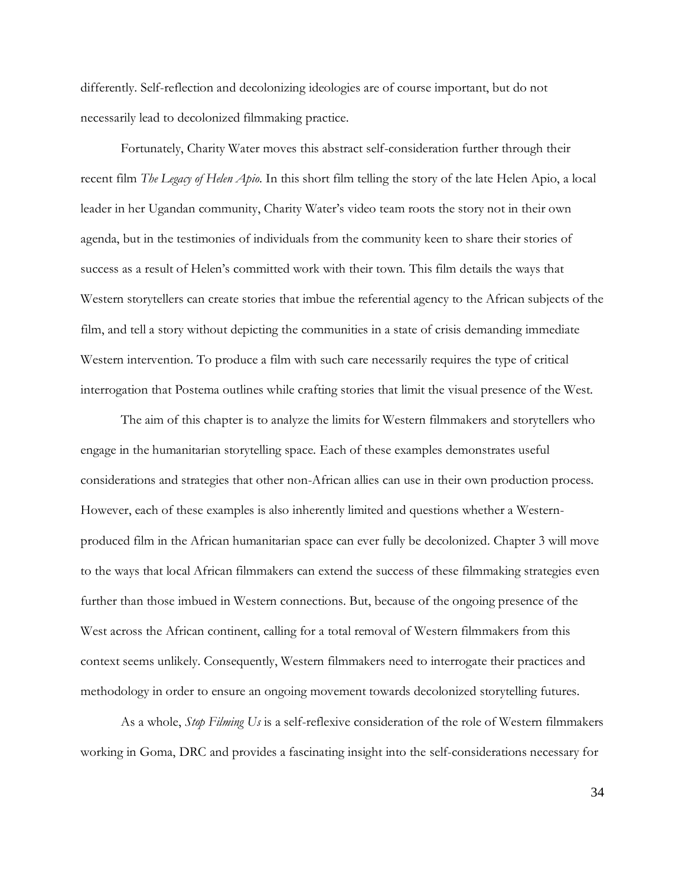differently. Self-reflection and decolonizing ideologies are of course important, but do not necessarily lead to decolonized filmmaking practice.

Fortunately, Charity Water moves this abstract self-consideration further through their recent film *The Legacy of Helen Apio*. In this short film telling the story of the late Helen Apio, a local leader in her Ugandan community, Charity Water's video team roots the story not in their own agenda, but in the testimonies of individuals from the community keen to share their stories of success as a result of Helen's committed work with their town. This film details the ways that Western storytellers can create stories that imbue the referential agency to the African subjects of the film, and tell a story without depicting the communities in a state of crisis demanding immediate Western intervention. To produce a film with such care necessarily requires the type of critical interrogation that Postema outlines while crafting stories that limit the visual presence of the West.

The aim of this chapter is to analyze the limits for Western filmmakers and storytellers who engage in the humanitarian storytelling space. Each of these examples demonstrates useful considerations and strategies that other non-African allies can use in their own production process. However, each of these examples is also inherently limited and questions whether a Westernproduced film in the African humanitarian space can ever fully be decolonized. Chapter 3 will move to the ways that local African filmmakers can extend the success of these filmmaking strategies even further than those imbued in Western connections. But, because of the ongoing presence of the West across the African continent, calling for a total removal of Western filmmakers from this context seems unlikely. Consequently, Western filmmakers need to interrogate their practices and methodology in order to ensure an ongoing movement towards decolonized storytelling futures.

As a whole, *Stop Filming Us* is a self-reflexive consideration of the role of Western filmmakers working in Goma, DRC and provides a fascinating insight into the self-considerations necessary for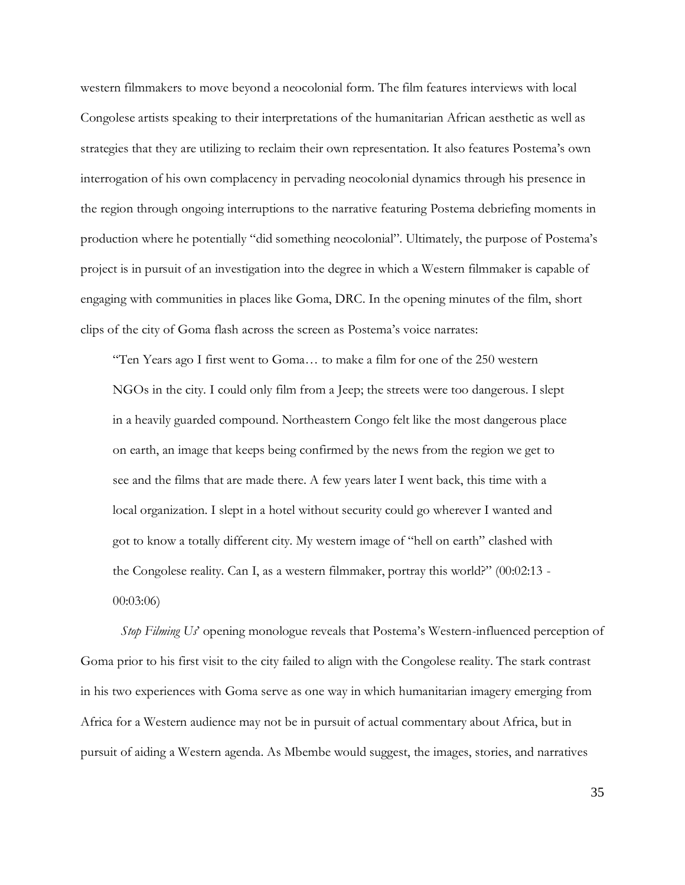western filmmakers to move beyond a neocolonial form. The film features interviews with local Congolese artists speaking to their interpretations of the humanitarian African aesthetic as well as strategies that they are utilizing to reclaim their own representation. It also features Postema's own interrogation of his own complacency in pervading neocolonial dynamics through his presence in the region through ongoing interruptions to the narrative featuring Postema debriefing moments in production where he potentially "did something neocolonial". Ultimately, the purpose of Postema's project is in pursuit of an investigation into the degree in which a Western filmmaker is capable of engaging with communities in places like Goma, DRC. In the opening minutes of the film, short clips of the city of Goma flash across the screen as Postema's voice narrates:

"Ten Years ago I first went to Goma… to make a film for one of the 250 western NGOs in the city. I could only film from a Jeep; the streets were too dangerous. I slept in a heavily guarded compound. Northeastern Congo felt like the most dangerous place on earth, an image that keeps being confirmed by the news from the region we get to see and the films that are made there. A few years later I went back, this time with a local organization. I slept in a hotel without security could go wherever I wanted and got to know a totally different city. My western image of "hell on earth" clashed with the Congolese reality. Can I, as a western filmmaker, portray this world?" (00:02:13 - 00:03:06)

*Stop Filming Us*' opening monologue reveals that Postema's Western-influenced perception of Goma prior to his first visit to the city failed to align with the Congolese reality. The stark contrast in his two experiences with Goma serve as one way in which humanitarian imagery emerging from Africa for a Western audience may not be in pursuit of actual commentary about Africa, but in pursuit of aiding a Western agenda. As Mbembe would suggest, the images, stories, and narratives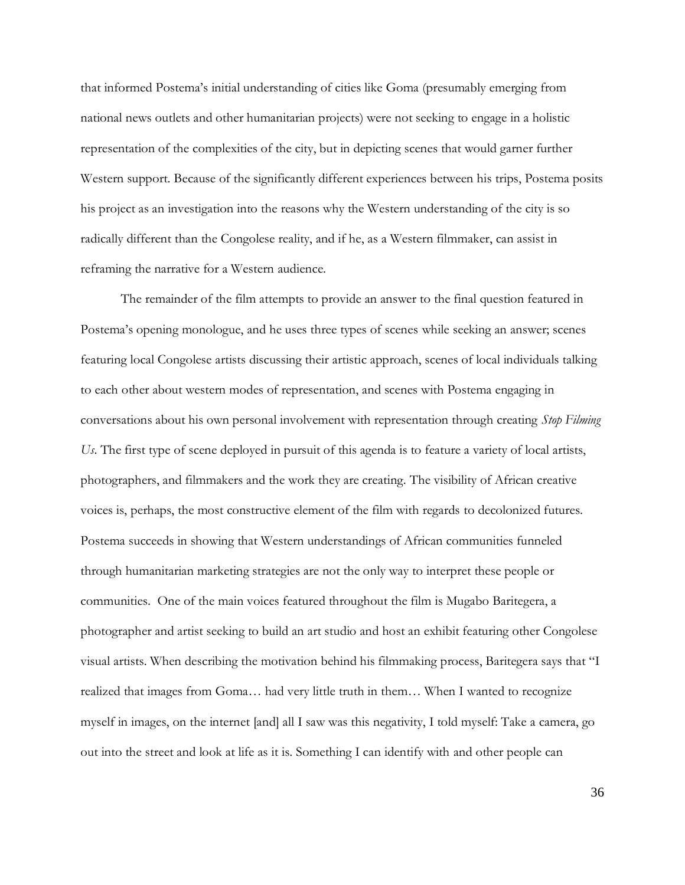that informed Postema's initial understanding of cities like Goma (presumably emerging from national news outlets and other humanitarian projects) were not seeking to engage in a holistic representation of the complexities of the city, but in depicting scenes that would garner further Western support. Because of the significantly different experiences between his trips, Postema posits his project as an investigation into the reasons why the Western understanding of the city is so radically different than the Congolese reality, and if he, as a Western filmmaker, can assist in reframing the narrative for a Western audience.

The remainder of the film attempts to provide an answer to the final question featured in Postema's opening monologue, and he uses three types of scenes while seeking an answer; scenes featuring local Congolese artists discussing their artistic approach, scenes of local individuals talking to each other about western modes of representation, and scenes with Postema engaging in conversations about his own personal involvement with representation through creating *Stop Filming Us*. The first type of scene deployed in pursuit of this agenda is to feature a variety of local artists, photographers, and filmmakers and the work they are creating. The visibility of African creative voices is, perhaps, the most constructive element of the film with regards to decolonized futures. Postema succeeds in showing that Western understandings of African communities funneled through humanitarian marketing strategies are not the only way to interpret these people or communities. One of the main voices featured throughout the film is Mugabo Baritegera, a photographer and artist seeking to build an art studio and host an exhibit featuring other Congolese visual artists. When describing the motivation behind his filmmaking process, Baritegera says that "I realized that images from Goma… had very little truth in them… When I wanted to recognize myself in images, on the internet [and] all I saw was this negativity, I told myself: Take a camera, go out into the street and look at life as it is. Something I can identify with and other people can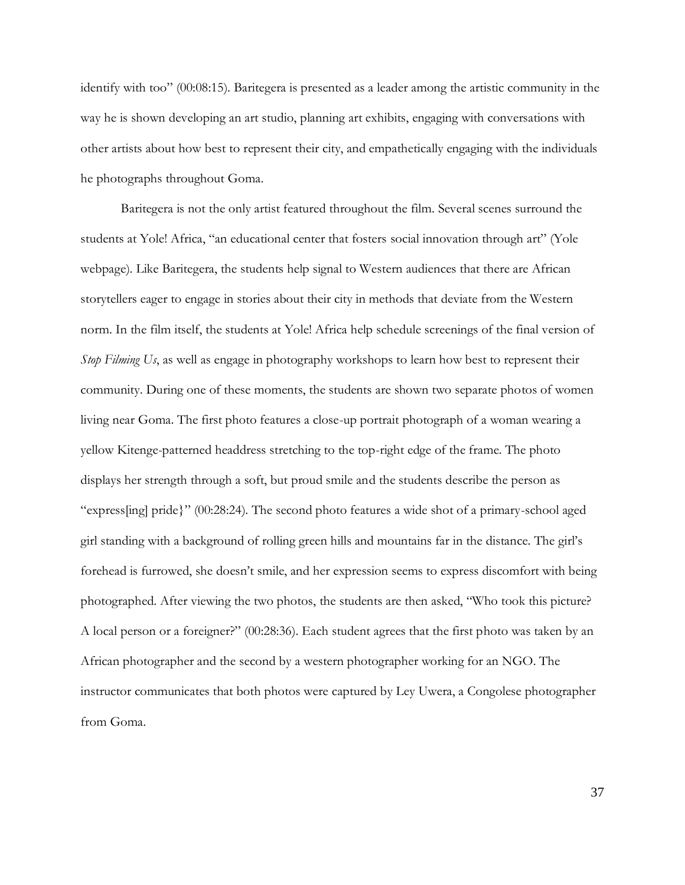identify with too" (00:08:15). Baritegera is presented as a leader among the artistic community in the way he is shown developing an art studio, planning art exhibits, engaging with conversations with other artists about how best to represent their city, and empathetically engaging with the individuals he photographs throughout Goma.

Baritegera is not the only artist featured throughout the film. Several scenes surround the students at Yole! Africa, "an educational center that fosters social innovation through art" (Yole webpage). Like Baritegera, the students help signal to Western audiences that there are African storytellers eager to engage in stories about their city in methods that deviate from the Western norm. In the film itself, the students at Yole! Africa help schedule screenings of the final version of *Stop Filming Us*, as well as engage in photography workshops to learn how best to represent their community. During one of these moments, the students are shown two separate photos of women living near Goma. The first photo features a close-up portrait photograph of a woman wearing a yellow Kitenge-patterned headdress stretching to the top-right edge of the frame. The photo displays her strength through a soft, but proud smile and the students describe the person as "express[ing] pride}" (00:28:24). The second photo features a wide shot of a primary-school aged girl standing with a background of rolling green hills and mountains far in the distance. The girl's forehead is furrowed, she doesn't smile, and her expression seems to express discomfort with being photographed. After viewing the two photos, the students are then asked, "Who took this picture? A local person or a foreigner?" (00:28:36). Each student agrees that the first photo was taken by an African photographer and the second by a western photographer working for an NGO. The instructor communicates that both photos were captured by Ley Uwera, a Congolese photographer from Goma.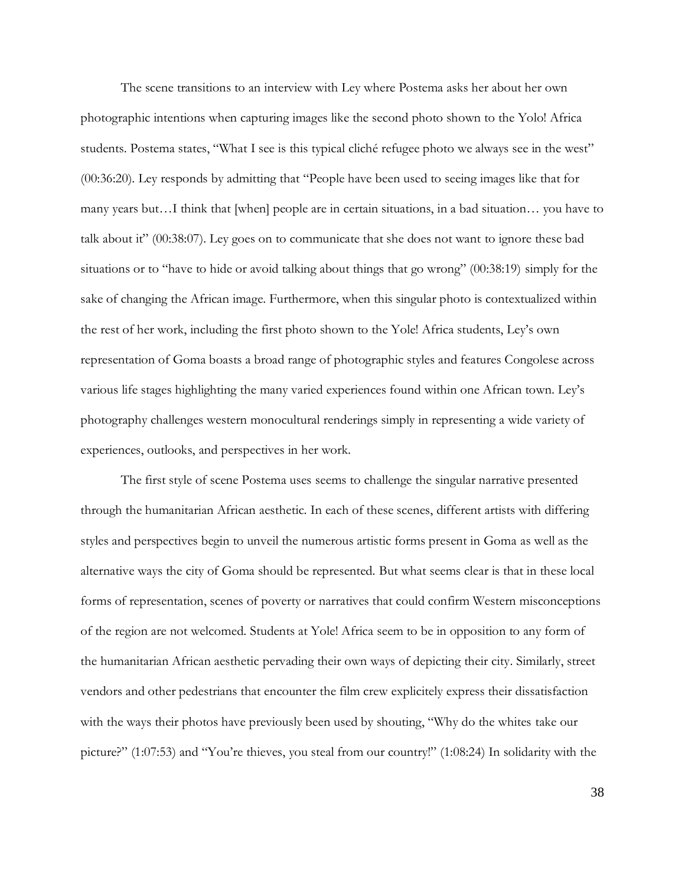The scene transitions to an interview with Ley where Postema asks her about her own photographic intentions when capturing images like the second photo shown to the Yolo! Africa students. Postema states, "What I see is this typical cliché refugee photo we always see in the west" (00:36:20). Ley responds by admitting that "People have been used to seeing images like that for many years but…I think that [when] people are in certain situations, in a bad situation… you have to talk about it" (00:38:07). Ley goes on to communicate that she does not want to ignore these bad situations or to "have to hide or avoid talking about things that go wrong" (00:38:19) simply for the sake of changing the African image. Furthermore, when this singular photo is contextualized within the rest of her work, including the first photo shown to the Yole! Africa students, Ley's own representation of Goma boasts a broad range of photographic styles and features Congolese across various life stages highlighting the many varied experiences found within one African town. Ley's photography challenges western monocultural renderings simply in representing a wide variety of experiences, outlooks, and perspectives in her work.

The first style of scene Postema uses seems to challenge the singular narrative presented through the humanitarian African aesthetic. In each of these scenes, different artists with differing styles and perspectives begin to unveil the numerous artistic forms present in Goma as well as the alternative ways the city of Goma should be represented. But what seems clear is that in these local forms of representation, scenes of poverty or narratives that could confirm Western misconceptions of the region are not welcomed. Students at Yole! Africa seem to be in opposition to any form of the humanitarian African aesthetic pervading their own ways of depicting their city. Similarly, street vendors and other pedestrians that encounter the film crew explicitely express their dissatisfaction with the ways their photos have previously been used by shouting, "Why do the whites take our picture?" (1:07:53) and "You're thieves, you steal from our country!" (1:08:24) In solidarity with the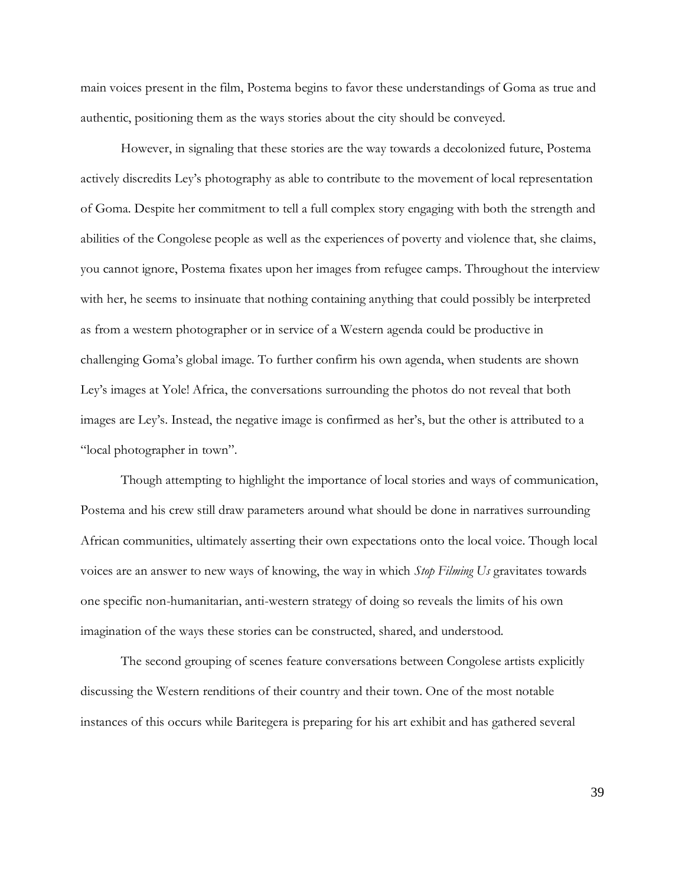main voices present in the film, Postema begins to favor these understandings of Goma as true and authentic, positioning them as the ways stories about the city should be conveyed.

However, in signaling that these stories are the way towards a decolonized future, Postema actively discredits Ley's photography as able to contribute to the movement of local representation of Goma. Despite her commitment to tell a full complex story engaging with both the strength and abilities of the Congolese people as well as the experiences of poverty and violence that, she claims, you cannot ignore, Postema fixates upon her images from refugee camps. Throughout the interview with her, he seems to insinuate that nothing containing anything that could possibly be interpreted as from a western photographer or in service of a Western agenda could be productive in challenging Goma's global image. To further confirm his own agenda, when students are shown Ley's images at Yole! Africa, the conversations surrounding the photos do not reveal that both images are Ley's. Instead, the negative image is confirmed as her's, but the other is attributed to a "local photographer in town".

Though attempting to highlight the importance of local stories and ways of communication, Postema and his crew still draw parameters around what should be done in narratives surrounding African communities, ultimately asserting their own expectations onto the local voice. Though local voices are an answer to new ways of knowing, the way in which *Stop Filming Us* gravitates towards one specific non-humanitarian, anti-western strategy of doing so reveals the limits of his own imagination of the ways these stories can be constructed, shared, and understood.

The second grouping of scenes feature conversations between Congolese artists explicitly discussing the Western renditions of their country and their town. One of the most notable instances of this occurs while Baritegera is preparing for his art exhibit and has gathered several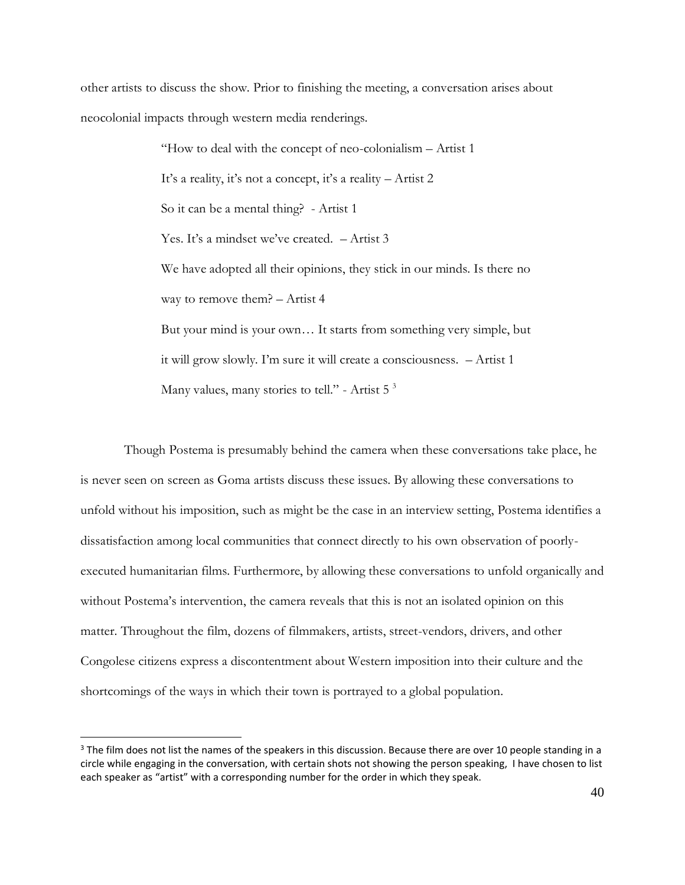other artists to discuss the show. Prior to finishing the meeting, a conversation arises about neocolonial impacts through western media renderings.

> "How to deal with the concept of neo-colonialism – Artist 1 It's a reality, it's not a concept, it's a reality – Artist 2 So it can be a mental thing? - Artist 1 Yes. It's a mindset we've created. – Artist 3 We have adopted all their opinions, they stick in our minds. Is there no way to remove them? – Artist 4 But your mind is your own… It starts from something very simple, but it will grow slowly. I'm sure it will create a consciousness. – Artist 1 Many values, many stories to tell." - Artist  $5<sup>3</sup>$

Though Postema is presumably behind the camera when these conversations take place, he is never seen on screen as Goma artists discuss these issues. By allowing these conversations to unfold without his imposition, such as might be the case in an interview setting, Postema identifies a dissatisfaction among local communities that connect directly to his own observation of poorlyexecuted humanitarian films. Furthermore, by allowing these conversations to unfold organically and without Postema's intervention, the camera reveals that this is not an isolated opinion on this matter. Throughout the film, dozens of filmmakers, artists, street-vendors, drivers, and other Congolese citizens express a discontentment about Western imposition into their culture and the shortcomings of the ways in which their town is portrayed to a global population.

<sup>&</sup>lt;sup>3</sup> The film does not list the names of the speakers in this discussion. Because there are over 10 people standing in a circle while engaging in the conversation, with certain shots not showing the person speaking, I have chosen to list each speaker as "artist" with a corresponding number for the order in which they speak.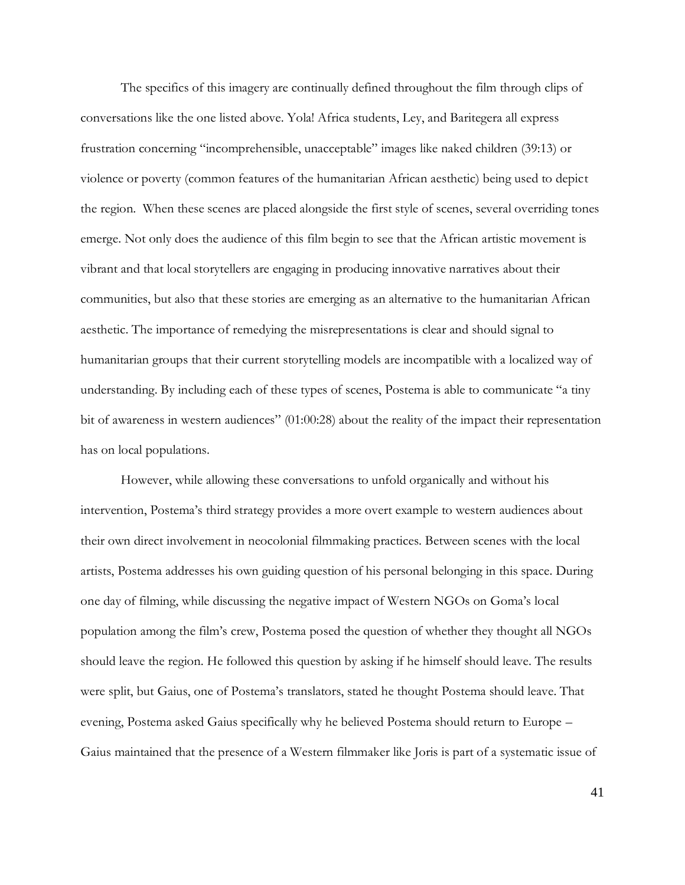The specifics of this imagery are continually defined throughout the film through clips of conversations like the one listed above. Yola! Africa students, Ley, and Baritegera all express frustration concerning "incomprehensible, unacceptable" images like naked children (39:13) or violence or poverty (common features of the humanitarian African aesthetic) being used to depict the region. When these scenes are placed alongside the first style of scenes, several overriding tones emerge. Not only does the audience of this film begin to see that the African artistic movement is vibrant and that local storytellers are engaging in producing innovative narratives about their communities, but also that these stories are emerging as an alternative to the humanitarian African aesthetic. The importance of remedying the misrepresentations is clear and should signal to humanitarian groups that their current storytelling models are incompatible with a localized way of understanding. By including each of these types of scenes, Postema is able to communicate "a tiny bit of awareness in western audiences" (01:00:28) about the reality of the impact their representation has on local populations.

However, while allowing these conversations to unfold organically and without his intervention, Postema's third strategy provides a more overt example to western audiences about their own direct involvement in neocolonial filmmaking practices. Between scenes with the local artists, Postema addresses his own guiding question of his personal belonging in this space. During one day of filming, while discussing the negative impact of Western NGOs on Goma's local population among the film's crew, Postema posed the question of whether they thought all NGOs should leave the region. He followed this question by asking if he himself should leave. The results were split, but Gaius, one of Postema's translators, stated he thought Postema should leave. That evening, Postema asked Gaius specifically why he believed Postema should return to Europe – Gaius maintained that the presence of a Western filmmaker like Joris is part of a systematic issue of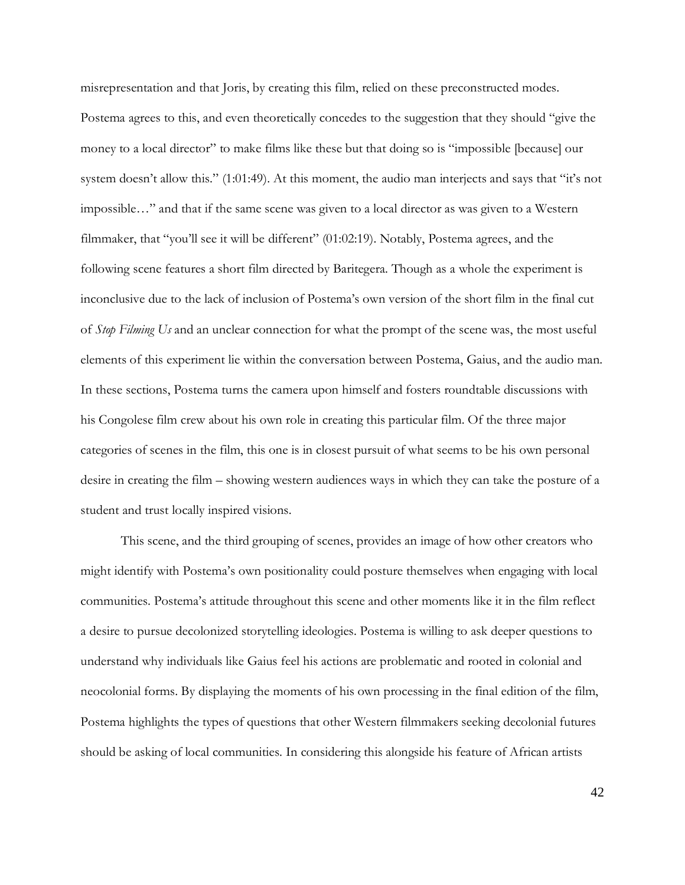misrepresentation and that Joris, by creating this film, relied on these preconstructed modes. Postema agrees to this, and even theoretically concedes to the suggestion that they should "give the money to a local director" to make films like these but that doing so is "impossible [because] our system doesn't allow this." (1:01:49). At this moment, the audio man interjects and says that "it's not impossible…" and that if the same scene was given to a local director as was given to a Western filmmaker, that "you'll see it will be different" (01:02:19). Notably, Postema agrees, and the following scene features a short film directed by Baritegera. Though as a whole the experiment is inconclusive due to the lack of inclusion of Postema's own version of the short film in the final cut of *Stop Filming Us* and an unclear connection for what the prompt of the scene was, the most useful elements of this experiment lie within the conversation between Postema, Gaius, and the audio man. In these sections, Postema turns the camera upon himself and fosters roundtable discussions with his Congolese film crew about his own role in creating this particular film. Of the three major categories of scenes in the film, this one is in closest pursuit of what seems to be his own personal desire in creating the film – showing western audiences ways in which they can take the posture of a student and trust locally inspired visions.

This scene, and the third grouping of scenes, provides an image of how other creators who might identify with Postema's own positionality could posture themselves when engaging with local communities. Postema's attitude throughout this scene and other moments like it in the film reflect a desire to pursue decolonized storytelling ideologies. Postema is willing to ask deeper questions to understand why individuals like Gaius feel his actions are problematic and rooted in colonial and neocolonial forms. By displaying the moments of his own processing in the final edition of the film, Postema highlights the types of questions that other Western filmmakers seeking decolonial futures should be asking of local communities. In considering this alongside his feature of African artists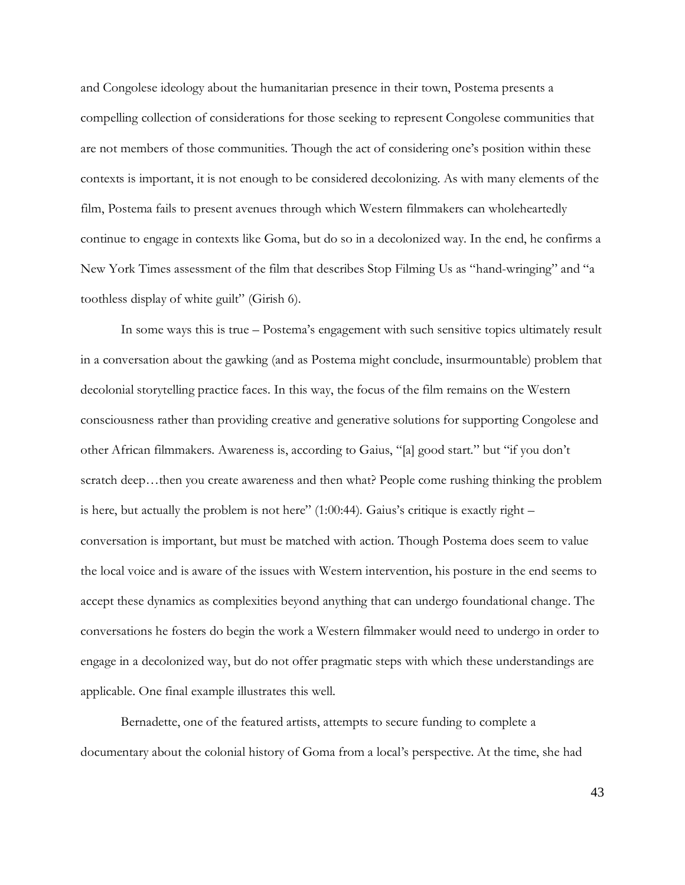and Congolese ideology about the humanitarian presence in their town, Postema presents a compelling collection of considerations for those seeking to represent Congolese communities that are not members of those communities. Though the act of considering one's position within these contexts is important, it is not enough to be considered decolonizing. As with many elements of the film, Postema fails to present avenues through which Western filmmakers can wholeheartedly continue to engage in contexts like Goma, but do so in a decolonized way. In the end, he confirms a New York Times assessment of the film that describes Stop Filming Us as "hand-wringing" and "a toothless display of white guilt" (Girish 6).

In some ways this is true – Postema's engagement with such sensitive topics ultimately result in a conversation about the gawking (and as Postema might conclude, insurmountable) problem that decolonial storytelling practice faces. In this way, the focus of the film remains on the Western consciousness rather than providing creative and generative solutions for supporting Congolese and other African filmmakers. Awareness is, according to Gaius, "[a] good start." but "if you don't scratch deep...then you create awareness and then what? People come rushing thinking the problem is here, but actually the problem is not here"  $(1:00:44)$ . Gaius's critique is exactly right – conversation is important, but must be matched with action. Though Postema does seem to value the local voice and is aware of the issues with Western intervention, his posture in the end seems to accept these dynamics as complexities beyond anything that can undergo foundational change. The conversations he fosters do begin the work a Western filmmaker would need to undergo in order to engage in a decolonized way, but do not offer pragmatic steps with which these understandings are applicable. One final example illustrates this well.

Bernadette, one of the featured artists, attempts to secure funding to complete a documentary about the colonial history of Goma from a local's perspective. At the time, she had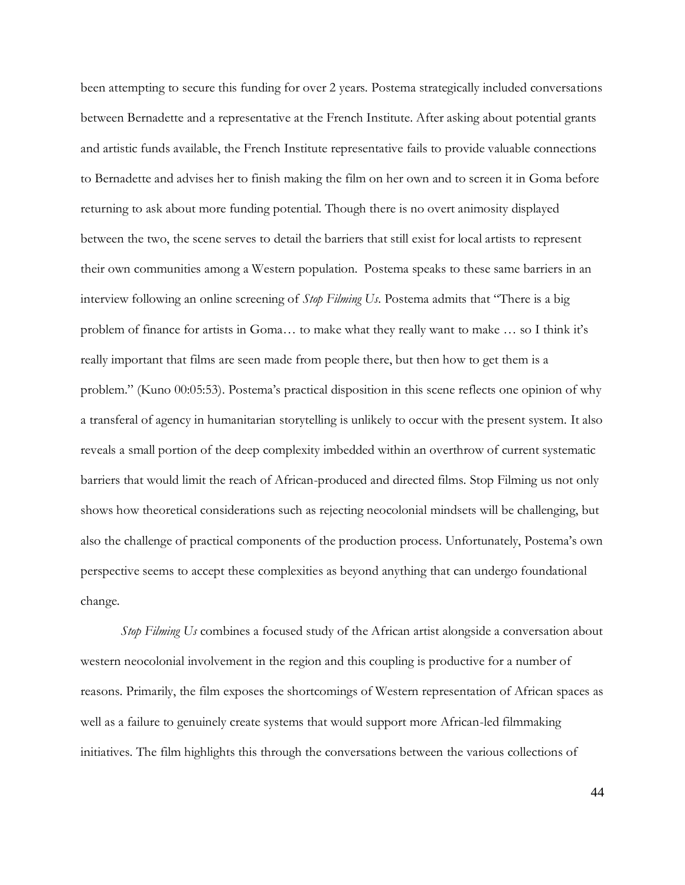been attempting to secure this funding for over 2 years. Postema strategically included conversations between Bernadette and a representative at the French Institute. After asking about potential grants and artistic funds available, the French Institute representative fails to provide valuable connections to Bernadette and advises her to finish making the film on her own and to screen it in Goma before returning to ask about more funding potential. Though there is no overt animosity displayed between the two, the scene serves to detail the barriers that still exist for local artists to represent their own communities among a Western population. Postema speaks to these same barriers in an interview following an online screening of *Stop Filming Us*. Postema admits that "There is a big problem of finance for artists in Goma… to make what they really want to make … so I think it's really important that films are seen made from people there, but then how to get them is a problem." (Kuno 00:05:53). Postema's practical disposition in this scene reflects one opinion of why a transferal of agency in humanitarian storytelling is unlikely to occur with the present system. It also reveals a small portion of the deep complexity imbedded within an overthrow of current systematic barriers that would limit the reach of African-produced and directed films. Stop Filming us not only shows how theoretical considerations such as rejecting neocolonial mindsets will be challenging, but also the challenge of practical components of the production process. Unfortunately, Postema's own perspective seems to accept these complexities as beyond anything that can undergo foundational change.

*Stop Filming Us* combines a focused study of the African artist alongside a conversation about western neocolonial involvement in the region and this coupling is productive for a number of reasons. Primarily, the film exposes the shortcomings of Western representation of African spaces as well as a failure to genuinely create systems that would support more African-led filmmaking initiatives. The film highlights this through the conversations between the various collections of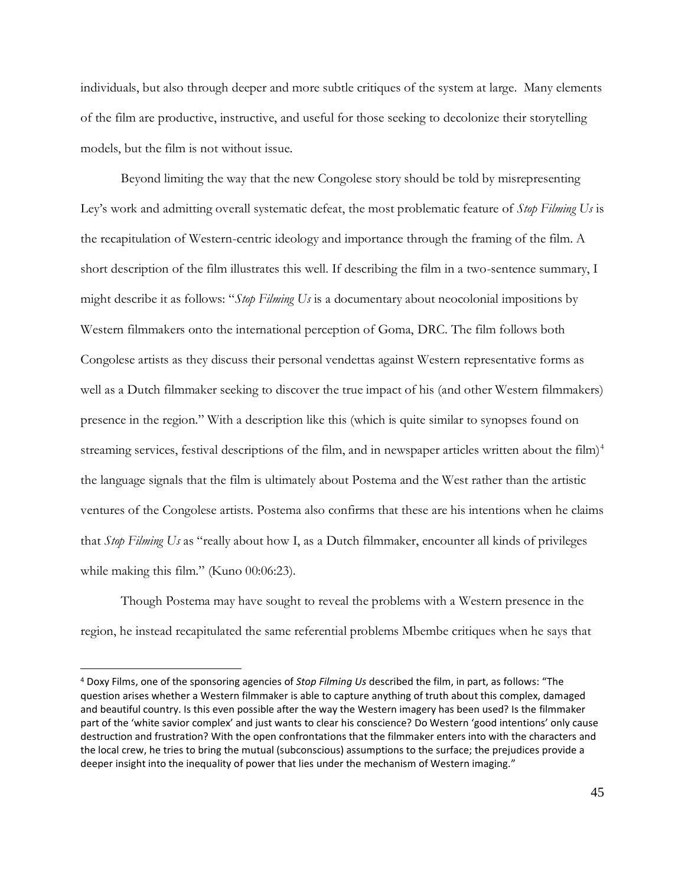individuals, but also through deeper and more subtle critiques of the system at large. Many elements of the film are productive, instructive, and useful for those seeking to decolonize their storytelling models, but the film is not without issue.

Beyond limiting the way that the new Congolese story should be told by misrepresenting Ley's work and admitting overall systematic defeat, the most problematic feature of *Stop Filming Us* is the recapitulation of Western-centric ideology and importance through the framing of the film. A short description of the film illustrates this well. If describing the film in a two-sentence summary, I might describe it as follows: "*Stop Filming Us* is a documentary about neocolonial impositions by Western filmmakers onto the international perception of Goma, DRC. The film follows both Congolese artists as they discuss their personal vendettas against Western representative forms as well as a Dutch filmmaker seeking to discover the true impact of his (and other Western filmmakers) presence in the region." With a description like this (which is quite similar to synopses found on streaming services, festival descriptions of the film, and in newspaper articles written about the film)<sup>4</sup> the language signals that the film is ultimately about Postema and the West rather than the artistic ventures of the Congolese artists. Postema also confirms that these are his intentions when he claims that *Stop Filming Us* as "really about how I, as a Dutch filmmaker, encounter all kinds of privileges while making this film." (Kuno 00:06:23).

Though Postema may have sought to reveal the problems with a Western presence in the region, he instead recapitulated the same referential problems Mbembe critiques when he says that

<sup>4</sup> Doxy Films, one of the sponsoring agencies of *Stop Filming Us* described the film, in part, as follows: "The question arises whether a Western filmmaker is able to capture anything of truth about this complex, damaged and beautiful country. Is this even possible after the way the Western imagery has been used? Is the filmmaker part of the 'white savior complex' and just wants to clear his conscience? Do Western 'good intentions' only cause destruction and frustration? With the open confrontations that the filmmaker enters into with the characters and the local crew, he tries to bring the mutual (subconscious) assumptions to the surface; the prejudices provide a deeper insight into the inequality of power that lies under the mechanism of Western imaging."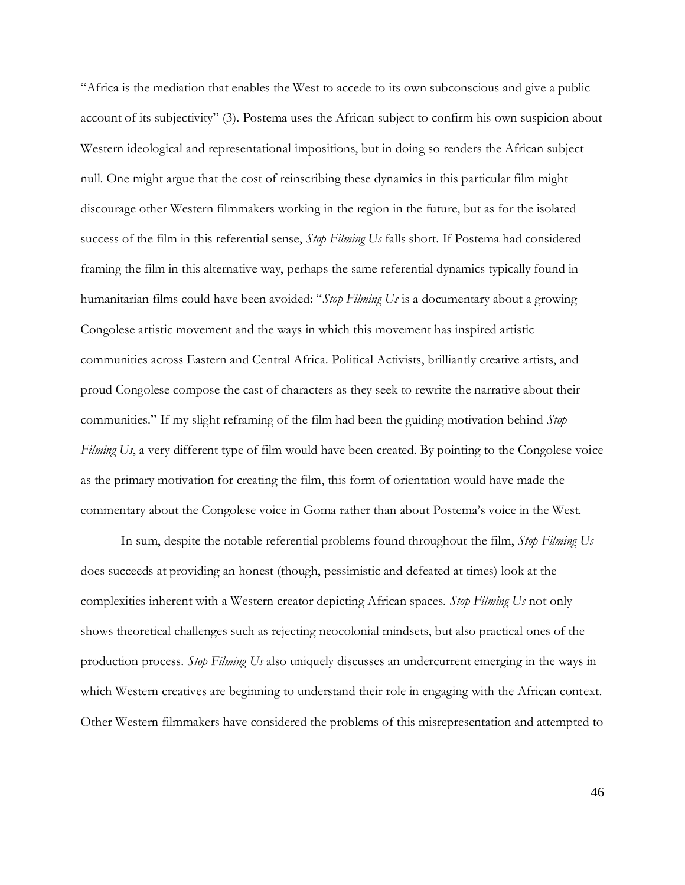"Africa is the mediation that enables the West to accede to its own subconscious and give a public account of its subjectivity" (3). Postema uses the African subject to confirm his own suspicion about Western ideological and representational impositions, but in doing so renders the African subject null. One might argue that the cost of reinscribing these dynamics in this particular film might discourage other Western filmmakers working in the region in the future, but as for the isolated success of the film in this referential sense, *Stop Filming Us* falls short. If Postema had considered framing the film in this alternative way, perhaps the same referential dynamics typically found in humanitarian films could have been avoided: "*Stop Filming Us* is a documentary about a growing Congolese artistic movement and the ways in which this movement has inspired artistic communities across Eastern and Central Africa. Political Activists, brilliantly creative artists, and proud Congolese compose the cast of characters as they seek to rewrite the narrative about their communities." If my slight reframing of the film had been the guiding motivation behind *Stop Filming Us*, a very different type of film would have been created. By pointing to the Congolese voice as the primary motivation for creating the film, this form of orientation would have made the commentary about the Congolese voice in Goma rather than about Postema's voice in the West.

In sum, despite the notable referential problems found throughout the film, *Stop Filming Us* does succeeds at providing an honest (though, pessimistic and defeated at times) look at the complexities inherent with a Western creator depicting African spaces. *Stop Filming Us* not only shows theoretical challenges such as rejecting neocolonial mindsets, but also practical ones of the production process. *Stop Filming Us* also uniquely discusses an undercurrent emerging in the ways in which Western creatives are beginning to understand their role in engaging with the African context. Other Western filmmakers have considered the problems of this misrepresentation and attempted to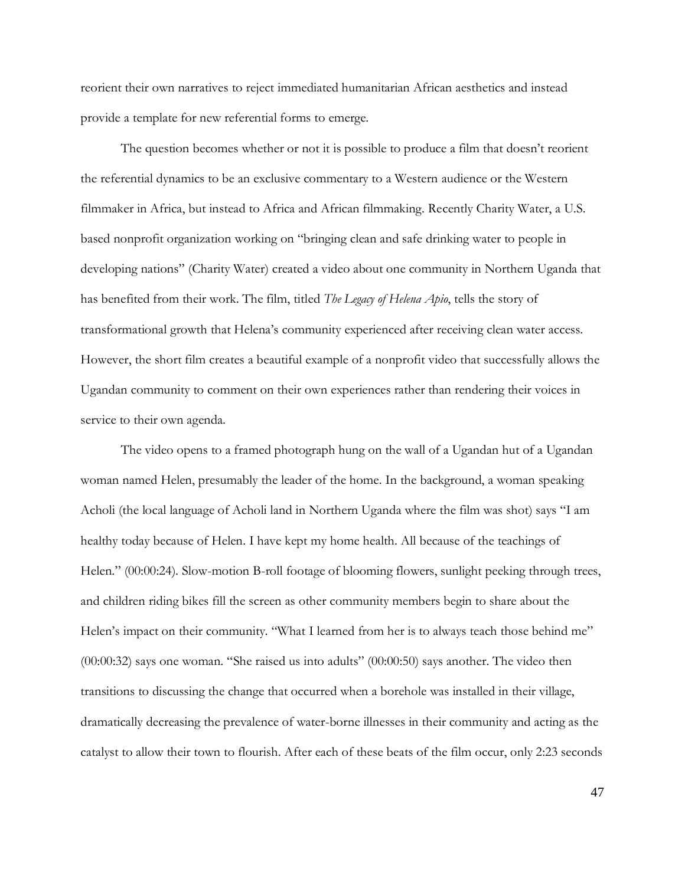reorient their own narratives to reject immediated humanitarian African aesthetics and instead provide a template for new referential forms to emerge.

The question becomes whether or not it is possible to produce a film that doesn't reorient the referential dynamics to be an exclusive commentary to a Western audience or the Western filmmaker in Africa, but instead to Africa and African filmmaking. Recently Charity Water, a U.S. based nonprofit organization working on "bringing clean and safe drinking water to people in developing nations" (Charity Water) created a video about one community in Northern Uganda that has benefited from their work. The film, titled *The Legacy of Helena Apio*, tells the story of transformational growth that Helena's community experienced after receiving clean water access. However, the short film creates a beautiful example of a nonprofit video that successfully allows the Ugandan community to comment on their own experiences rather than rendering their voices in service to their own agenda.

The video opens to a framed photograph hung on the wall of a Ugandan hut of a Ugandan woman named Helen, presumably the leader of the home. In the background, a woman speaking Acholi (the local language of Acholi land in Northern Uganda where the film was shot) says "I am healthy today because of Helen. I have kept my home health. All because of the teachings of Helen." (00:00:24). Slow-motion B-roll footage of blooming flowers, sunlight peeking through trees, and children riding bikes fill the screen as other community members begin to share about the Helen's impact on their community. "What I learned from her is to always teach those behind me" (00:00:32) says one woman. "She raised us into adults" (00:00:50) says another. The video then transitions to discussing the change that occurred when a borehole was installed in their village, dramatically decreasing the prevalence of water-borne illnesses in their community and acting as the catalyst to allow their town to flourish. After each of these beats of the film occur, only 2:23 seconds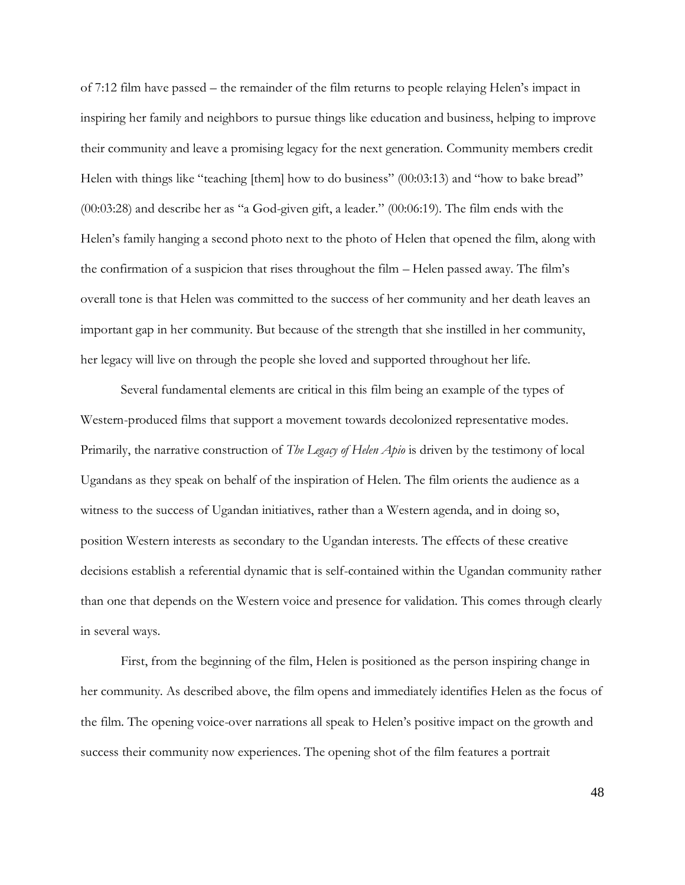of 7:12 film have passed – the remainder of the film returns to people relaying Helen's impact in inspiring her family and neighbors to pursue things like education and business, helping to improve their community and leave a promising legacy for the next generation. Community members credit Helen with things like "teaching [them] how to do business" (00:03:13) and "how to bake bread" (00:03:28) and describe her as "a God-given gift, a leader." (00:06:19). The film ends with the Helen's family hanging a second photo next to the photo of Helen that opened the film, along with the confirmation of a suspicion that rises throughout the film – Helen passed away. The film's overall tone is that Helen was committed to the success of her community and her death leaves an important gap in her community. But because of the strength that she instilled in her community, her legacy will live on through the people she loved and supported throughout her life.

Several fundamental elements are critical in this film being an example of the types of Western-produced films that support a movement towards decolonized representative modes. Primarily, the narrative construction of *The Legacy of Helen Apio* is driven by the testimony of local Ugandans as they speak on behalf of the inspiration of Helen. The film orients the audience as a witness to the success of Ugandan initiatives, rather than a Western agenda, and in doing so, position Western interests as secondary to the Ugandan interests. The effects of these creative decisions establish a referential dynamic that is self-contained within the Ugandan community rather than one that depends on the Western voice and presence for validation. This comes through clearly in several ways.

First, from the beginning of the film, Helen is positioned as the person inspiring change in her community. As described above, the film opens and immediately identifies Helen as the focus of the film. The opening voice-over narrations all speak to Helen's positive impact on the growth and success their community now experiences. The opening shot of the film features a portrait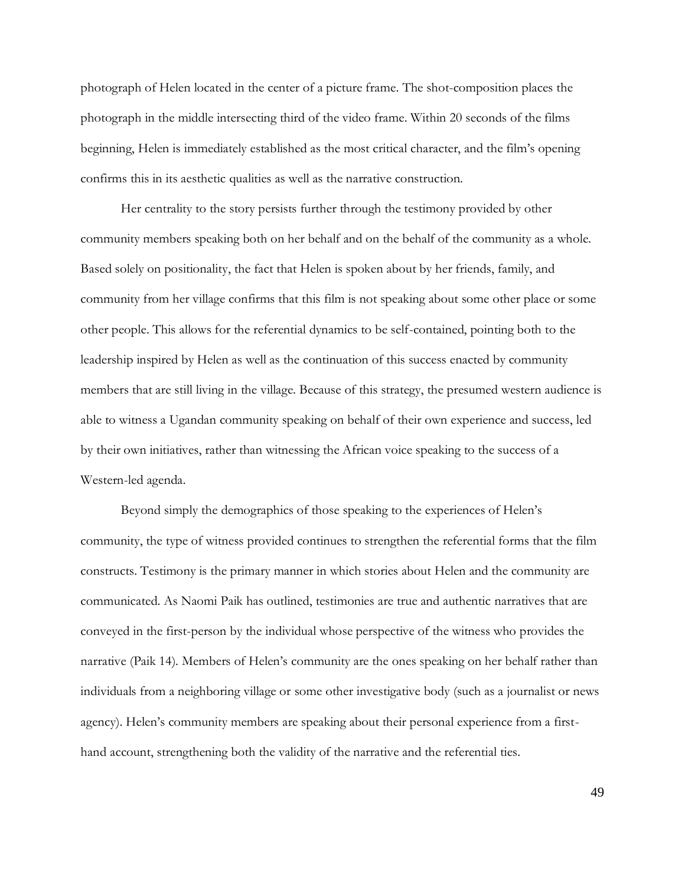photograph of Helen located in the center of a picture frame. The shot-composition places the photograph in the middle intersecting third of the video frame. Within 20 seconds of the films beginning, Helen is immediately established as the most critical character, and the film's opening confirms this in its aesthetic qualities as well as the narrative construction.

Her centrality to the story persists further through the testimony provided by other community members speaking both on her behalf and on the behalf of the community as a whole. Based solely on positionality, the fact that Helen is spoken about by her friends, family, and community from her village confirms that this film is not speaking about some other place or some other people. This allows for the referential dynamics to be self-contained, pointing both to the leadership inspired by Helen as well as the continuation of this success enacted by community members that are still living in the village. Because of this strategy, the presumed western audience is able to witness a Ugandan community speaking on behalf of their own experience and success, led by their own initiatives, rather than witnessing the African voice speaking to the success of a Western-led agenda.

Beyond simply the demographics of those speaking to the experiences of Helen's community, the type of witness provided continues to strengthen the referential forms that the film constructs. Testimony is the primary manner in which stories about Helen and the community are communicated. As Naomi Paik has outlined, testimonies are true and authentic narratives that are conveyed in the first-person by the individual whose perspective of the witness who provides the narrative (Paik 14). Members of Helen's community are the ones speaking on her behalf rather than individuals from a neighboring village or some other investigative body (such as a journalist or news agency). Helen's community members are speaking about their personal experience from a firsthand account, strengthening both the validity of the narrative and the referential ties.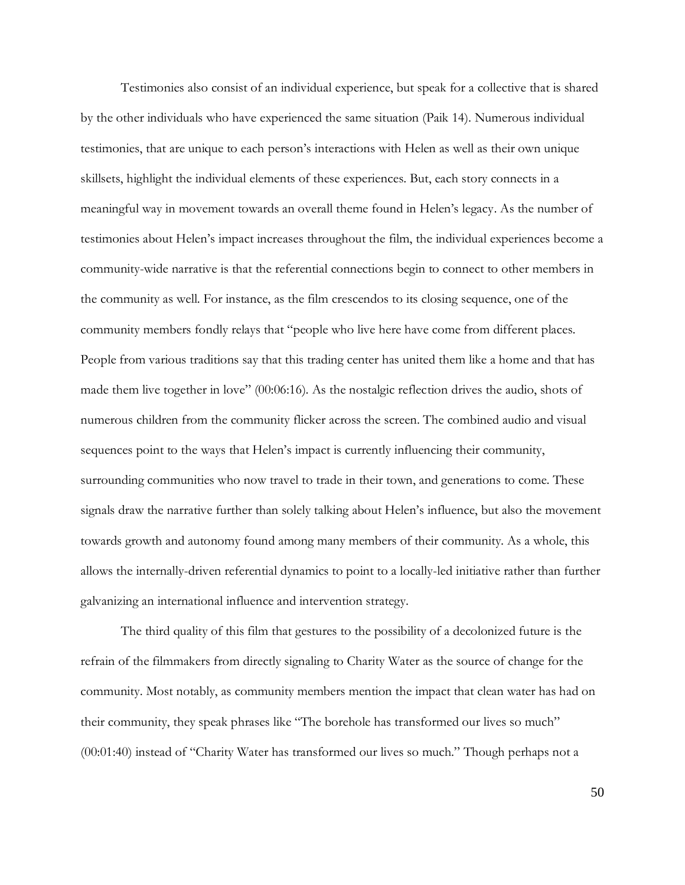Testimonies also consist of an individual experience, but speak for a collective that is shared by the other individuals who have experienced the same situation (Paik 14). Numerous individual testimonies, that are unique to each person's interactions with Helen as well as their own unique skillsets, highlight the individual elements of these experiences. But, each story connects in a meaningful way in movement towards an overall theme found in Helen's legacy. As the number of testimonies about Helen's impact increases throughout the film, the individual experiences become a community-wide narrative is that the referential connections begin to connect to other members in the community as well. For instance, as the film crescendos to its closing sequence, one of the community members fondly relays that "people who live here have come from different places. People from various traditions say that this trading center has united them like a home and that has made them live together in love" (00:06:16). As the nostalgic reflection drives the audio, shots of numerous children from the community flicker across the screen. The combined audio and visual sequences point to the ways that Helen's impact is currently influencing their community, surrounding communities who now travel to trade in their town, and generations to come. These signals draw the narrative further than solely talking about Helen's influence, but also the movement towards growth and autonomy found among many members of their community. As a whole, this allows the internally-driven referential dynamics to point to a locally-led initiative rather than further galvanizing an international influence and intervention strategy.

The third quality of this film that gestures to the possibility of a decolonized future is the refrain of the filmmakers from directly signaling to Charity Water as the source of change for the community. Most notably, as community members mention the impact that clean water has had on their community, they speak phrases like "The borehole has transformed our lives so much" (00:01:40) instead of "Charity Water has transformed our lives so much." Though perhaps not a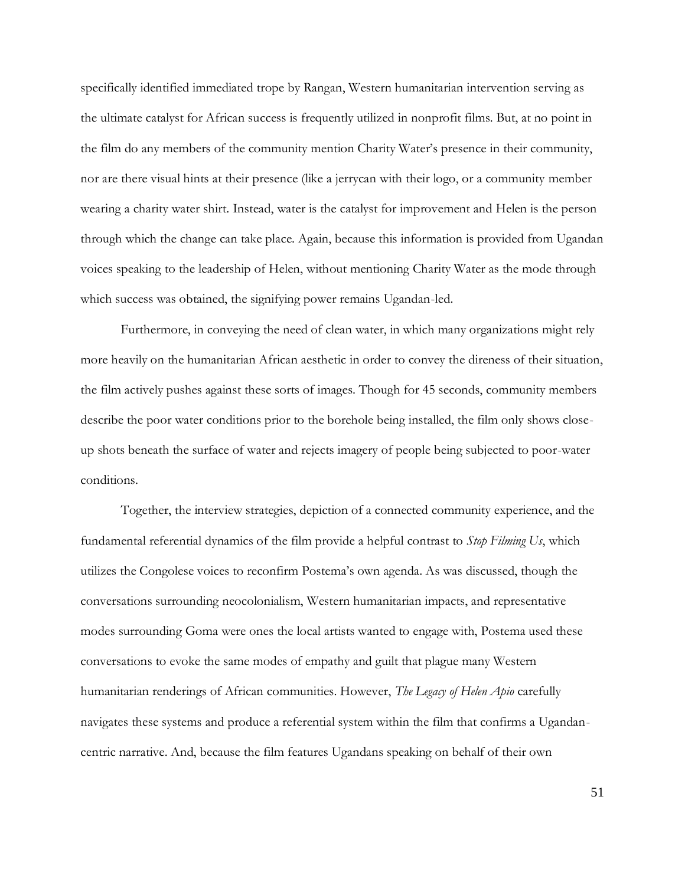specifically identified immediated trope by Rangan, Western humanitarian intervention serving as the ultimate catalyst for African success is frequently utilized in nonprofit films. But, at no point in the film do any members of the community mention Charity Water's presence in their community, nor are there visual hints at their presence (like a jerrycan with their logo, or a community member wearing a charity water shirt. Instead, water is the catalyst for improvement and Helen is the person through which the change can take place. Again, because this information is provided from Ugandan voices speaking to the leadership of Helen, without mentioning Charity Water as the mode through which success was obtained, the signifying power remains Ugandan-led.

Furthermore, in conveying the need of clean water, in which many organizations might rely more heavily on the humanitarian African aesthetic in order to convey the direness of their situation, the film actively pushes against these sorts of images. Though for 45 seconds, community members describe the poor water conditions prior to the borehole being installed, the film only shows closeup shots beneath the surface of water and rejects imagery of people being subjected to poor-water conditions.

Together, the interview strategies, depiction of a connected community experience, and the fundamental referential dynamics of the film provide a helpful contrast to *Stop Filming Us*, which utilizes the Congolese voices to reconfirm Postema's own agenda. As was discussed, though the conversations surrounding neocolonialism, Western humanitarian impacts, and representative modes surrounding Goma were ones the local artists wanted to engage with, Postema used these conversations to evoke the same modes of empathy and guilt that plague many Western humanitarian renderings of African communities. However, *The Legacy of Helen Apio* carefully navigates these systems and produce a referential system within the film that confirms a Ugandancentric narrative. And, because the film features Ugandans speaking on behalf of their own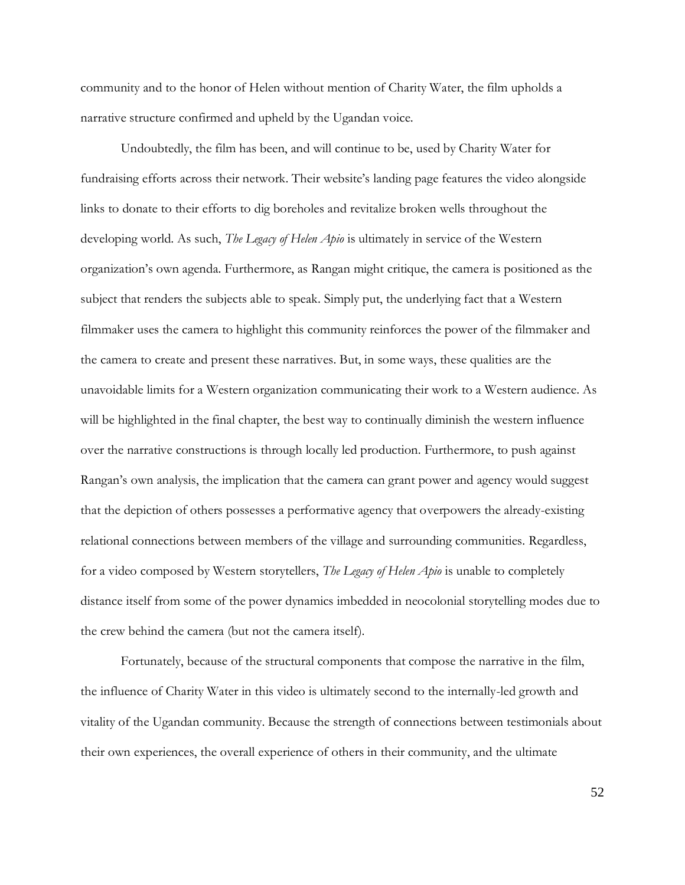community and to the honor of Helen without mention of Charity Water, the film upholds a narrative structure confirmed and upheld by the Ugandan voice.

Undoubtedly, the film has been, and will continue to be, used by Charity Water for fundraising efforts across their network. Their website's landing page features the video alongside links to donate to their efforts to dig boreholes and revitalize broken wells throughout the developing world. As such, *The Legacy of Helen Apio* is ultimately in service of the Western organization's own agenda. Furthermore, as Rangan might critique, the camera is positioned as the subject that renders the subjects able to speak. Simply put, the underlying fact that a Western filmmaker uses the camera to highlight this community reinforces the power of the filmmaker and the camera to create and present these narratives. But, in some ways, these qualities are the unavoidable limits for a Western organization communicating their work to a Western audience. As will be highlighted in the final chapter, the best way to continually diminish the western influence over the narrative constructions is through locally led production. Furthermore, to push against Rangan's own analysis, the implication that the camera can grant power and agency would suggest that the depiction of others possesses a performative agency that overpowers the already-existing relational connections between members of the village and surrounding communities. Regardless, for a video composed by Western storytellers, *The Legacy of Helen Apio* is unable to completely distance itself from some of the power dynamics imbedded in neocolonial storytelling modes due to the crew behind the camera (but not the camera itself).

Fortunately, because of the structural components that compose the narrative in the film, the influence of Charity Water in this video is ultimately second to the internally-led growth and vitality of the Ugandan community. Because the strength of connections between testimonials about their own experiences, the overall experience of others in their community, and the ultimate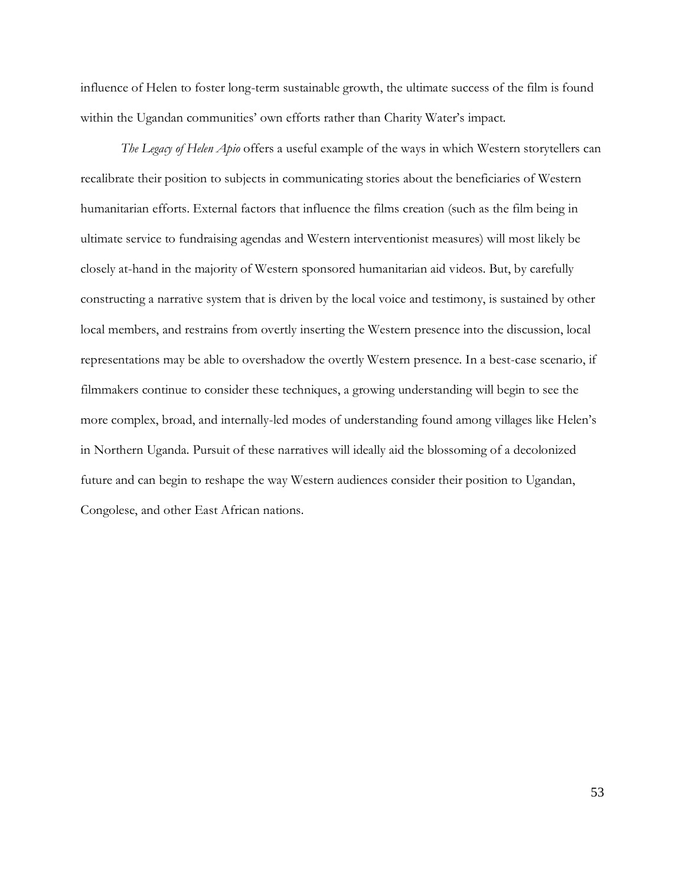influence of Helen to foster long-term sustainable growth, the ultimate success of the film is found within the Ugandan communities' own efforts rather than Charity Water's impact.

*The Legacy of Helen Apio* offers a useful example of the ways in which Western storytellers can recalibrate their position to subjects in communicating stories about the beneficiaries of Western humanitarian efforts. External factors that influence the films creation (such as the film being in ultimate service to fundraising agendas and Western interventionist measures) will most likely be closely at-hand in the majority of Western sponsored humanitarian aid videos. But, by carefully constructing a narrative system that is driven by the local voice and testimony, is sustained by other local members, and restrains from overtly inserting the Western presence into the discussion, local representations may be able to overshadow the overtly Western presence. In a best-case scenario, if filmmakers continue to consider these techniques, a growing understanding will begin to see the more complex, broad, and internally-led modes of understanding found among villages like Helen's in Northern Uganda. Pursuit of these narratives will ideally aid the blossoming of a decolonized future and can begin to reshape the way Western audiences consider their position to Ugandan, Congolese, and other East African nations.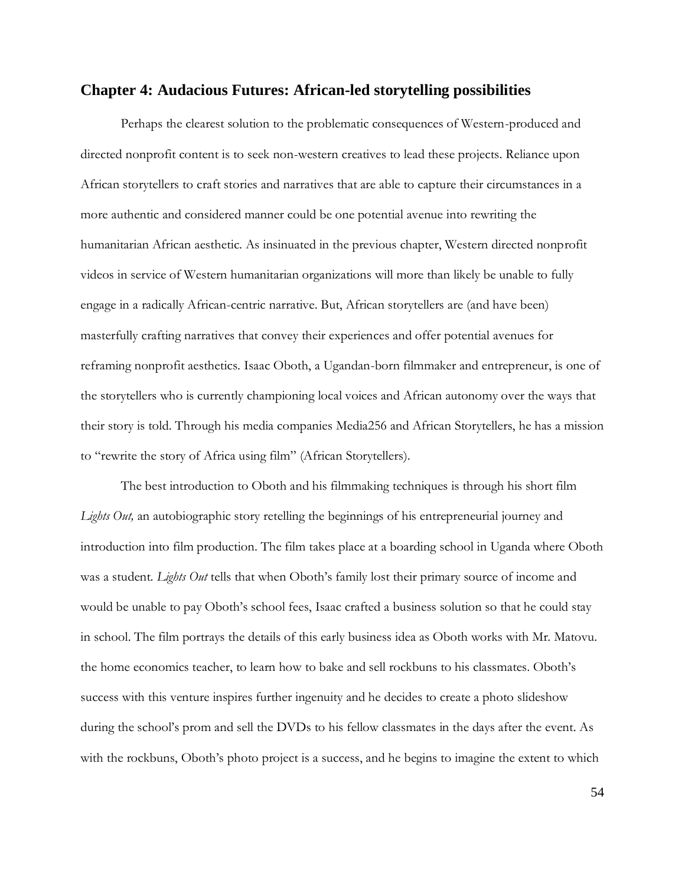## **Chapter 4: Audacious Futures: African-led storytelling possibilities**

Perhaps the clearest solution to the problematic consequences of Western-produced and directed nonprofit content is to seek non-western creatives to lead these projects. Reliance upon African storytellers to craft stories and narratives that are able to capture their circumstances in a more authentic and considered manner could be one potential avenue into rewriting the humanitarian African aesthetic. As insinuated in the previous chapter, Western directed nonprofit videos in service of Western humanitarian organizations will more than likely be unable to fully engage in a radically African-centric narrative. But, African storytellers are (and have been) masterfully crafting narratives that convey their experiences and offer potential avenues for reframing nonprofit aesthetics. Isaac Oboth, a Ugandan-born filmmaker and entrepreneur, is one of the storytellers who is currently championing local voices and African autonomy over the ways that their story is told. Through his media companies Media256 and African Storytellers, he has a mission to "rewrite the story of Africa using film" (African Storytellers).

The best introduction to Oboth and his filmmaking techniques is through his short film *Lights Out,* an autobiographic story retelling the beginnings of his entrepreneurial journey and introduction into film production. The film takes place at a boarding school in Uganda where Oboth was a student. *Lights Out* tells that when Oboth's family lost their primary source of income and would be unable to pay Oboth's school fees, Isaac crafted a business solution so that he could stay in school. The film portrays the details of this early business idea as Oboth works with Mr. Matovu. the home economics teacher, to learn how to bake and sell rockbuns to his classmates. Oboth's success with this venture inspires further ingenuity and he decides to create a photo slideshow during the school's prom and sell the DVDs to his fellow classmates in the days after the event. As with the rockbuns, Oboth's photo project is a success, and he begins to imagine the extent to which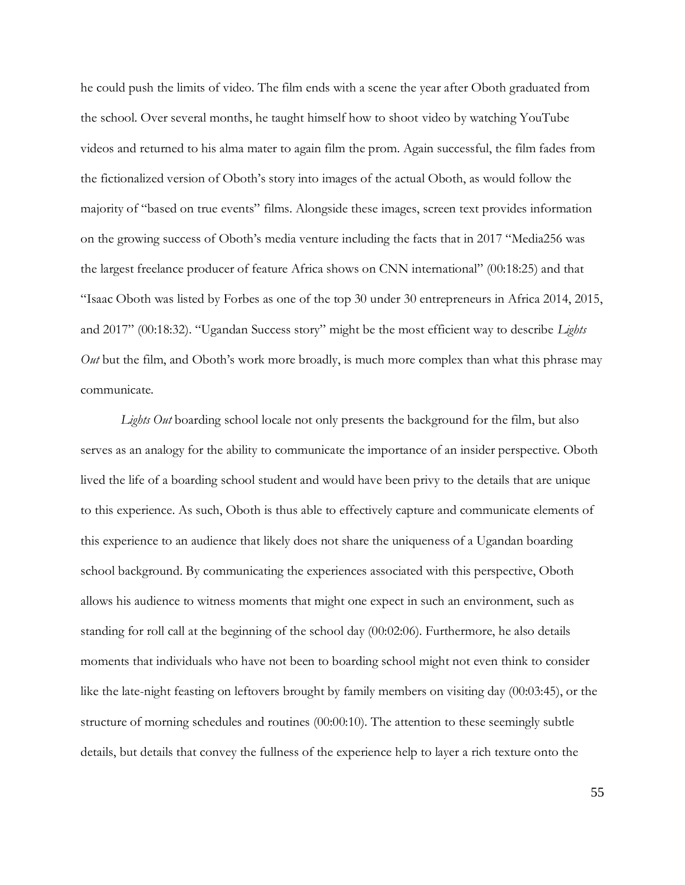he could push the limits of video. The film ends with a scene the year after Oboth graduated from the school. Over several months, he taught himself how to shoot video by watching YouTube videos and returned to his alma mater to again film the prom. Again successful, the film fades from the fictionalized version of Oboth's story into images of the actual Oboth, as would follow the majority of "based on true events" films. Alongside these images, screen text provides information on the growing success of Oboth's media venture including the facts that in 2017 "Media256 was the largest freelance producer of feature Africa shows on CNN international" (00:18:25) and that "Isaac Oboth was listed by Forbes as one of the top 30 under 30 entrepreneurs in Africa 2014, 2015, and 2017" (00:18:32). "Ugandan Success story" might be the most efficient way to describe *Lights Out* but the film, and Oboth's work more broadly, is much more complex than what this phrase may communicate.

Lights Out boarding school locale not only presents the background for the film, but also serves as an analogy for the ability to communicate the importance of an insider perspective. Oboth lived the life of a boarding school student and would have been privy to the details that are unique to this experience. As such, Oboth is thus able to effectively capture and communicate elements of this experience to an audience that likely does not share the uniqueness of a Ugandan boarding school background. By communicating the experiences associated with this perspective, Oboth allows his audience to witness moments that might one expect in such an environment, such as standing for roll call at the beginning of the school day (00:02:06). Furthermore, he also details moments that individuals who have not been to boarding school might not even think to consider like the late-night feasting on leftovers brought by family members on visiting day (00:03:45), or the structure of morning schedules and routines (00:00:10). The attention to these seemingly subtle details, but details that convey the fullness of the experience help to layer a rich texture onto the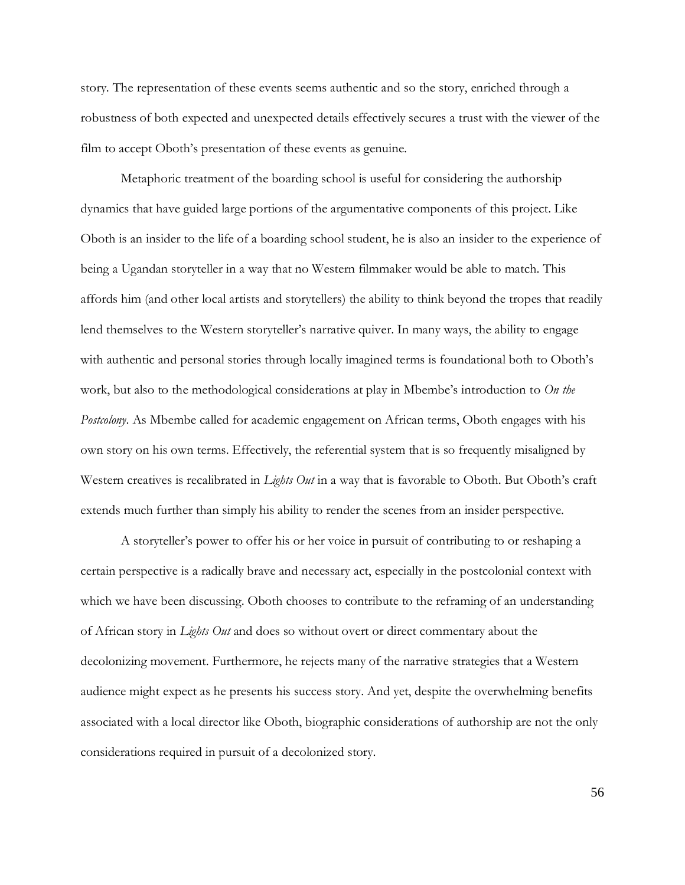story. The representation of these events seems authentic and so the story, enriched through a robustness of both expected and unexpected details effectively secures a trust with the viewer of the film to accept Oboth's presentation of these events as genuine.

Metaphoric treatment of the boarding school is useful for considering the authorship dynamics that have guided large portions of the argumentative components of this project. Like Oboth is an insider to the life of a boarding school student, he is also an insider to the experience of being a Ugandan storyteller in a way that no Western filmmaker would be able to match. This affords him (and other local artists and storytellers) the ability to think beyond the tropes that readily lend themselves to the Western storyteller's narrative quiver. In many ways, the ability to engage with authentic and personal stories through locally imagined terms is foundational both to Oboth's work, but also to the methodological considerations at play in Mbembe's introduction to *On the Postcolony*. As Mbembe called for academic engagement on African terms, Oboth engages with his own story on his own terms. Effectively, the referential system that is so frequently misaligned by Western creatives is recalibrated in *Lights Out* in a way that is favorable to Oboth. But Oboth's craft extends much further than simply his ability to render the scenes from an insider perspective.

A storyteller's power to offer his or her voice in pursuit of contributing to or reshaping a certain perspective is a radically brave and necessary act, especially in the postcolonial context with which we have been discussing. Oboth chooses to contribute to the reframing of an understanding of African story in *Lights Out* and does so without overt or direct commentary about the decolonizing movement. Furthermore, he rejects many of the narrative strategies that a Western audience might expect as he presents his success story. And yet, despite the overwhelming benefits associated with a local director like Oboth, biographic considerations of authorship are not the only considerations required in pursuit of a decolonized story.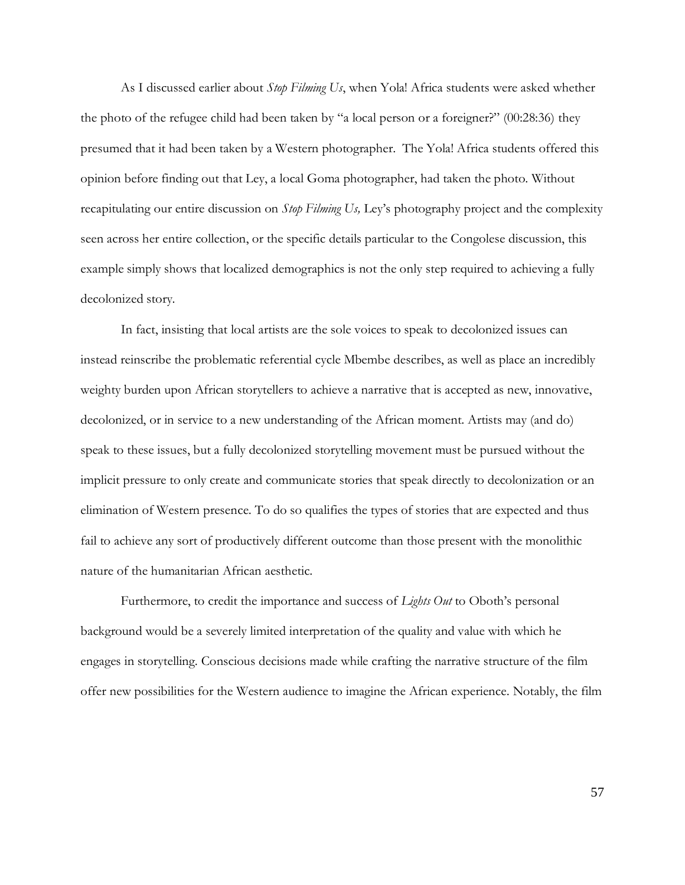As I discussed earlier about *Stop Filming Us*, when Yola! Africa students were asked whether the photo of the refugee child had been taken by "a local person or a foreigner?" (00:28:36) they presumed that it had been taken by a Western photographer. The Yola! Africa students offered this opinion before finding out that Ley, a local Goma photographer, had taken the photo. Without recapitulating our entire discussion on *Stop Filming Us,* Ley's photography project and the complexity seen across her entire collection, or the specific details particular to the Congolese discussion, this example simply shows that localized demographics is not the only step required to achieving a fully decolonized story.

In fact, insisting that local artists are the sole voices to speak to decolonized issues can instead reinscribe the problematic referential cycle Mbembe describes, as well as place an incredibly weighty burden upon African storytellers to achieve a narrative that is accepted as new, innovative, decolonized, or in service to a new understanding of the African moment. Artists may (and do) speak to these issues, but a fully decolonized storytelling movement must be pursued without the implicit pressure to only create and communicate stories that speak directly to decolonization or an elimination of Western presence. To do so qualifies the types of stories that are expected and thus fail to achieve any sort of productively different outcome than those present with the monolithic nature of the humanitarian African aesthetic.

Furthermore, to credit the importance and success of *Lights Out* to Oboth's personal background would be a severely limited interpretation of the quality and value with which he engages in storytelling. Conscious decisions made while crafting the narrative structure of the film offer new possibilities for the Western audience to imagine the African experience. Notably, the film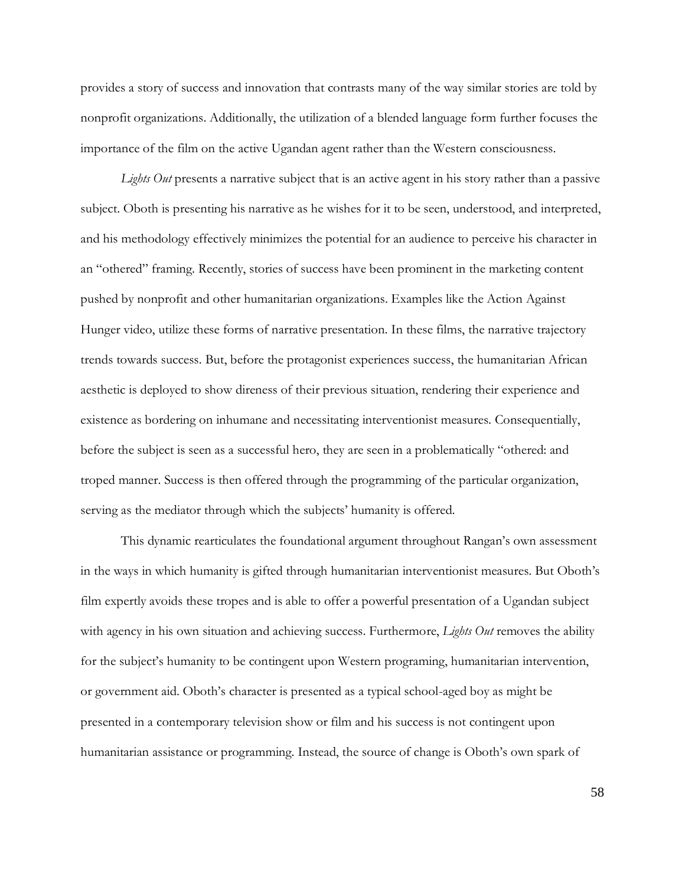provides a story of success and innovation that contrasts many of the way similar stories are told by nonprofit organizations. Additionally, the utilization of a blended language form further focuses the importance of the film on the active Ugandan agent rather than the Western consciousness.

*Lights Out* presents a narrative subject that is an active agent in his story rather than a passive subject. Oboth is presenting his narrative as he wishes for it to be seen, understood, and interpreted, and his methodology effectively minimizes the potential for an audience to perceive his character in an "othered" framing. Recently, stories of success have been prominent in the marketing content pushed by nonprofit and other humanitarian organizations. Examples like the Action Against Hunger video, utilize these forms of narrative presentation. In these films, the narrative trajectory trends towards success. But, before the protagonist experiences success, the humanitarian African aesthetic is deployed to show direness of their previous situation, rendering their experience and existence as bordering on inhumane and necessitating interventionist measures. Consequentially, before the subject is seen as a successful hero, they are seen in a problematically "othered: and troped manner. Success is then offered through the programming of the particular organization, serving as the mediator through which the subjects' humanity is offered.

This dynamic rearticulates the foundational argument throughout Rangan's own assessment in the ways in which humanity is gifted through humanitarian interventionist measures. But Oboth's film expertly avoids these tropes and is able to offer a powerful presentation of a Ugandan subject with agency in his own situation and achieving success. Furthermore, *Lights Out* removes the ability for the subject's humanity to be contingent upon Western programing, humanitarian intervention, or government aid. Oboth's character is presented as a typical school-aged boy as might be presented in a contemporary television show or film and his success is not contingent upon humanitarian assistance or programming. Instead, the source of change is Oboth's own spark of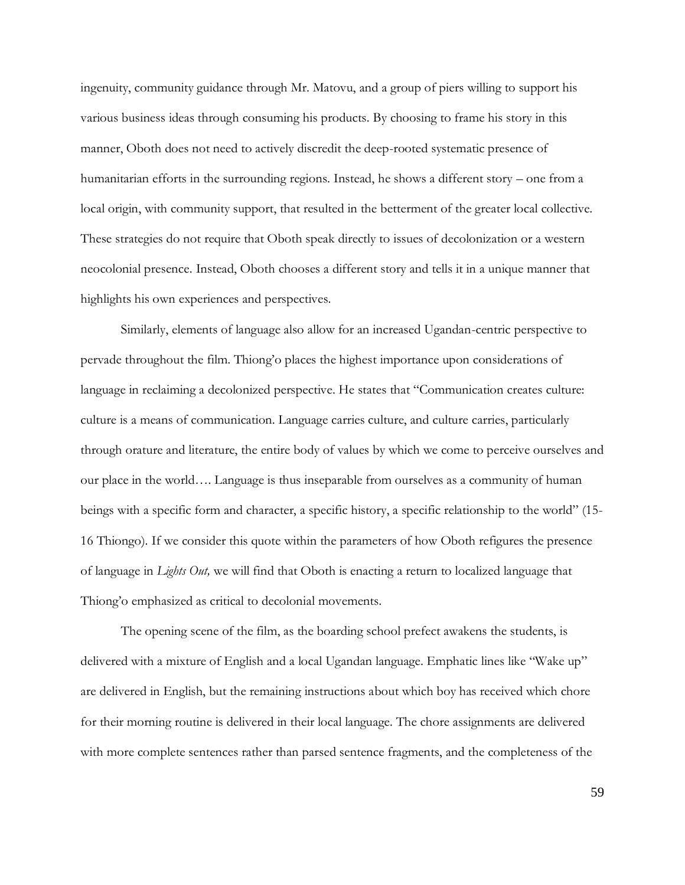ingenuity, community guidance through Mr. Matovu, and a group of piers willing to support his various business ideas through consuming his products. By choosing to frame his story in this manner, Oboth does not need to actively discredit the deep-rooted systematic presence of humanitarian efforts in the surrounding regions. Instead, he shows a different story – one from a local origin, with community support, that resulted in the betterment of the greater local collective. These strategies do not require that Oboth speak directly to issues of decolonization or a western neocolonial presence. Instead, Oboth chooses a different story and tells it in a unique manner that highlights his own experiences and perspectives.

Similarly, elements of language also allow for an increased Ugandan-centric perspective to pervade throughout the film. Thiong'o places the highest importance upon considerations of language in reclaiming a decolonized perspective. He states that "Communication creates culture: culture is a means of communication. Language carries culture, and culture carries, particularly through orature and literature, the entire body of values by which we come to perceive ourselves and our place in the world…. Language is thus inseparable from ourselves as a community of human beings with a specific form and character, a specific history, a specific relationship to the world" (15- 16 Thiongo). If we consider this quote within the parameters of how Oboth refigures the presence of language in *Lights Out,* we will find that Oboth is enacting a return to localized language that Thiong'o emphasized as critical to decolonial movements.

The opening scene of the film, as the boarding school prefect awakens the students, is delivered with a mixture of English and a local Ugandan language. Emphatic lines like "Wake up" are delivered in English, but the remaining instructions about which boy has received which chore for their morning routine is delivered in their local language. The chore assignments are delivered with more complete sentences rather than parsed sentence fragments, and the completeness of the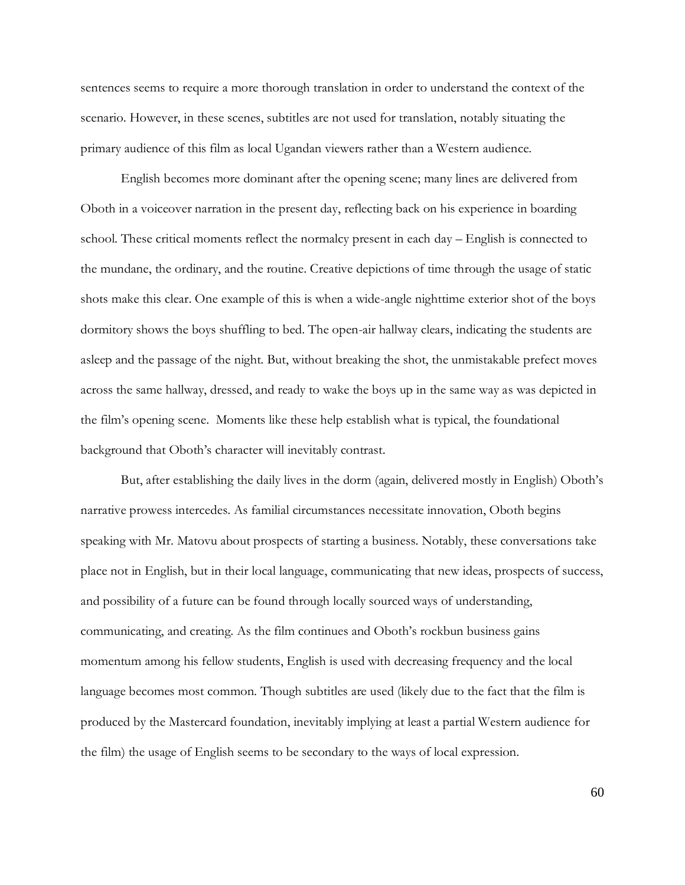sentences seems to require a more thorough translation in order to understand the context of the scenario. However, in these scenes, subtitles are not used for translation, notably situating the primary audience of this film as local Ugandan viewers rather than a Western audience.

English becomes more dominant after the opening scene; many lines are delivered from Oboth in a voiceover narration in the present day, reflecting back on his experience in boarding school. These critical moments reflect the normalcy present in each day – English is connected to the mundane, the ordinary, and the routine. Creative depictions of time through the usage of static shots make this clear. One example of this is when a wide-angle nighttime exterior shot of the boys dormitory shows the boys shuffling to bed. The open-air hallway clears, indicating the students are asleep and the passage of the night. But, without breaking the shot, the unmistakable prefect moves across the same hallway, dressed, and ready to wake the boys up in the same way as was depicted in the film's opening scene. Moments like these help establish what is typical, the foundational background that Oboth's character will inevitably contrast.

But, after establishing the daily lives in the dorm (again, delivered mostly in English) Oboth's narrative prowess intercedes. As familial circumstances necessitate innovation, Oboth begins speaking with Mr. Matovu about prospects of starting a business. Notably, these conversations take place not in English, but in their local language, communicating that new ideas, prospects of success, and possibility of a future can be found through locally sourced ways of understanding, communicating, and creating. As the film continues and Oboth's rockbun business gains momentum among his fellow students, English is used with decreasing frequency and the local language becomes most common. Though subtitles are used (likely due to the fact that the film is produced by the Mastercard foundation, inevitably implying at least a partial Western audience for the film) the usage of English seems to be secondary to the ways of local expression.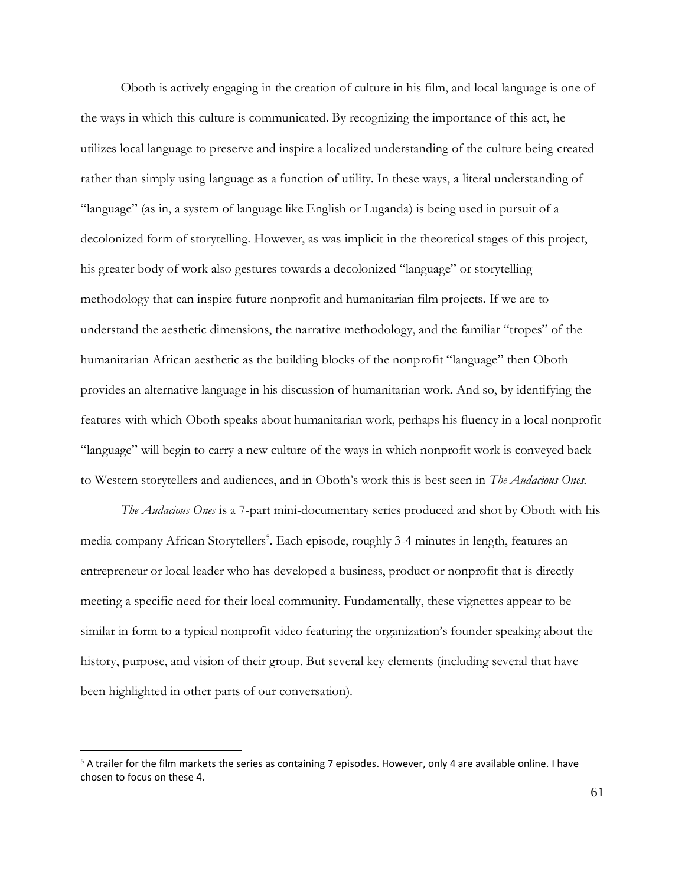Oboth is actively engaging in the creation of culture in his film, and local language is one of the ways in which this culture is communicated. By recognizing the importance of this act, he utilizes local language to preserve and inspire a localized understanding of the culture being created rather than simply using language as a function of utility. In these ways, a literal understanding of "language" (as in, a system of language like English or Luganda) is being used in pursuit of a decolonized form of storytelling. However, as was implicit in the theoretical stages of this project, his greater body of work also gestures towards a decolonized "language" or storytelling methodology that can inspire future nonprofit and humanitarian film projects. If we are to understand the aesthetic dimensions, the narrative methodology, and the familiar "tropes" of the humanitarian African aesthetic as the building blocks of the nonprofit "language" then Oboth provides an alternative language in his discussion of humanitarian work. And so, by identifying the features with which Oboth speaks about humanitarian work, perhaps his fluency in a local nonprofit "language" will begin to carry a new culture of the ways in which nonprofit work is conveyed back to Western storytellers and audiences, and in Oboth's work this is best seen in *The Audacious Ones.* 

*The Audacious Ones* is a 7-part mini-documentary series produced and shot by Oboth with his media company African Storytellers<sup>5</sup>. Each episode, roughly 3-4 minutes in length, features an entrepreneur or local leader who has developed a business, product or nonprofit that is directly meeting a specific need for their local community. Fundamentally, these vignettes appear to be similar in form to a typical nonprofit video featuring the organization's founder speaking about the history, purpose, and vision of their group. But several key elements (including several that have been highlighted in other parts of our conversation).

<sup>5</sup> A trailer for the film markets the series as containing 7 episodes. However, only 4 are available online. I have chosen to focus on these 4.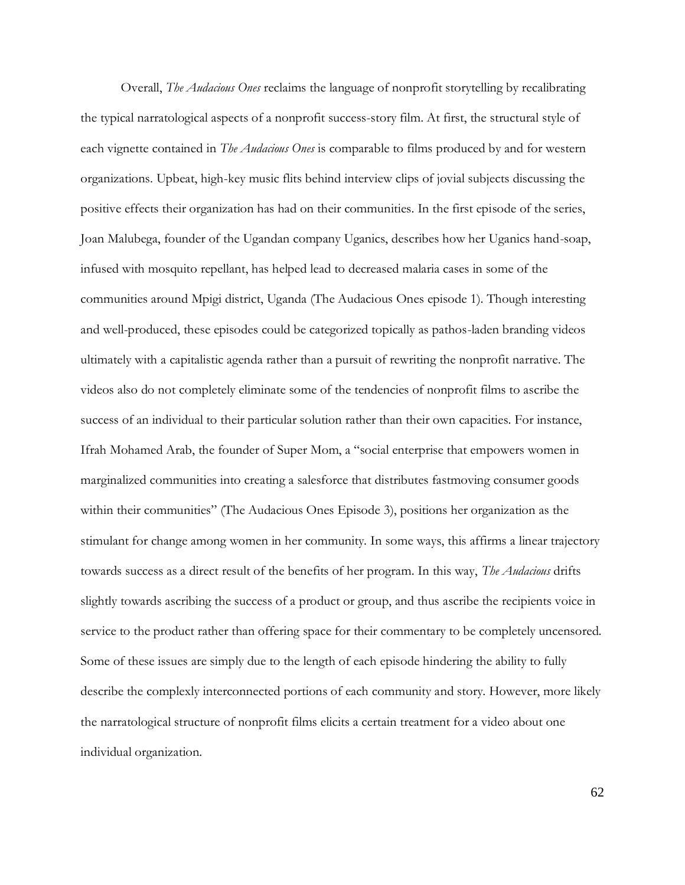Overall, *The Audacious Ones* reclaims the language of nonprofit storytelling by recalibrating the typical narratological aspects of a nonprofit success-story film. At first, the structural style of each vignette contained in *The Audacious Ones* is comparable to films produced by and for western organizations. Upbeat, high-key music flits behind interview clips of jovial subjects discussing the positive effects their organization has had on their communities. In the first episode of the series, Joan Malubega, founder of the Ugandan company Uganics, describes how her Uganics hand-soap, infused with mosquito repellant, has helped lead to decreased malaria cases in some of the communities around Mpigi district, Uganda (The Audacious Ones episode 1). Though interesting and well-produced, these episodes could be categorized topically as pathos-laden branding videos ultimately with a capitalistic agenda rather than a pursuit of rewriting the nonprofit narrative. The videos also do not completely eliminate some of the tendencies of nonprofit films to ascribe the success of an individual to their particular solution rather than their own capacities. For instance, Ifrah Mohamed Arab, the founder of Super Mom, a "social enterprise that empowers women in marginalized communities into creating a salesforce that distributes fastmoving consumer goods within their communities" (The Audacious Ones Episode 3), positions her organization as the stimulant for change among women in her community. In some ways, this affirms a linear trajectory towards success as a direct result of the benefits of her program. In this way, *The Audacious* drifts slightly towards ascribing the success of a product or group, and thus ascribe the recipients voice in service to the product rather than offering space for their commentary to be completely uncensored. Some of these issues are simply due to the length of each episode hindering the ability to fully describe the complexly interconnected portions of each community and story. However, more likely the narratological structure of nonprofit films elicits a certain treatment for a video about one individual organization.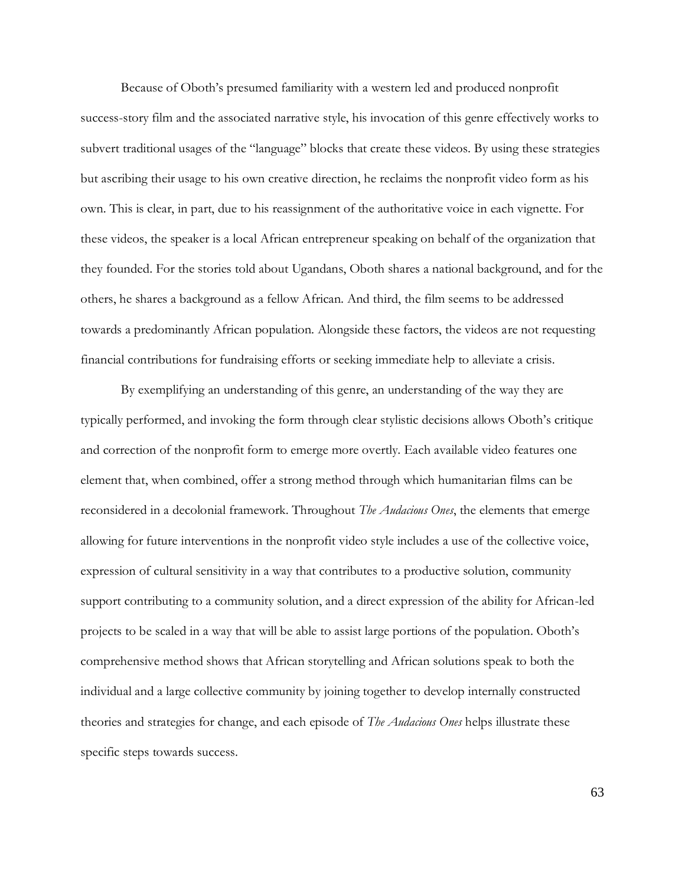Because of Oboth's presumed familiarity with a western led and produced nonprofit success-story film and the associated narrative style, his invocation of this genre effectively works to subvert traditional usages of the "language" blocks that create these videos. By using these strategies but ascribing their usage to his own creative direction, he reclaims the nonprofit video form as his own. This is clear, in part, due to his reassignment of the authoritative voice in each vignette. For these videos, the speaker is a local African entrepreneur speaking on behalf of the organization that they founded. For the stories told about Ugandans, Oboth shares a national background, and for the others, he shares a background as a fellow African. And third, the film seems to be addressed towards a predominantly African population. Alongside these factors, the videos are not requesting financial contributions for fundraising efforts or seeking immediate help to alleviate a crisis.

By exemplifying an understanding of this genre, an understanding of the way they are typically performed, and invoking the form through clear stylistic decisions allows Oboth's critique and correction of the nonprofit form to emerge more overtly. Each available video features one element that, when combined, offer a strong method through which humanitarian films can be reconsidered in a decolonial framework. Throughout *The Audacious Ones*, the elements that emerge allowing for future interventions in the nonprofit video style includes a use of the collective voice, expression of cultural sensitivity in a way that contributes to a productive solution, community support contributing to a community solution, and a direct expression of the ability for African-led projects to be scaled in a way that will be able to assist large portions of the population. Oboth's comprehensive method shows that African storytelling and African solutions speak to both the individual and a large collective community by joining together to develop internally constructed theories and strategies for change, and each episode of *The Audacious Ones* helps illustrate these specific steps towards success.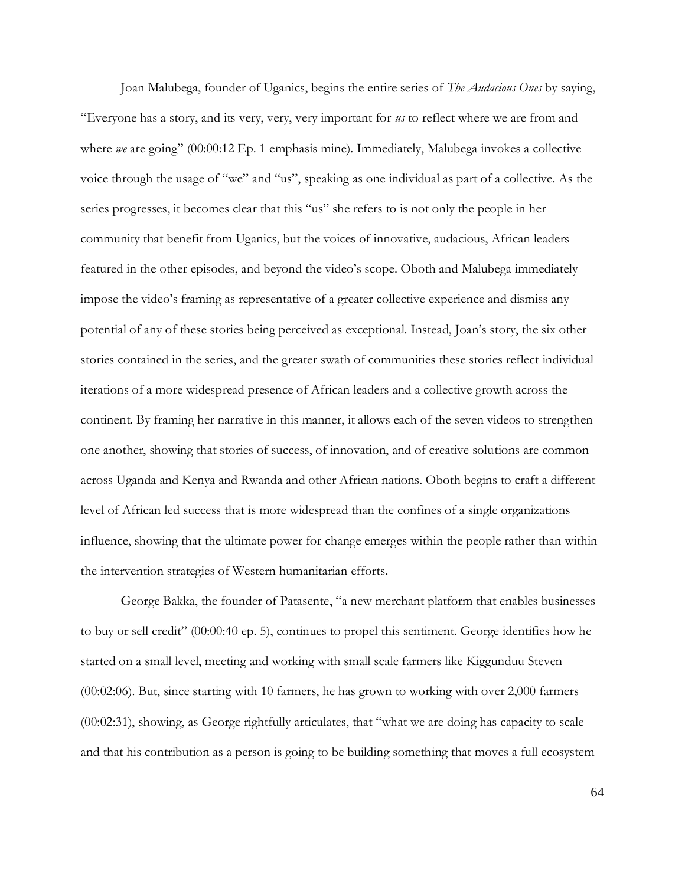Joan Malubega, founder of Uganics, begins the entire series of *The Audacious Ones* by saying, "Everyone has a story, and its very, very, very important for *us* to reflect where we are from and where *we* are going" (00:00:12 Ep. 1 emphasis mine). Immediately, Malubega invokes a collective voice through the usage of "we" and "us", speaking as one individual as part of a collective. As the series progresses, it becomes clear that this "us" she refers to is not only the people in her community that benefit from Uganics, but the voices of innovative, audacious, African leaders featured in the other episodes, and beyond the video's scope. Oboth and Malubega immediately impose the video's framing as representative of a greater collective experience and dismiss any potential of any of these stories being perceived as exceptional. Instead, Joan's story, the six other stories contained in the series, and the greater swath of communities these stories reflect individual iterations of a more widespread presence of African leaders and a collective growth across the continent. By framing her narrative in this manner, it allows each of the seven videos to strengthen one another, showing that stories of success, of innovation, and of creative solutions are common across Uganda and Kenya and Rwanda and other African nations. Oboth begins to craft a different level of African led success that is more widespread than the confines of a single organizations influence, showing that the ultimate power for change emerges within the people rather than within the intervention strategies of Western humanitarian efforts.

George Bakka, the founder of Patasente, "a new merchant platform that enables businesses to buy or sell credit" (00:00:40 ep. 5), continues to propel this sentiment. George identifies how he started on a small level, meeting and working with small scale farmers like Kiggunduu Steven (00:02:06). But, since starting with 10 farmers, he has grown to working with over 2,000 farmers (00:02:31), showing, as George rightfully articulates, that "what we are doing has capacity to scale and that his contribution as a person is going to be building something that moves a full ecosystem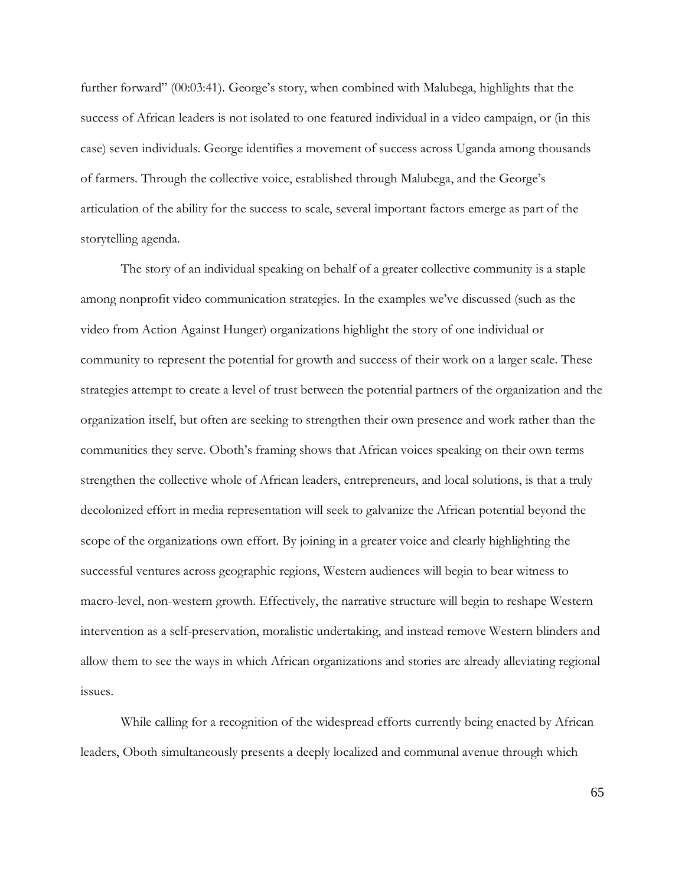further forward" (00:03:41). George's story, when combined with Malubega, highlights that the success of African leaders is not isolated to one featured individual in a video campaign, or (in this case) seven individuals. George identifies a movement of success across Uganda among thousands of farmers. Through the collective voice, established through Malubega, and the George's articulation of the ability for the success to scale, several important factors emerge as part of the storytelling agenda.

The story of an individual speaking on behalf of a greater collective community is a staple among nonprofit video communication strategies. In the examples we've discussed (such as the video from Action Against Hunger) organizations highlight the story of one individual or community to represent the potential for growth and success of their work on a larger scale. These strategies attempt to create a level of trust between the potential partners of the organization and the organization itself, but often are seeking to strengthen their own presence and work rather than the communities they serve. Oboth's framing shows that African voices speaking on their own terms strengthen the collective whole of African leaders, entrepreneurs, and local solutions, is that a truly decolonized effort in media representation will seek to galvanize the African potential beyond the scope of the organizations own effort. By joining in a greater voice and clearly highlighting the successful ventures across geographic regions, Western audiences will begin to bear witness to macro-level, non-western growth. Effectively, the narrative structure will begin to reshape Western intervention as a self-preservation, moralistic undertaking, and instead remove Western blinders and allow them to see the ways in which African organizations and stories are already alleviating regional issues.

While calling for a recognition of the widespread efforts currently being enacted by African leaders, Oboth simultaneously presents a deeply localized and communal avenue through which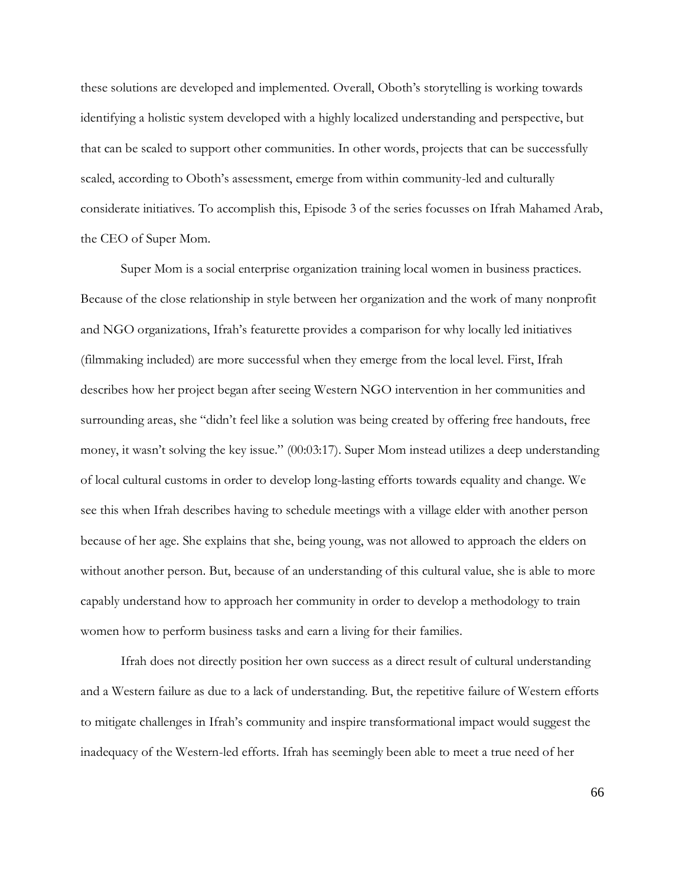these solutions are developed and implemented. Overall, Oboth's storytelling is working towards identifying a holistic system developed with a highly localized understanding and perspective, but that can be scaled to support other communities. In other words, projects that can be successfully scaled, according to Oboth's assessment, emerge from within community-led and culturally considerate initiatives. To accomplish this, Episode 3 of the series focusses on Ifrah Mahamed Arab, the CEO of Super Mom.

Super Mom is a social enterprise organization training local women in business practices. Because of the close relationship in style between her organization and the work of many nonprofit and NGO organizations, Ifrah's featurette provides a comparison for why locally led initiatives (filmmaking included) are more successful when they emerge from the local level. First, Ifrah describes how her project began after seeing Western NGO intervention in her communities and surrounding areas, she "didn't feel like a solution was being created by offering free handouts, free money, it wasn't solving the key issue." (00:03:17). Super Mom instead utilizes a deep understanding of local cultural customs in order to develop long-lasting efforts towards equality and change. We see this when Ifrah describes having to schedule meetings with a village elder with another person because of her age. She explains that she, being young, was not allowed to approach the elders on without another person. But, because of an understanding of this cultural value, she is able to more capably understand how to approach her community in order to develop a methodology to train women how to perform business tasks and earn a living for their families.

Ifrah does not directly position her own success as a direct result of cultural understanding and a Western failure as due to a lack of understanding. But, the repetitive failure of Western efforts to mitigate challenges in Ifrah's community and inspire transformational impact would suggest the inadequacy of the Western-led efforts. Ifrah has seemingly been able to meet a true need of her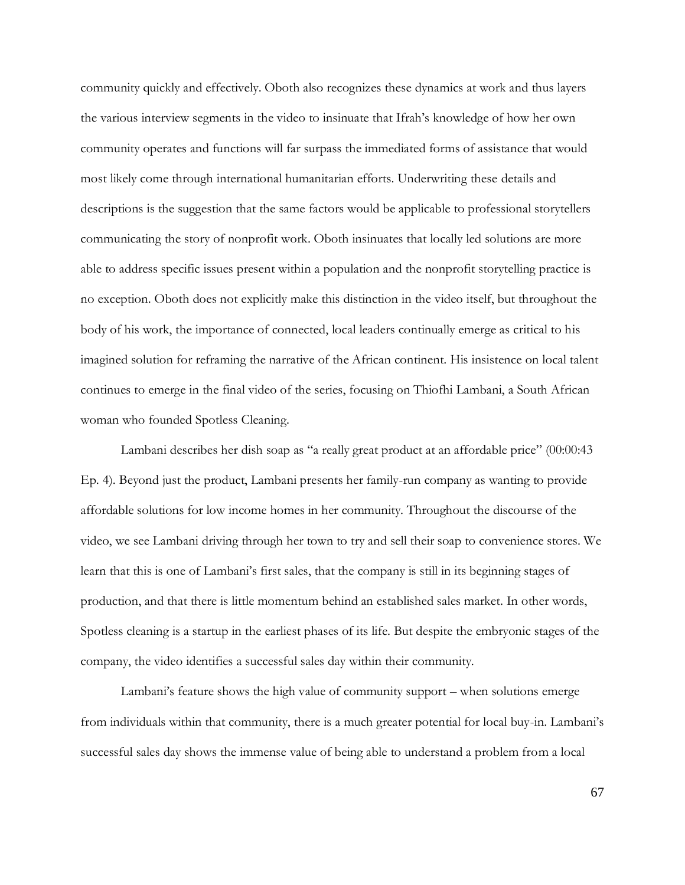community quickly and effectively. Oboth also recognizes these dynamics at work and thus layers the various interview segments in the video to insinuate that Ifrah's knowledge of how her own community operates and functions will far surpass the immediated forms of assistance that would most likely come through international humanitarian efforts. Underwriting these details and descriptions is the suggestion that the same factors would be applicable to professional storytellers communicating the story of nonprofit work. Oboth insinuates that locally led solutions are more able to address specific issues present within a population and the nonprofit storytelling practice is no exception. Oboth does not explicitly make this distinction in the video itself, but throughout the body of his work, the importance of connected, local leaders continually emerge as critical to his imagined solution for reframing the narrative of the African continent. His insistence on local talent continues to emerge in the final video of the series, focusing on Thiofhi Lambani, a South African woman who founded Spotless Cleaning.

Lambani describes her dish soap as "a really great product at an affordable price" (00:00:43 Ep. 4). Beyond just the product, Lambani presents her family-run company as wanting to provide affordable solutions for low income homes in her community. Throughout the discourse of the video, we see Lambani driving through her town to try and sell their soap to convenience stores. We learn that this is one of Lambani's first sales, that the company is still in its beginning stages of production, and that there is little momentum behind an established sales market. In other words, Spotless cleaning is a startup in the earliest phases of its life. But despite the embryonic stages of the company, the video identifies a successful sales day within their community.

Lambani's feature shows the high value of community support – when solutions emerge from individuals within that community, there is a much greater potential for local buy-in. Lambani's successful sales day shows the immense value of being able to understand a problem from a local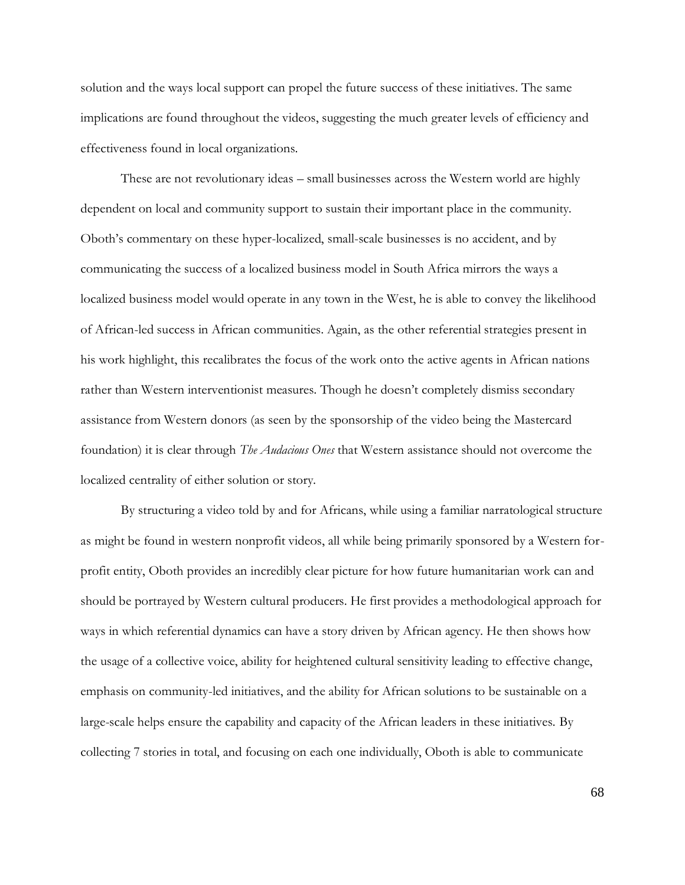solution and the ways local support can propel the future success of these initiatives. The same implications are found throughout the videos, suggesting the much greater levels of efficiency and effectiveness found in local organizations.

These are not revolutionary ideas – small businesses across the Western world are highly dependent on local and community support to sustain their important place in the community. Oboth's commentary on these hyper-localized, small-scale businesses is no accident, and by communicating the success of a localized business model in South Africa mirrors the ways a localized business model would operate in any town in the West, he is able to convey the likelihood of African-led success in African communities. Again, as the other referential strategies present in his work highlight, this recalibrates the focus of the work onto the active agents in African nations rather than Western interventionist measures. Though he doesn't completely dismiss secondary assistance from Western donors (as seen by the sponsorship of the video being the Mastercard foundation) it is clear through *The Audacious Ones* that Western assistance should not overcome the localized centrality of either solution or story.

By structuring a video told by and for Africans, while using a familiar narratological structure as might be found in western nonprofit videos, all while being primarily sponsored by a Western forprofit entity, Oboth provides an incredibly clear picture for how future humanitarian work can and should be portrayed by Western cultural producers. He first provides a methodological approach for ways in which referential dynamics can have a story driven by African agency. He then shows how the usage of a collective voice, ability for heightened cultural sensitivity leading to effective change, emphasis on community-led initiatives, and the ability for African solutions to be sustainable on a large-scale helps ensure the capability and capacity of the African leaders in these initiatives. By collecting 7 stories in total, and focusing on each one individually, Oboth is able to communicate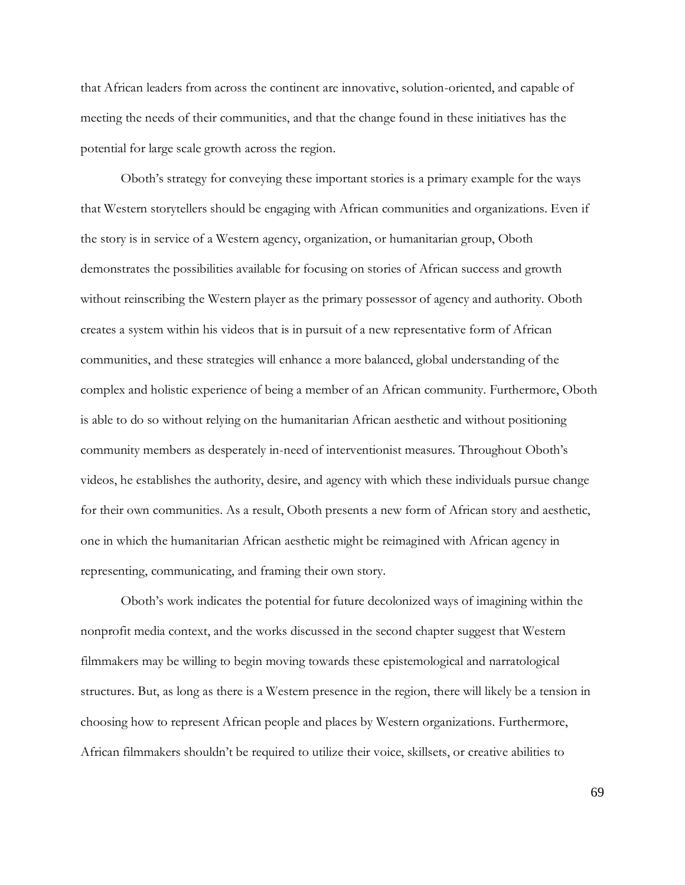that African leaders from across the continent are innovative, solution-oriented, and capable of meeting the needs of their communities, and that the change found in these initiatives has the potential for large scale growth across the region.

Oboth's strategy for conveying these important stories is a primary example for the ways that Western storytellers should be engaging with African communities and organizations. Even if the story is in service of a Western agency, organization, or humanitarian group, Oboth demonstrates the possibilities available for focusing on stories of African success and growth without reinscribing the Western player as the primary possessor of agency and authority. Oboth creates a system within his videos that is in pursuit of a new representative form of African communities, and these strategies will enhance a more balanced, global understanding of the complex and holistic experience of being a member of an African community. Furthermore, Oboth is able to do so without relying on the humanitarian African aesthetic and without positioning community members as desperately in-need of interventionist measures. Throughout Oboth's videos, he establishes the authority, desire, and agency with which these individuals pursue change for their own communities. As a result, Oboth presents a new form of African story and aesthetic, one in which the humanitarian African aesthetic might be reimagined with African agency in representing, communicating, and framing their own story.

Oboth's work indicates the potential for future decolonized ways of imagining within the nonprofit media context, and the works discussed in the second chapter suggest that Western filmmakers may be willing to begin moving towards these epistemological and narratological structures. But, as long as there is a Western presence in the region, there will likely be a tension in choosing how to represent African people and places by Western organizations. Furthermore, African filmmakers shouldn't be required to utilize their voice, skillsets, or creative abilities to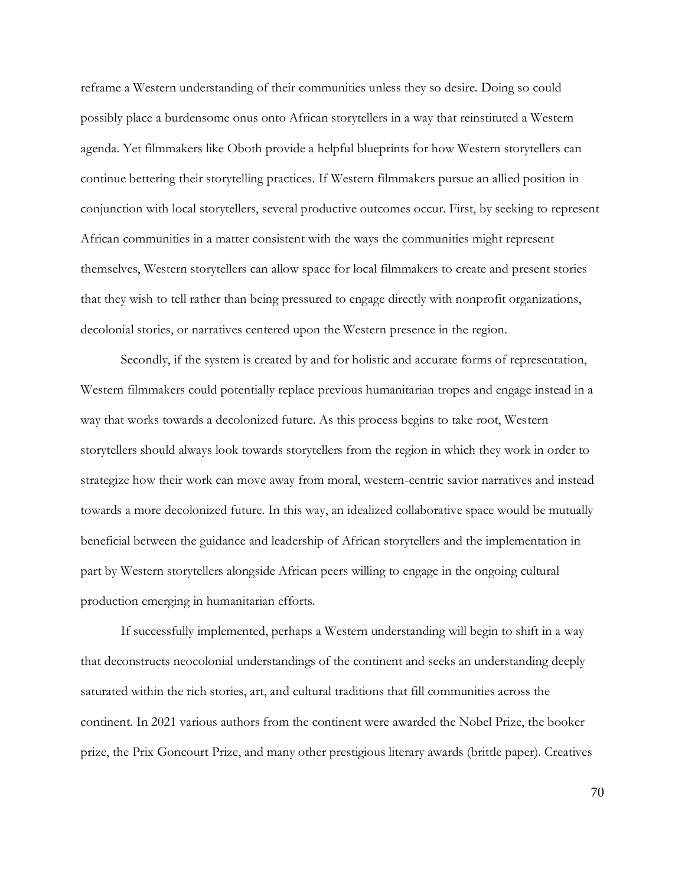reframe a Western understanding of their communities unless they so desire. Doing so could possibly place a burdensome onus onto African storytellers in a way that reinstituted a Western agenda. Yet filmmakers like Oboth provide a helpful blueprints for how Western storytellers can continue bettering their storytelling practices. If Western filmmakers pursue an allied position in conjunction with local storytellers, several productive outcomes occur. First, by seeking to represent African communities in a matter consistent with the ways the communities might represent themselves, Western storytellers can allow space for local filmmakers to create and present stories that they wish to tell rather than being pressured to engage directly with nonprofit organizations, decolonial stories, or narratives centered upon the Western presence in the region.

Secondly, if the system is created by and for holistic and accurate forms of representation, Western filmmakers could potentially replace previous humanitarian tropes and engage instead in a way that works towards a decolonized future. As this process begins to take root, Western storytellers should always look towards storytellers from the region in which they work in order to strategize how their work can move away from moral, western-centric savior narratives and instead towards a more decolonized future. In this way, an idealized collaborative space would be mutually beneficial between the guidance and leadership of African storytellers and the implementation in part by Western storytellers alongside African peers willing to engage in the ongoing cultural production emerging in humanitarian efforts.

If successfully implemented, perhaps a Western understanding will begin to shift in a way that deconstructs neocolonial understandings of the continent and seeks an understanding deeply saturated within the rich stories, art, and cultural traditions that fill communities across the continent. In 2021 various authors from the continent were awarded the Nobel Prize, the booker prize, the Prix Goncourt Prize, and many other prestigious literary awards (brittle paper). Creatives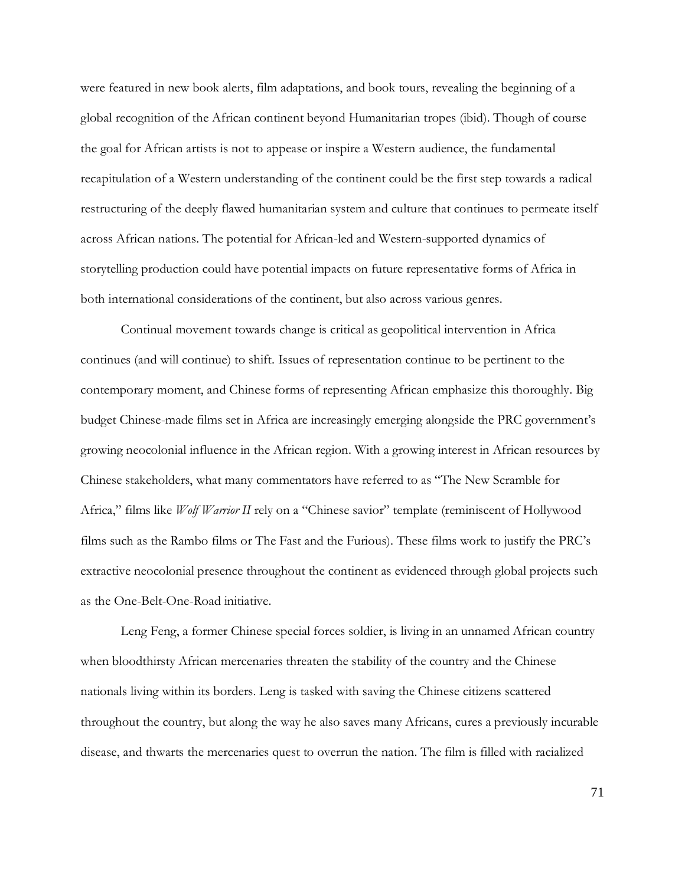were featured in new book alerts, film adaptations, and book tours, revealing the beginning of a global recognition of the African continent beyond Humanitarian tropes (ibid). Though of course the goal for African artists is not to appease or inspire a Western audience, the fundamental recapitulation of a Western understanding of the continent could be the first step towards a radical restructuring of the deeply flawed humanitarian system and culture that continues to permeate itself across African nations. The potential for African-led and Western-supported dynamics of storytelling production could have potential impacts on future representative forms of Africa in both international considerations of the continent, but also across various genres.

Continual movement towards change is critical as geopolitical intervention in Africa continues (and will continue) to shift. Issues of representation continue to be pertinent to the contemporary moment, and Chinese forms of representing African emphasize this thoroughly. Big budget Chinese-made films set in Africa are increasingly emerging alongside the PRC government's growing neocolonial influence in the African region. With a growing interest in African resources by Chinese stakeholders, what many commentators have referred to as "The New Scramble for Africa," films like *Wolf Warrior II* rely on a "Chinese savior" template (reminiscent of Hollywood films such as the Rambo films or The Fast and the Furious). These films work to justify the PRC's extractive neocolonial presence throughout the continent as evidenced through global projects such as the One-Belt-One-Road initiative.

Leng Feng, a former Chinese special forces soldier, is living in an unnamed African country when bloodthirsty African mercenaries threaten the stability of the country and the Chinese nationals living within its borders. Leng is tasked with saving the Chinese citizens scattered throughout the country, but along the way he also saves many Africans, cures a previously incurable disease, and thwarts the mercenaries quest to overrun the nation. The film is filled with racialized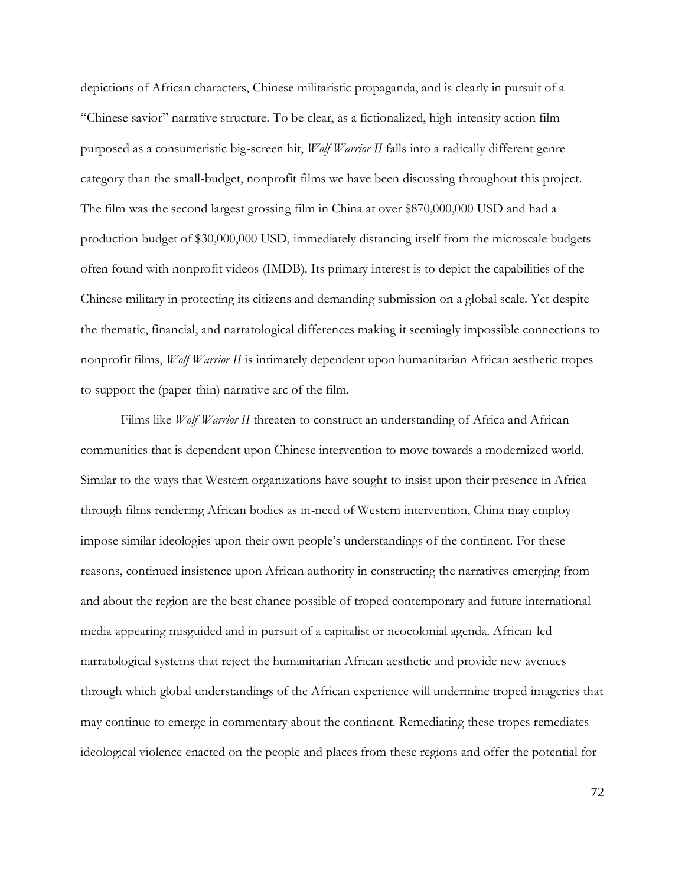depictions of African characters, Chinese militaristic propaganda, and is clearly in pursuit of a "Chinese savior" narrative structure. To be clear, as a fictionalized, high-intensity action film purposed as a consumeristic big-screen hit, *Wolf Warrior II* falls into a radically different genre category than the small-budget, nonprofit films we have been discussing throughout this project. The film was the second largest grossing film in China at over \$870,000,000 USD and had a production budget of \$30,000,000 USD, immediately distancing itself from the microscale budgets often found with nonprofit videos (IMDB). Its primary interest is to depict the capabilities of the Chinese military in protecting its citizens and demanding submission on a global scale. Yet despite the thematic, financial, and narratological differences making it seemingly impossible connections to nonprofit films, *Wolf Warrior II* is intimately dependent upon humanitarian African aesthetic tropes to support the (paper-thin) narrative arc of the film.

Films like *Wolf Warrior II* threaten to construct an understanding of Africa and African communities that is dependent upon Chinese intervention to move towards a modernized world. Similar to the ways that Western organizations have sought to insist upon their presence in Africa through films rendering African bodies as in-need of Western intervention, China may employ impose similar ideologies upon their own people's understandings of the continent. For these reasons, continued insistence upon African authority in constructing the narratives emerging from and about the region are the best chance possible of troped contemporary and future international media appearing misguided and in pursuit of a capitalist or neocolonial agenda. African-led narratological systems that reject the humanitarian African aesthetic and provide new avenues through which global understandings of the African experience will undermine troped imageries that may continue to emerge in commentary about the continent. Remediating these tropes remediates ideological violence enacted on the people and places from these regions and offer the potential for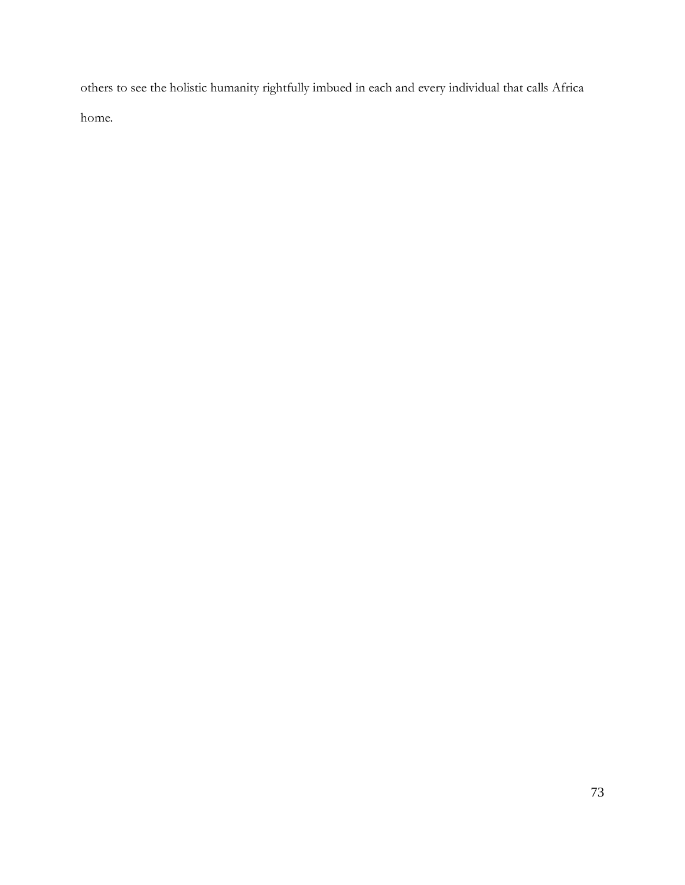others to see the holistic humanity rightfully imbued in each and every individual that calls Africa home.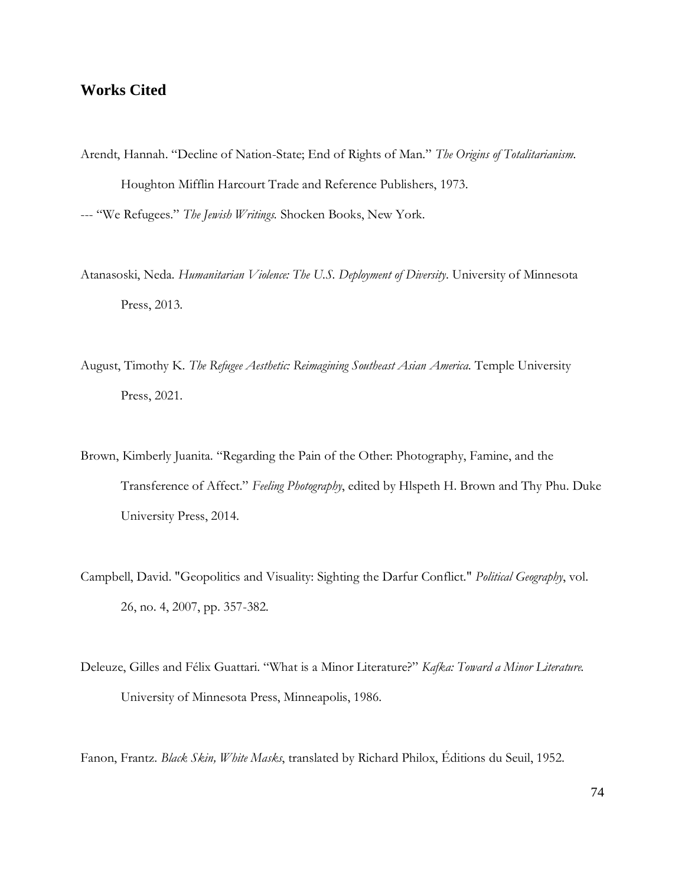## **Works Cited**

- Arendt, Hannah. "Decline of Nation-State; End of Rights of Man." *The Origins of Totalitarianism.*  Houghton Mifflin Harcourt Trade and Reference Publishers, 1973. --- "We Refugees." *The Jewish Writings.* Shocken Books, New York.
- Atanasoski, Neda. *Humanitarian Violence: The U.S. Deployment of Diversity*. University of Minnesota Press, 2013.
- August, Timothy K. *The Refugee Aesthetic: Reimagining Southeast Asian America*. Temple University Press, 2021.
- Brown, Kimberly Juanita. "Regarding the Pain of the Other: Photography, Famine, and the Transference of Affect." *Feeling Photography*, edited by Hlspeth H. Brown and Thy Phu. Duke University Press, 2014.
- Campbell, David. "Geopolitics and Visuality: Sighting the Darfur Conflict." *Political Geography*, vol. 26, no. 4, 2007, pp. 357-382.
- Deleuze, Gilles and Félix Guattari. "What is a Minor Literature?" *Kafka: Toward a Minor Literature.* University of Minnesota Press, Minneapolis, 1986.

Fanon, Frantz. *Black Skin, White Masks*, translated by Richard Philox, Éditions du Seuil, 1952.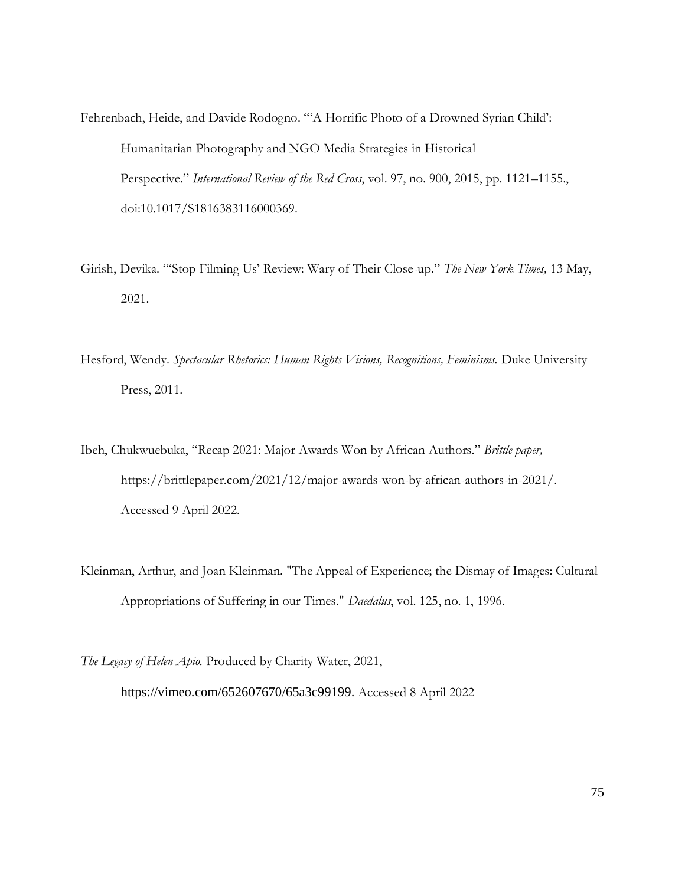Fehrenbach, Heide, and Davide Rodogno. "'A Horrific Photo of a Drowned Syrian Child': Humanitarian Photography and NGO Media Strategies in Historical Perspective." *International Review of the Red Cross*, vol. 97, no. 900, 2015, pp. 1121–1155., doi:10.1017/S1816383116000369.

- Girish, Devika. "'Stop Filming Us' Review: Wary of Their Close-up." *The New York Times,* 13 May, 2021.
- Hesford, Wendy. *Spectacular Rhetorics: Human Rights Visions, Recognitions, Feminisms.* Duke University Press, 2011.
- Ibeh, Chukwuebuka, "Recap 2021: Major Awards Won by African Authors." *Brittle paper,*  https://brittlepaper.com/2021/12/major-awards-won-by-african-authors-in-2021/. Accessed 9 April 2022.
- Kleinman, Arthur, and Joan Kleinman. "The Appeal of Experience; the Dismay of Images: Cultural Appropriations of Suffering in our Times." *Daedalus*, vol. 125, no. 1, 1996*.*

*The Legacy of Helen Apio.* Produced by Charity Water, 2021,

https://vimeo.com/652607670/65a3c99199. Accessed 8 April 2022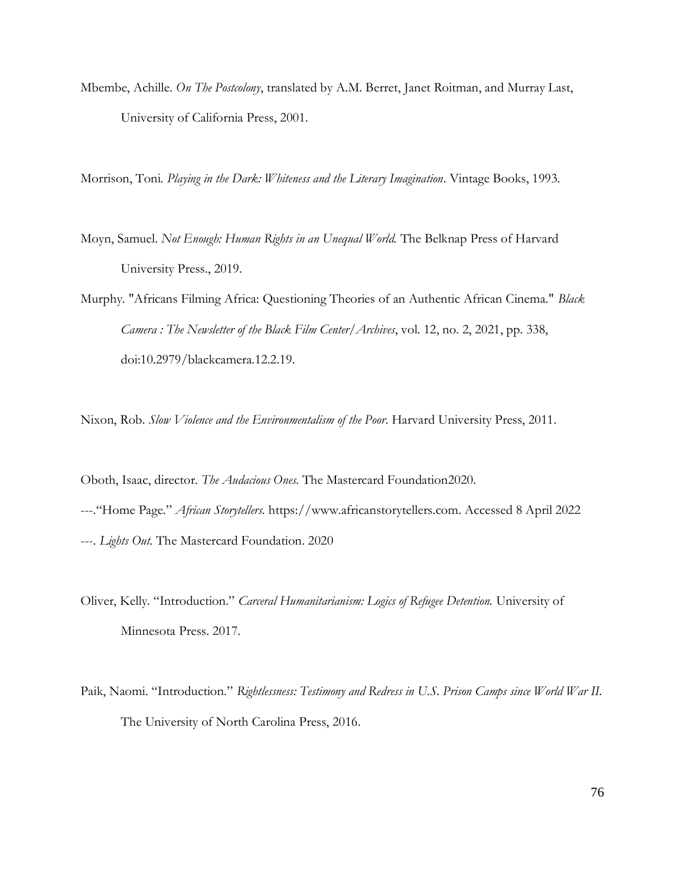Mbembe, Achille. *On The Postcolony*, translated by A.M. Berret, Janet Roitman, and Murray Last, University of California Press, 2001.

Morrison, Toni. *Playing in the Dark: Whiteness and the Literary Imagination*. Vintage Books, 1993.

- Moyn, Samuel. *Not Enough: Human Rights in an Unequal World.* The Belknap Press of Harvard University Press., 2019.
- Murphy. "Africans Filming Africa: Questioning Theories of an Authentic African Cinema." *Black Camera : The Newsletter of the Black Film Center/Archives*, vol. 12, no. 2, 2021, pp. 338, doi:10.2979/blackcamera.12.2.19.

Nixon, Rob. *Slow Violence and the Environmentalism of the Poor*. Harvard University Press, 2011.

- Oboth, Isaac, director. *The Audacious Ones*. The Mastercard Foundation2020. ---."Home Page." *African Storytellers.* https://www.africanstorytellers.com. Accessed 8 April 2022 ---. *Lights Out.* The Mastercard Foundation. 2020
- Oliver, Kelly. "Introduction." *Carceral Humanitarianism: Logics of Refugee Detention.* University of Minnesota Press. 2017.
- Paik, Naomi. "Introduction." *Rightlessness: Testimony and Redress in U.S. Prison Camps since World War II.*  The University of North Carolina Press, 2016.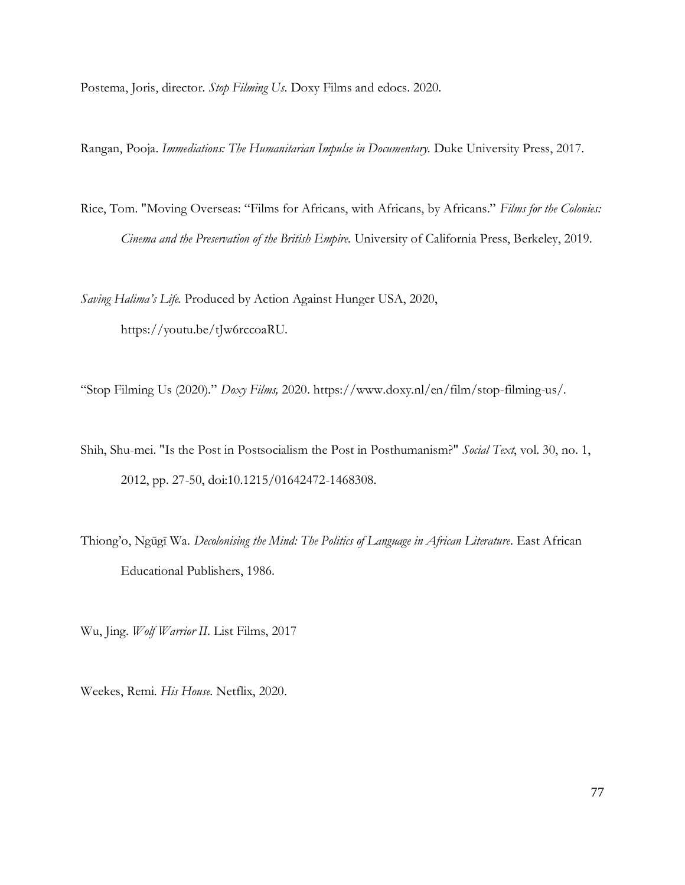Postema, Joris, director. *Stop Filming Us*. Doxy Films and edocs. 2020.

Rangan, Pooja. *Immediations: The Humanitarian Impulse in Documentary.* Duke University Press, 2017.

Rice, Tom. "Moving Overseas: "Films for Africans, with Africans, by Africans." *Films for the Colonies: Cinema and the Preservation of the British Empire.* University of California Press, Berkeley, 2019.

*Saving Halima's Life.* Produced by Action Against Hunger USA, 2020, https://youtu.be/tJw6rccoaRU.

"Stop Filming Us (2020)." *Doxy Films,* 2020. https://www.doxy.nl/en/film/stop-filming-us/.

- Shih, Shu-mei. "Is the Post in Postsocialism the Post in Posthumanism?" *Social Text*, vol. 30, no. 1, 2012, pp. 27-50, doi:10.1215/01642472-1468308.
- Thiong'o, Ngūgī Wa. *Decolonising the Mind: The Politics of Language in African Literature*. East African Educational Publishers, 1986.

Wu, Jing. *Wolf Warrior II*. List Films, 2017

Weekes, Remi. *His House*. Netflix, 2020.